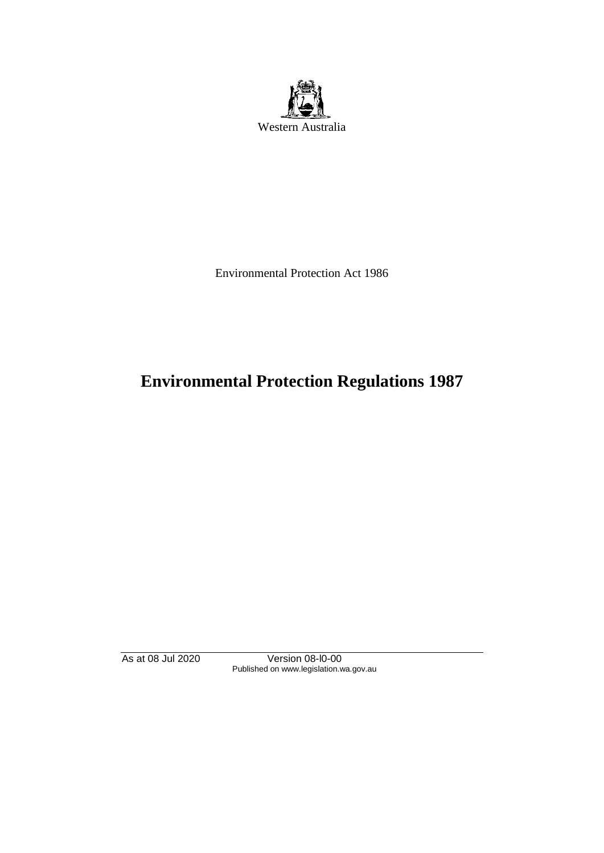

Environmental Protection Act 1986

# **Environmental Protection Regulations 1987**

As at 08 Jul 2020 Version 08-l0-00 Published on www.legislation.wa.gov.au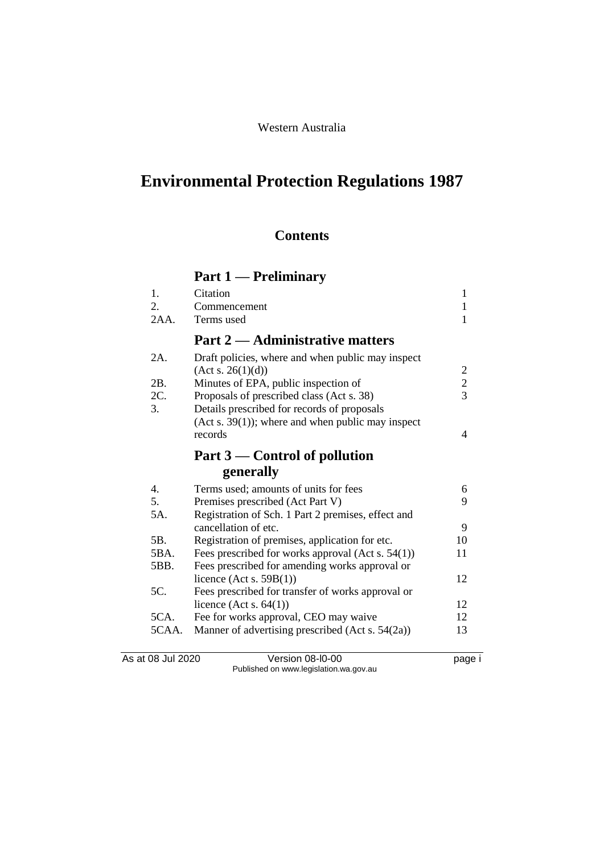# Western Australia

# **Environmental Protection Regulations 1987**

# **Contents**

# **Part 1 — Preliminary**

| 1.    | Citation                                             | 1             |
|-------|------------------------------------------------------|---------------|
| 2.    | Commencement                                         | $\mathbf{1}$  |
| 2AA.  | Terms used                                           | 1             |
|       | <b>Part 2 — Administrative matters</b>               |               |
| 2A.   | Draft policies, where and when public may inspect    |               |
|       | (Act s. 26(1)(d))                                    | $\frac{2}{3}$ |
| 2B.   | Minutes of EPA, public inspection of                 |               |
| 2C.   | Proposals of prescribed class (Act s. 38)            |               |
| 3.    | Details prescribed for records of proposals          |               |
|       | $(Act s. 39(1))$ ; where and when public may inspect |               |
|       | records                                              | 4             |
|       | Part $3$ — Control of pollution                      |               |
|       | generally                                            |               |
| 4.    | Terms used; amounts of units for fees                | 6             |
| 5.    | Premises prescribed (Act Part V)                     | 9             |
| 5A.   | Registration of Sch. 1 Part 2 premises, effect and   |               |
|       | cancellation of etc.                                 | 9             |
| 5B.   | Registration of premises, application for etc.       | 10            |
| 5BA.  | Fees prescribed for works approval (Act s. $54(1)$ ) | 11            |
| 5BB.  | Fees prescribed for amending works approval or       |               |
|       | licence (Act s. $59B(1)$ )                           | 12            |
| 5C.   | Fees prescribed for transfer of works approval or    |               |
|       | licence (Act s. $64(1)$ )                            | 12            |
| 5CA.  | Fee for works approval, CEO may waive                | 12            |
| 5CAA. | Manner of advertising prescribed (Act s. 54(2a))     | 13            |
|       |                                                      |               |

As at 08 Jul 2020 Version 08-l0-00 page i Published on www.legislation.wa.gov.au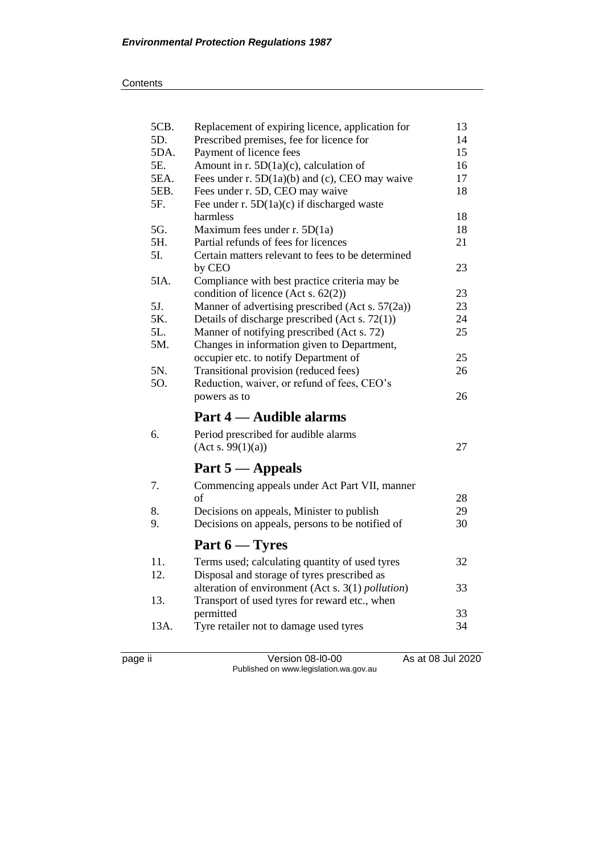| 5CB. | Replacement of expiring licence, application for          | 13 |
|------|-----------------------------------------------------------|----|
| 5D.  | Prescribed premises, fee for licence for                  | 14 |
| 5DA. | Payment of licence fees                                   | 15 |
| 5E.  | Amount in r. 5D(1a)(c), calculation of                    | 16 |
| 5EA. | Fees under r. 5D(1a)(b) and (c), CEO may waive            | 17 |
| 5EB. | Fees under r. 5D, CEO may waive                           | 18 |
| 5F.  | Fee under r. $5D(1a)(c)$ if discharged waste              |    |
|      | harmless                                                  | 18 |
| 5G.  | Maximum fees under $r. 5D(1a)$                            | 18 |
| 5H.  | Partial refunds of fees for licences                      | 21 |
| 5I.  | Certain matters relevant to fees to be determined         |    |
|      | by CEO                                                    | 23 |
| 5IA. | Compliance with best practice criteria may be             |    |
|      | condition of licence (Act s. 62(2))                       | 23 |
| 5J.  | Manner of advertising prescribed (Act s. 57(2a))          | 23 |
| 5K.  | Details of discharge prescribed (Act s. 72(1))            | 24 |
| 5L.  | Manner of notifying prescribed (Act s. 72)                | 25 |
| 5M.  | Changes in information given to Department,               |    |
|      | occupier etc. to notify Department of                     | 25 |
| 5N.  | Transitional provision (reduced fees)                     | 26 |
| 50.  | Reduction, waiver, or refund of fees, CEO's               |    |
|      |                                                           |    |
|      | powers as to                                              | 26 |
|      | Part 4 — Audible alarms                                   |    |
|      |                                                           |    |
| 6.   | Period prescribed for audible alarms                      | 27 |
|      | (Act s. 99(1)(a))                                         |    |
|      | Part $5 -$ Appeals                                        |    |
| 7.   | Commencing appeals under Act Part VII, manner             |    |
|      | of                                                        | 28 |
| 8.   | Decisions on appeals, Minister to publish                 | 29 |
| 9.   | Decisions on appeals, persons to be notified of           | 30 |
|      | Part $6 - \text{Tyres}$                                   |    |
|      |                                                           |    |
| 11.  | Terms used; calculating quantity of used tyres            | 32 |
| 12.  | Disposal and storage of tyres prescribed as               |    |
|      | alteration of environment (Act s. 3(1) <i>pollution</i> ) | 33 |
| 13.  | Transport of used tyres for reward etc., when             |    |
|      | permitted                                                 | 33 |
| 13A. | Tyre retailer not to damage used tyres                    | 34 |

page ii Version 08-l0-00 As at 08 Jul 2020 Published on www.legislation.wa.gov.au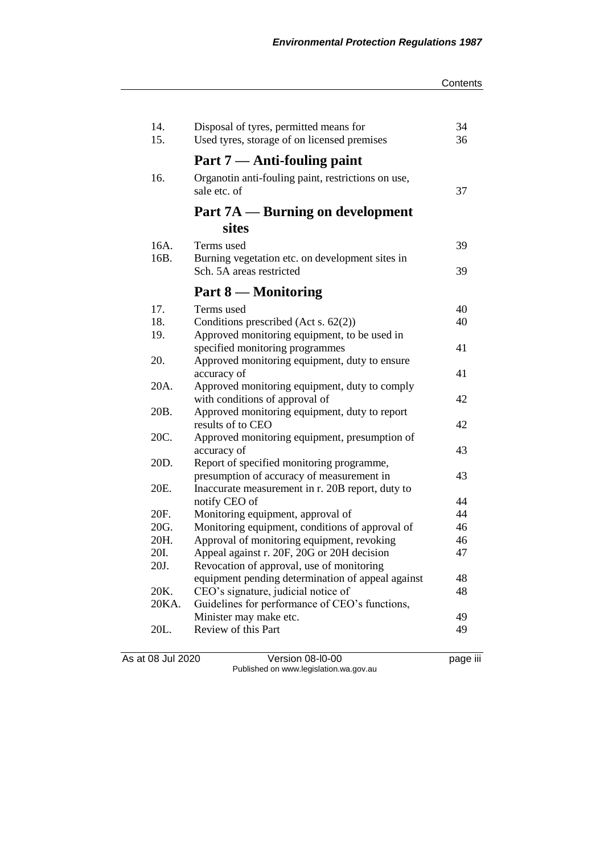| 14.   | Disposal of tyres, permitted means for                             | 34 |
|-------|--------------------------------------------------------------------|----|
| 15.   | Used tyres, storage of on licensed premises                        | 36 |
|       | Part 7 — Anti-fouling paint                                        |    |
| 16.   | Organotin anti-fouling paint, restrictions on use,<br>sale etc. of | 37 |
|       | Part 7A — Burning on development                                   |    |
|       | <b>sites</b>                                                       |    |
| 16A.  | Terms used                                                         | 39 |
| 16B.  | Burning vegetation etc. on development sites in                    |    |
|       | Sch. 5A areas restricted                                           | 39 |
|       | Part 8 – Monitoring                                                |    |
| 17.   | Terms used                                                         | 40 |
| 18.   | Conditions prescribed (Act s. 62(2))                               | 40 |
| 19.   | Approved monitoring equipment, to be used in                       |    |
|       | specified monitoring programmes                                    | 41 |
| 20.   | Approved monitoring equipment, duty to ensure                      |    |
| 20A.  | accuracy of<br>Approved monitoring equipment, duty to comply       | 41 |
|       | with conditions of approval of                                     | 42 |
| 20B.  | Approved monitoring equipment, duty to report                      |    |
|       | results of to CEO                                                  | 42 |
| 20C.  | Approved monitoring equipment, presumption of                      |    |
|       | accuracy of                                                        | 43 |
| 20D.  | Report of specified monitoring programme,                          |    |
|       | presumption of accuracy of measurement in                          | 43 |
| 20E.  | Inaccurate measurement in r. 20B report, duty to                   | 44 |
| 20F.  | notify CEO of<br>Monitoring equipment, approval of                 | 44 |
| 20G.  | Monitoring equipment, conditions of approval of                    | 46 |
| 20H.  | Approval of monitoring equipment, revoking                         | 46 |
| 20I.  | Appeal against r. 20F, 20G or 20H decision                         | 47 |
| 20J.  | Revocation of approval, use of monitoring                          |    |
|       | equipment pending determination of appeal against                  | 48 |
| 20K.  | CEO's signature, judicial notice of                                | 48 |
| 20KA. | Guidelines for performance of CEO's functions,                     |    |
|       | Minister may make etc.                                             | 49 |
| 20L.  | Review of this Part                                                | 49 |

As at 08 Jul 2020 Version 08-l0-00 page iii Published on www.legislation.wa.gov.au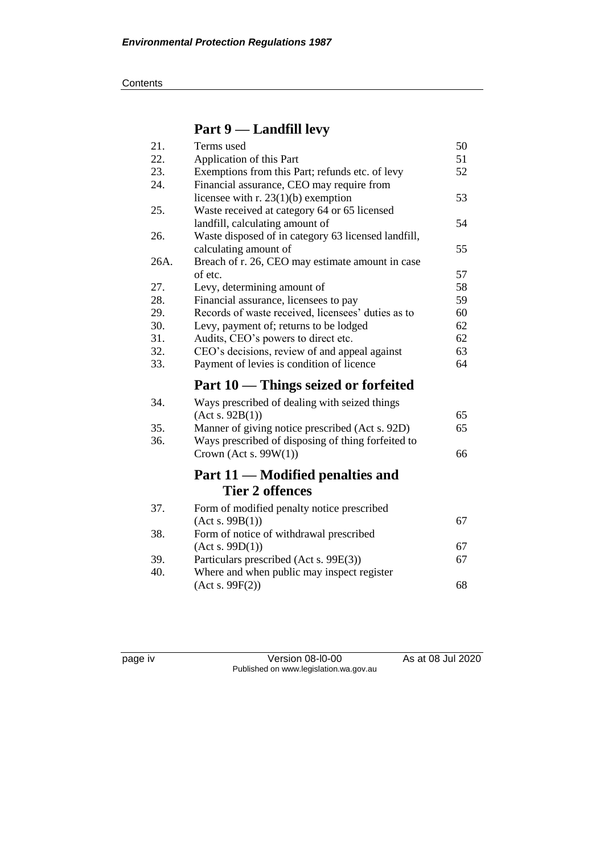# **Part 9 — Landfill levy**

| 21.  | Terms used                                          | 50 |
|------|-----------------------------------------------------|----|
| 22.  | Application of this Part                            | 51 |
| 23.  | Exemptions from this Part; refunds etc. of levy     | 52 |
| 24.  | Financial assurance, CEO may require from           |    |
|      | licensee with $r. 23(1)(b)$ exemption               | 53 |
| 25.  | Waste received at category 64 or 65 licensed        |    |
|      | landfill, calculating amount of                     | 54 |
| 26.  | Waste disposed of in category 63 licensed landfill, |    |
|      | calculating amount of                               | 55 |
| 26A. | Breach of r. 26, CEO may estimate amount in case    |    |
|      | of etc.                                             | 57 |
| 27.  | Levy, determining amount of                         | 58 |
| 28.  | Financial assurance, licensees to pay               | 59 |
| 29.  | Records of waste received, licensees' duties as to  | 60 |
| 30.  | Levy, payment of; returns to be lodged              | 62 |
| 31.  | Audits, CEO's powers to direct etc.                 | 62 |
| 32.  | CEO's decisions, review of and appeal against       | 63 |
| 33.  | Payment of levies is condition of licence           | 64 |
|      | Part 10 — Things seized or forfeited                |    |
| 34.  | Ways prescribed of dealing with seized things       |    |
|      | (Act s. 92B(1))                                     | 65 |
| 35.  | Manner of giving notice prescribed (Act s. 92D)     | 65 |
| 36.  | Ways prescribed of disposing of thing forfeited to  |    |
|      | Crown (Act s. $99W(1)$ )                            | 66 |
|      | Part 11 — Modified penalties and                    |    |
|      | <b>Tier 2 offences</b>                              |    |
|      |                                                     |    |
| 37.  | Form of modified penalty notice prescribed          |    |
|      | (Act s. 99B(1))                                     | 67 |
| 38.  | Form of notice of withdrawal prescribed             |    |
|      | (Act s. 99D(1))                                     | 67 |
| 39.  | Particulars prescribed (Act s. 99E(3))              | 67 |
| 40.  | Where and when public may inspect register          |    |
|      | (Acts. 99F(2))                                      | 68 |

page iv Version 08-l0-00 As at 08 Jul 2020 Published on www.legislation.wa.gov.au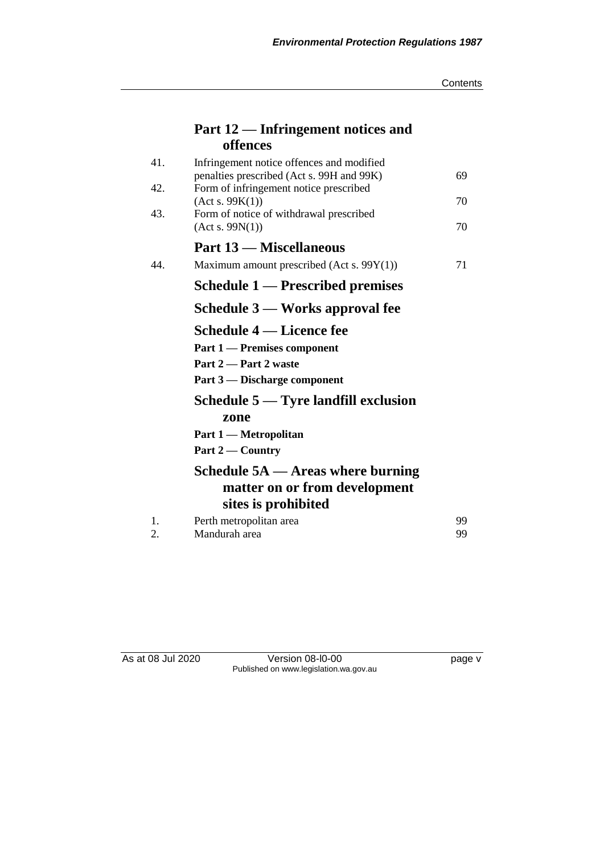| Contents |
|----------|
|----------|

# **Part 12 — Infringement notices and offences**

| 41.            | Infringement notice offences and modified                 |    |
|----------------|-----------------------------------------------------------|----|
| 42.            | penalties prescribed (Act s. 99H and 99K)                 | 69 |
|                | Form of infringement notice prescribed<br>(Act s. 99K(1)) | 70 |
| 43.            | Form of notice of withdrawal prescribed                   |    |
|                | (Act s. 99N(1))                                           | 70 |
|                | <b>Part 13 – Miscellaneous</b>                            |    |
| 44.            | Maximum amount prescribed (Act s. $99Y(1)$ )              | 71 |
|                | Schedule 1 — Prescribed premises                          |    |
|                | Schedule 3 — Works approval fee                           |    |
|                | Schedule 4 — Licence fee                                  |    |
|                | <b>Part 1 — Premises component</b>                        |    |
|                | Part 2 – Part 2 waste                                     |    |
|                | Part 3 — Discharge component                              |    |
|                | Schedule $5 -$ Tyre landfill exclusion                    |    |
|                | zone                                                      |    |
|                | Part 1 — Metropolitan                                     |    |
|                | Part 2 — Country                                          |    |
|                | Schedule $5A$ — Areas where burning                       |    |
|                | matter on or from development                             |    |
|                | sites is prohibited                                       |    |
| $\mathbf{1}$ . | Perth metropolitan area                                   | 99 |
| 2.             | Mandurah area                                             | 99 |

As at 08 Jul 2020 Version 08-l0-00 page v Published on www.legislation.wa.gov.au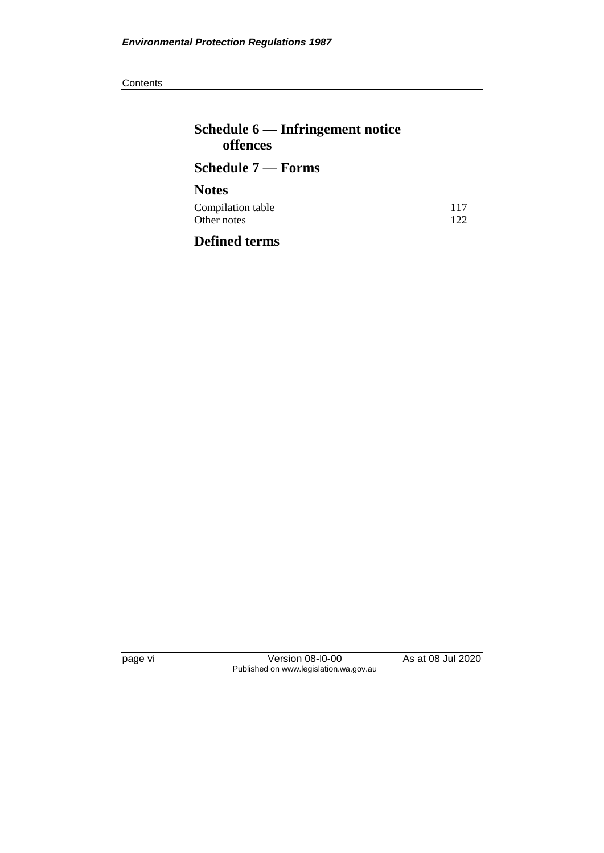**Contents** 

| Schedule $6$ — Infringement notice<br>offences |            |
|------------------------------------------------|------------|
| Schedule 7 — Forms                             |            |
| <b>Notes</b>                                   |            |
| Compilation table<br>Other notes               | 117<br>122 |
| <b>Defined terms</b>                           |            |

page vi Version 08-l0-00 As at 08 Jul 2020 Published on www.legislation.wa.gov.au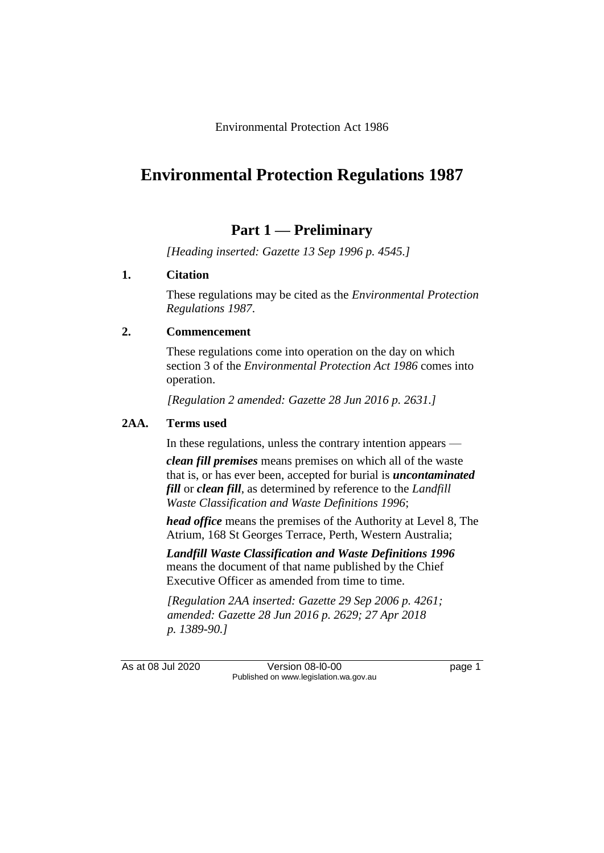Environmental Protection Act 1986

# **Environmental Protection Regulations 1987**

# **Part 1 — Preliminary**

*[Heading inserted: Gazette 13 Sep 1996 p. 4545.]*

# **1. Citation**

These regulations may be cited as the *Environmental Protection Regulations 1987*.

# **2. Commencement**

These regulations come into operation on the day on which section 3 of the *Environmental Protection Act 1986* comes into operation.

*[Regulation 2 amended: Gazette 28 Jun 2016 p. 2631.]*

# **2AA. Terms used**

In these regulations, unless the contrary intention appears —

*clean fill premises* means premises on which all of the waste that is, or has ever been, accepted for burial is *uncontaminated fill* or *clean fill*, as determined by reference to the *Landfill Waste Classification and Waste Definitions 1996*;

*head office* means the premises of the Authority at Level 8, The Atrium, 168 St Georges Terrace, Perth, Western Australia;

*Landfill Waste Classification and Waste Definitions 1996* means the document of that name published by the Chief Executive Officer as amended from time to time.

*[Regulation 2AA inserted: Gazette 29 Sep 2006 p. 4261; amended: Gazette 28 Jun 2016 p. 2629; 27 Apr 2018 p. 1389-90.]*

As at 08 Jul 2020 Version 08-l0-00 page 1 Published on www.legislation.wa.gov.au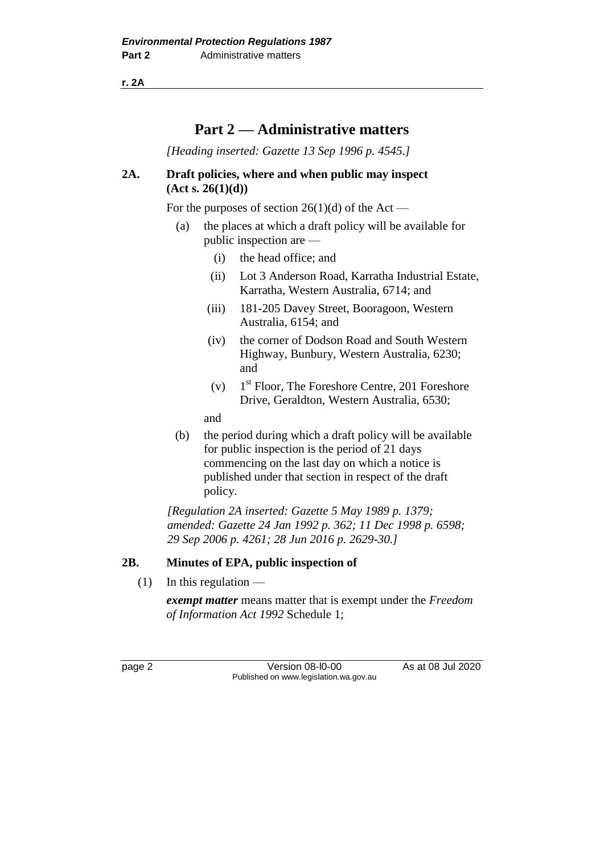**r. 2A**

# **Part 2 — Administrative matters**

*[Heading inserted: Gazette 13 Sep 1996 p. 4545.]*

# **2A. Draft policies, where and when public may inspect (Act s. 26(1)(d))**

For the purposes of section  $26(1)(d)$  of the Act —

- (a) the places at which a draft policy will be available for public inspection are —
	- (i) the head office; and
	- (ii) Lot 3 Anderson Road, Karratha Industrial Estate, Karratha, Western Australia, 6714; and
	- (iii) 181-205 Davey Street, Booragoon, Western Australia, 6154; and
	- (iv) the corner of Dodson Road and South Western Highway, Bunbury, Western Australia, 6230; and
	- $(v)$ 1<sup>st</sup> Floor, The Foreshore Centre, 201 Foreshore Drive, Geraldton, Western Australia, 6530;

and

(b) the period during which a draft policy will be available for public inspection is the period of 21 days commencing on the last day on which a notice is published under that section in respect of the draft policy.

*[Regulation 2A inserted: Gazette 5 May 1989 p. 1379; amended: Gazette 24 Jan 1992 p. 362; 11 Dec 1998 p. 6598; 29 Sep 2006 p. 4261; 28 Jun 2016 p. 2629-30.]*

# **2B. Minutes of EPA, public inspection of**

 $(1)$  In this regulation —

*exempt matter* means matter that is exempt under the *Freedom of Information Act 1992* Schedule 1;

page 2 Version 08-l0-00 As at 08 Jul 2020 Published on www.legislation.wa.gov.au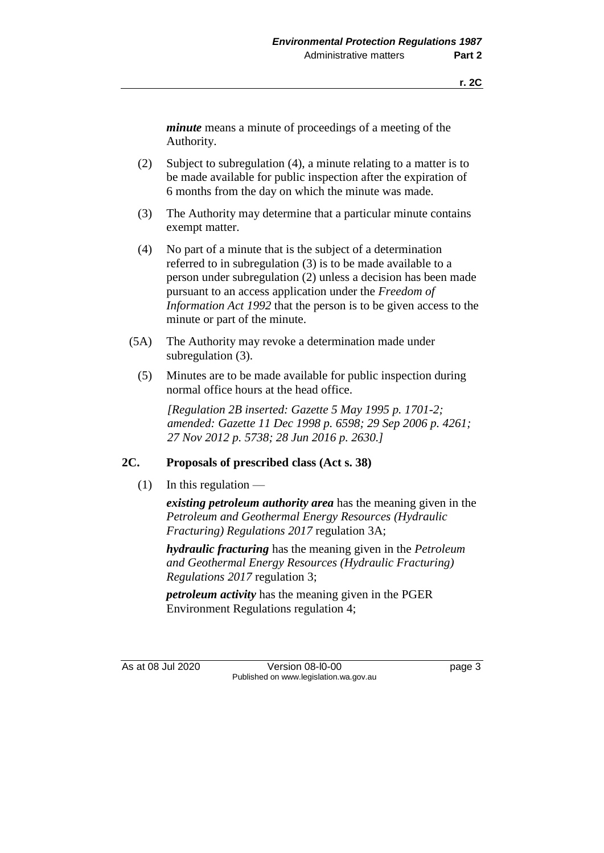*minute* means a minute of proceedings of a meeting of the Authority.

- (2) Subject to subregulation (4), a minute relating to a matter is to be made available for public inspection after the expiration of 6 months from the day on which the minute was made.
- (3) The Authority may determine that a particular minute contains exempt matter.
- (4) No part of a minute that is the subject of a determination referred to in subregulation (3) is to be made available to a person under subregulation (2) unless a decision has been made pursuant to an access application under the *Freedom of Information Act 1992* that the person is to be given access to the minute or part of the minute.
- (5A) The Authority may revoke a determination made under subregulation (3).
	- (5) Minutes are to be made available for public inspection during normal office hours at the head office.

*[Regulation 2B inserted: Gazette 5 May 1995 p. 1701-2; amended: Gazette 11 Dec 1998 p. 6598; 29 Sep 2006 p. 4261; 27 Nov 2012 p. 5738; 28 Jun 2016 p. 2630.]*

# **2C. Proposals of prescribed class (Act s. 38)**

 $(1)$  In this regulation —

*existing petroleum authority area* has the meaning given in the *Petroleum and Geothermal Energy Resources (Hydraulic Fracturing) Regulations 2017* regulation 3A;

*hydraulic fracturing* has the meaning given in the *Petroleum and Geothermal Energy Resources (Hydraulic Fracturing) Regulations 2017* regulation 3;

*petroleum activity* has the meaning given in the PGER Environment Regulations regulation 4;

As at 08 Jul 2020 Version 08-l0-00 page 3 Published on www.legislation.wa.gov.au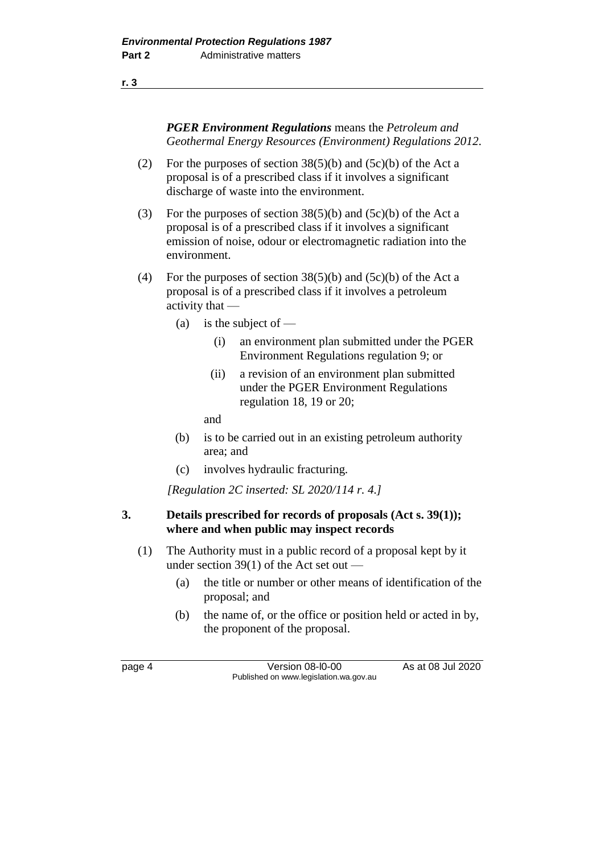**r. 3**

*PGER Environment Regulations* means the *Petroleum and Geothermal Energy Resources (Environment) Regulations 2012*.

- (2) For the purposes of section  $38(5)(b)$  and  $(5c)(b)$  of the Act a proposal is of a prescribed class if it involves a significant discharge of waste into the environment.
- (3) For the purposes of section 38(5)(b) and (5c)(b) of the Act a proposal is of a prescribed class if it involves a significant emission of noise, odour or electromagnetic radiation into the environment.
- (4) For the purposes of section  $38(5)(b)$  and  $(5c)(b)$  of the Act a proposal is of a prescribed class if it involves a petroleum activity that —
	- (a) is the subject of  $-$ 
		- (i) an environment plan submitted under the PGER Environment Regulations regulation 9; or
		- (ii) a revision of an environment plan submitted under the PGER Environment Regulations regulation 18, 19 or 20;

and

- (b) is to be carried out in an existing petroleum authority area; and
- (c) involves hydraulic fracturing.

*[Regulation 2C inserted: SL 2020/114 r. 4.]*

# **3. Details prescribed for records of proposals (Act s. 39(1)); where and when public may inspect records**

- (1) The Authority must in a public record of a proposal kept by it under section 39(1) of the Act set out —
	- (a) the title or number or other means of identification of the proposal; and
	- (b) the name of, or the office or position held or acted in by, the proponent of the proposal.

page 4 Version 08-l0-00 As at 08 Jul 2020 Published on www.legislation.wa.gov.au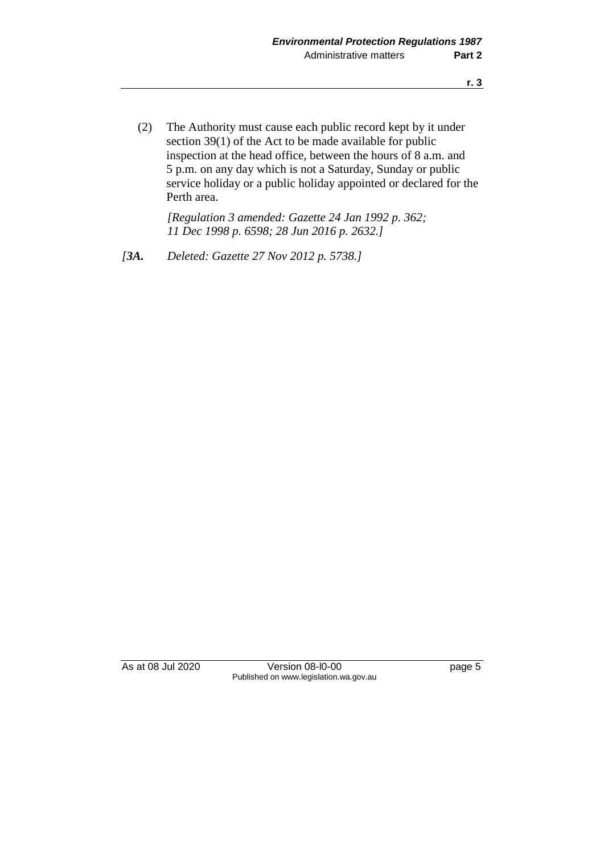(2) The Authority must cause each public record kept by it under section 39(1) of the Act to be made available for public inspection at the head office, between the hours of 8 a.m. and 5 p.m. on any day which is not a Saturday, Sunday or public service holiday or a public holiday appointed or declared for the Perth area.

*[Regulation 3 amended: Gazette 24 Jan 1992 p. 362; 11 Dec 1998 p. 6598; 28 Jun 2016 p. 2632.]*

*[3A. Deleted: Gazette 27 Nov 2012 p. 5738.]*

As at 08 Jul 2020 Version 08-l0-00 page 5 Published on www.legislation.wa.gov.au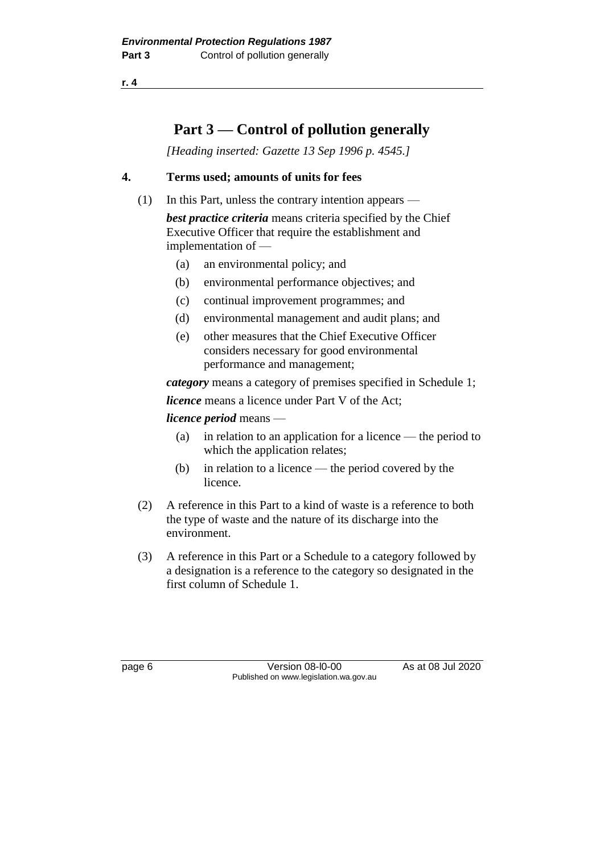**r. 4**

# **Part 3 — Control of pollution generally**

*[Heading inserted: Gazette 13 Sep 1996 p. 4545.]*

# **4. Terms used; amounts of units for fees**

(1) In this Part, unless the contrary intention appears —

*best practice criteria* means criteria specified by the Chief Executive Officer that require the establishment and implementation of —

- (a) an environmental policy; and
- (b) environmental performance objectives; and
- (c) continual improvement programmes; and
- (d) environmental management and audit plans; and
- (e) other measures that the Chief Executive Officer considers necessary for good environmental performance and management;

*category* means a category of premises specified in Schedule 1;

*licence* means a licence under Part V of the Act;

*licence period* means —

- (a) in relation to an application for a licence the period to which the application relates;
- (b) in relation to a licence the period covered by the licence.
- (2) A reference in this Part to a kind of waste is a reference to both the type of waste and the nature of its discharge into the environment.
- (3) A reference in this Part or a Schedule to a category followed by a designation is a reference to the category so designated in the first column of Schedule 1.

page 6 Version 08-l0-00 As at 08 Jul 2020 Published on www.legislation.wa.gov.au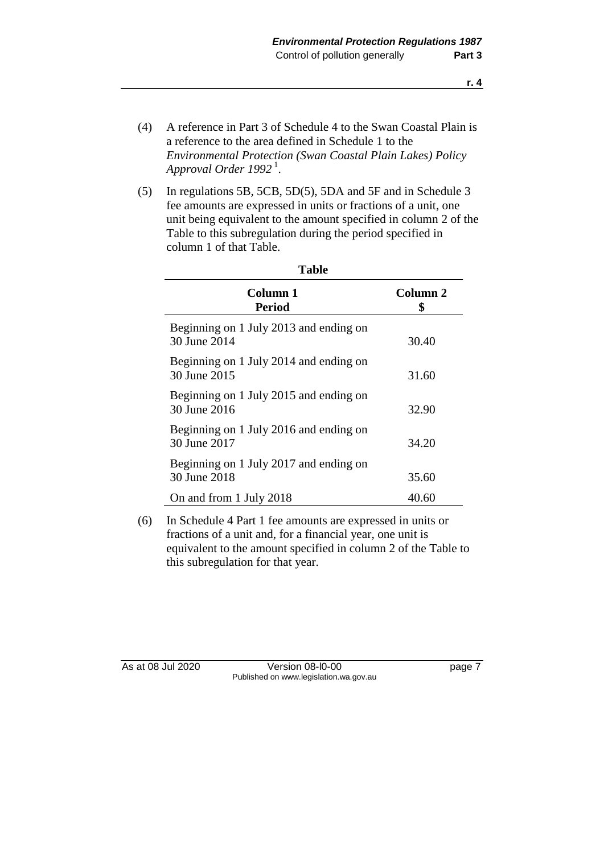- (4) A reference in Part 3 of Schedule 4 to the Swan Coastal Plain is a reference to the area defined in Schedule 1 to the *Environmental Protection (Swan Coastal Plain Lakes) Policy Approval Order 1992* <sup>1</sup> .
- (5) In regulations 5B, 5CB, 5D(5), 5DA and 5F and in Schedule 3 fee amounts are expressed in units or fractions of a unit, one unit being equivalent to the amount specified in column 2 of the Table to this subregulation during the period specified in column 1 of that Table.

| Column 1<br>Period                                     | Column 2<br>S |
|--------------------------------------------------------|---------------|
| Beginning on 1 July 2013 and ending on<br>30 June 2014 | 30.40         |
| Beginning on 1 July 2014 and ending on<br>30 June 2015 | 31.60         |
| Beginning on 1 July 2015 and ending on<br>30 June 2016 | 32.90         |
| Beginning on 1 July 2016 and ending on<br>30 June 2017 | 34.20         |
| Beginning on 1 July 2017 and ending on<br>30 June 2018 | 35.60         |
| On and from 1 July 2018                                | 40.60         |

**Table**

(6) In Schedule 4 Part 1 fee amounts are expressed in units or fractions of a unit and, for a financial year, one unit is equivalent to the amount specified in column 2 of the Table to this subregulation for that year.

As at 08 Jul 2020 Version 08-l0-00 page 7 Published on www.legislation.wa.gov.au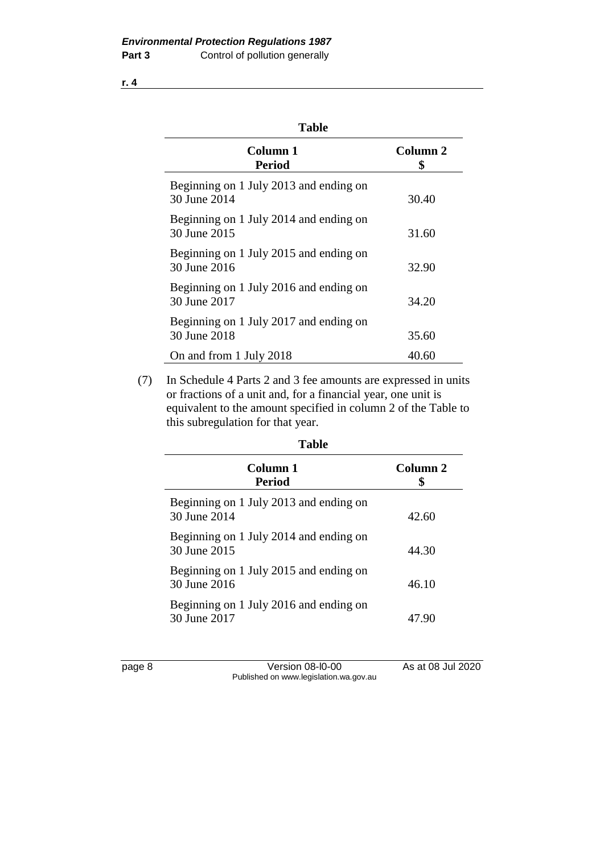| I<br>ı<br>., |
|--------------|
|--------------|

| Column 1<br>Period                                     | Column 2<br>S |
|--------------------------------------------------------|---------------|
| Beginning on 1 July 2013 and ending on<br>30 June 2014 | 30.40         |
| Beginning on 1 July 2014 and ending on<br>30 June 2015 | 31.60         |
| Beginning on 1 July 2015 and ending on<br>30 June 2016 | 32.90         |
| Beginning on 1 July 2016 and ending on<br>30 June 2017 | 34.20         |
| Beginning on 1 July 2017 and ending on<br>30 June 2018 | 35.60         |
| On and from 1 July 2018                                | 40.60         |

(7) In Schedule 4 Parts 2 and 3 fee amounts are expressed in units or fractions of a unit and, for a financial year, one unit is equivalent to the amount specified in column 2 of the Table to this subregulation for that year.

| <b>Table</b>                                           |          |
|--------------------------------------------------------|----------|
| Column 1<br>Period                                     | Column 2 |
| Beginning on 1 July 2013 and ending on<br>30 June 2014 | 42.60    |
| Beginning on 1 July 2014 and ending on<br>30 June 2015 | 44.30    |
| Beginning on 1 July 2015 and ending on<br>30 June 2016 | 46.10    |
| Beginning on 1 July 2016 and ending on<br>30 June 2017 | 47.90    |
|                                                        |          |

| ı<br>œ.<br>÷.<br>. . |  |
|----------------------|--|
|                      |  |

Version 08-l0-00 As at 08 Jul 2020 Published on www.legislation.wa.gov.au

**r. 4**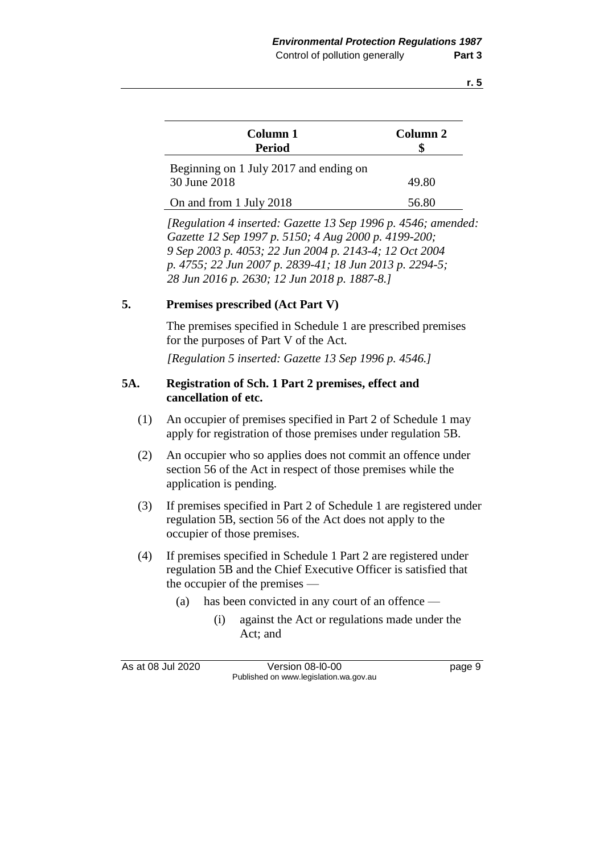| Column 1<br><b>Period</b>                              | Column 2 |
|--------------------------------------------------------|----------|
| Beginning on 1 July 2017 and ending on<br>30 June 2018 | 49.80    |
| On and from 1 July 2018                                | 56.80    |

*[Regulation 4 inserted: Gazette 13 Sep 1996 p. 4546; amended: Gazette 12 Sep 1997 p. 5150; 4 Aug 2000 p. 4199-200; 9 Sep 2003 p. 4053; 22 Jun 2004 p. 2143-4; 12 Oct 2004 p. 4755; 22 Jun 2007 p. 2839-41; 18 Jun 2013 p. 2294-5; 28 Jun 2016 p. 2630; 12 Jun 2018 p. 1887-8.]*

## **5. Premises prescribed (Act Part V)**

The premises specified in Schedule 1 are prescribed premises for the purposes of Part V of the Act.

*[Regulation 5 inserted: Gazette 13 Sep 1996 p. 4546.]*

# **5A. Registration of Sch. 1 Part 2 premises, effect and cancellation of etc.**

- (1) An occupier of premises specified in Part 2 of Schedule 1 may apply for registration of those premises under regulation 5B.
- (2) An occupier who so applies does not commit an offence under section 56 of the Act in respect of those premises while the application is pending.
- (3) If premises specified in Part 2 of Schedule 1 are registered under regulation 5B, section 56 of the Act does not apply to the occupier of those premises.
- (4) If premises specified in Schedule 1 Part 2 are registered under regulation 5B and the Chief Executive Officer is satisfied that the occupier of the premises —
	- (a) has been convicted in any court of an offence
		- (i) against the Act or regulations made under the Act; and

As at 08 Jul 2020 Version 08-l0-00 page 9 Published on www.legislation.wa.gov.au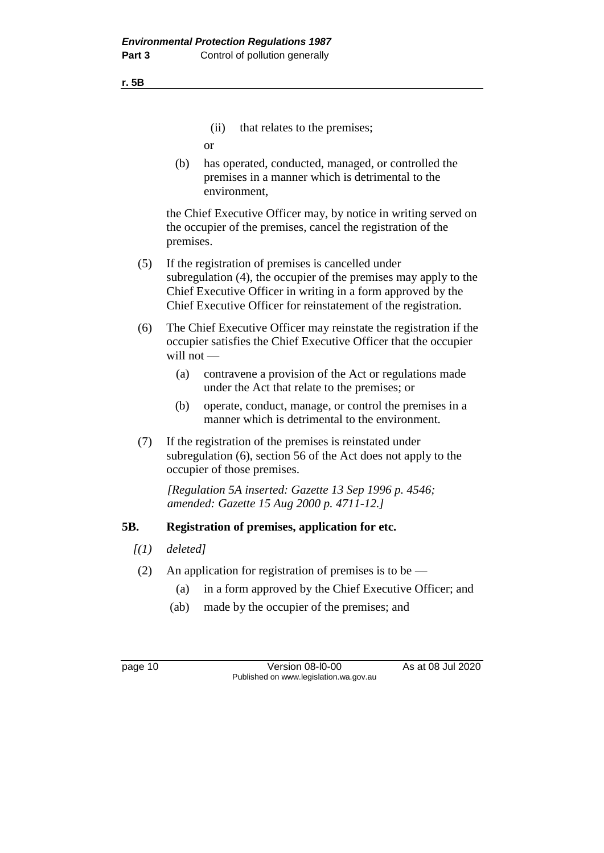**r. 5B**

(ii) that relates to the premises;

or

(b) has operated, conducted, managed, or controlled the premises in a manner which is detrimental to the environment,

the Chief Executive Officer may, by notice in writing served on the occupier of the premises, cancel the registration of the premises.

- (5) If the registration of premises is cancelled under subregulation (4), the occupier of the premises may apply to the Chief Executive Officer in writing in a form approved by the Chief Executive Officer for reinstatement of the registration.
- (6) The Chief Executive Officer may reinstate the registration if the occupier satisfies the Chief Executive Officer that the occupier will not —
	- (a) contravene a provision of the Act or regulations made under the Act that relate to the premises; or
	- (b) operate, conduct, manage, or control the premises in a manner which is detrimental to the environment.
- (7) If the registration of the premises is reinstated under subregulation (6), section 56 of the Act does not apply to the occupier of those premises.

*[Regulation 5A inserted: Gazette 13 Sep 1996 p. 4546; amended: Gazette 15 Aug 2000 p. 4711-12.]*

# **5B. Registration of premises, application for etc.**

- *[(1) deleted]*
- (2) An application for registration of premises is to be  $-$ 
	- (a) in a form approved by the Chief Executive Officer; and
	- (ab) made by the occupier of the premises; and

page 10 Version 08-l0-00 As at 08 Jul 2020 Published on www.legislation.wa.gov.au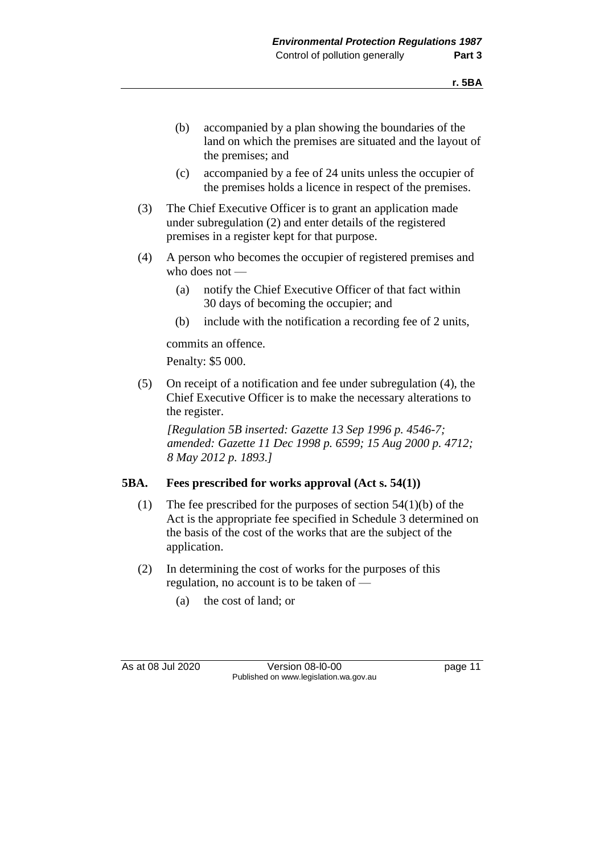- (b) accompanied by a plan showing the boundaries of the land on which the premises are situated and the layout of the premises; and
- (c) accompanied by a fee of 24 units unless the occupier of the premises holds a licence in respect of the premises.
- (3) The Chief Executive Officer is to grant an application made under subregulation (2) and enter details of the registered premises in a register kept for that purpose.
- (4) A person who becomes the occupier of registered premises and who does not —
	- (a) notify the Chief Executive Officer of that fact within 30 days of becoming the occupier; and
	- (b) include with the notification a recording fee of 2 units,

commits an offence.

Penalty: \$5 000.

(5) On receipt of a notification and fee under subregulation (4), the Chief Executive Officer is to make the necessary alterations to the register.

*[Regulation 5B inserted: Gazette 13 Sep 1996 p. 4546-7; amended: Gazette 11 Dec 1998 p. 6599; 15 Aug 2000 p. 4712; 8 May 2012 p. 1893.]*

# **5BA. Fees prescribed for works approval (Act s. 54(1))**

- (1) The fee prescribed for the purposes of section 54(1)(b) of the Act is the appropriate fee specified in Schedule 3 determined on the basis of the cost of the works that are the subject of the application.
- (2) In determining the cost of works for the purposes of this regulation, no account is to be taken of —
	- (a) the cost of land; or

As at 08 Jul 2020 Version 08-l0-00 page 11 Published on www.legislation.wa.gov.au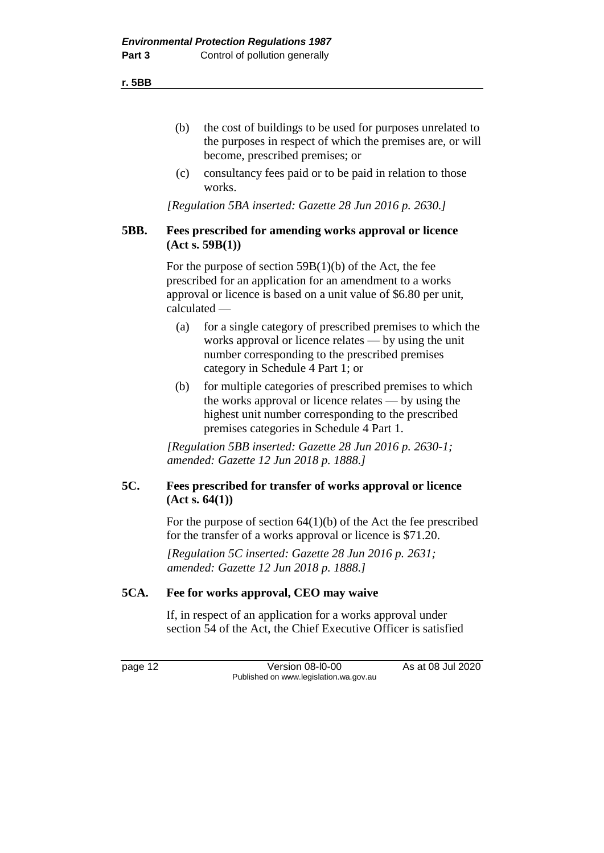**r. 5BB**

- (b) the cost of buildings to be used for purposes unrelated to the purposes in respect of which the premises are, or will become, prescribed premises; or
- (c) consultancy fees paid or to be paid in relation to those works.

*[Regulation 5BA inserted: Gazette 28 Jun 2016 p. 2630.]*

# **5BB. Fees prescribed for amending works approval or licence (Act s. 59B(1))**

For the purpose of section  $59B(1)(b)$  of the Act, the fee prescribed for an application for an amendment to a works approval or licence is based on a unit value of \$6.80 per unit, calculated —

- (a) for a single category of prescribed premises to which the works approval or licence relates — by using the unit number corresponding to the prescribed premises category in Schedule 4 Part 1; or
- (b) for multiple categories of prescribed premises to which the works approval or licence relates — by using the highest unit number corresponding to the prescribed premises categories in Schedule 4 Part 1.

*[Regulation 5BB inserted: Gazette 28 Jun 2016 p. 2630-1; amended: Gazette 12 Jun 2018 p. 1888.]*

# **5C. Fees prescribed for transfer of works approval or licence (Act s. 64(1))**

For the purpose of section  $64(1)(b)$  of the Act the fee prescribed for the transfer of a works approval or licence is \$71.20.

*[Regulation 5C inserted: Gazette 28 Jun 2016 p. 2631; amended: Gazette 12 Jun 2018 p. 1888.]*

# **5CA. Fee for works approval, CEO may waive**

If, in respect of an application for a works approval under section 54 of the Act, the Chief Executive Officer is satisfied

page 12 Version 08-l0-00 As at 08 Jul 2020 Published on www.legislation.wa.gov.au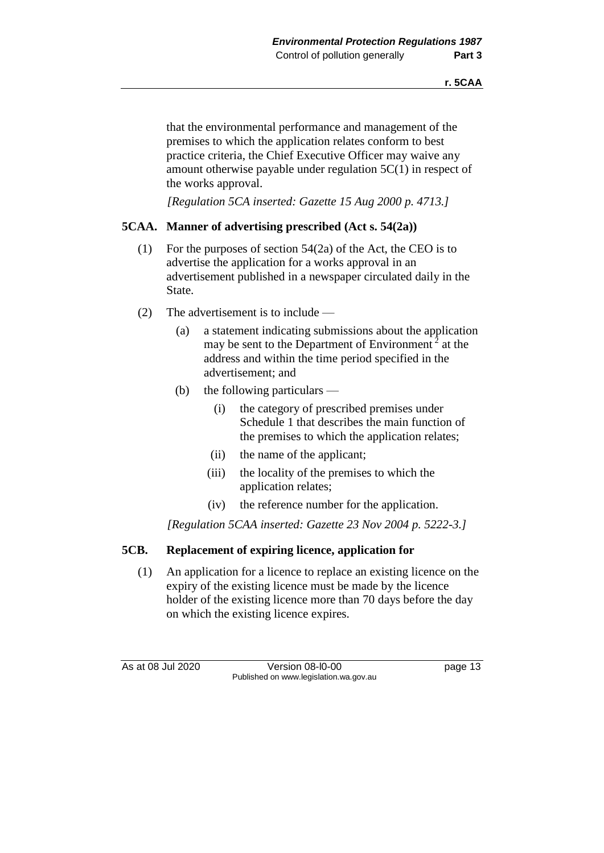that the environmental performance and management of the premises to which the application relates conform to best practice criteria, the Chief Executive Officer may waive any amount otherwise payable under regulation 5C(1) in respect of the works approval.

*[Regulation 5CA inserted: Gazette 15 Aug 2000 p. 4713.]*

# **5CAA. Manner of advertising prescribed (Act s. 54(2a))**

- (1) For the purposes of section 54(2a) of the Act, the CEO is to advertise the application for a works approval in an advertisement published in a newspaper circulated daily in the State.
- (2) The advertisement is to include
	- (a) a statement indicating submissions about the application may be sent to the Department of Environment<sup>2</sup> at the address and within the time period specified in the advertisement; and
	- (b) the following particulars
		- (i) the category of prescribed premises under Schedule 1 that describes the main function of the premises to which the application relates;
		- (ii) the name of the applicant;
		- (iii) the locality of the premises to which the application relates;
		- (iv) the reference number for the application.

*[Regulation 5CAA inserted: Gazette 23 Nov 2004 p. 5222-3.]*

# **5CB. Replacement of expiring licence, application for**

(1) An application for a licence to replace an existing licence on the expiry of the existing licence must be made by the licence holder of the existing licence more than 70 days before the day on which the existing licence expires.

As at 08 Jul 2020 Version 08-l0-00 page 13 Published on www.legislation.wa.gov.au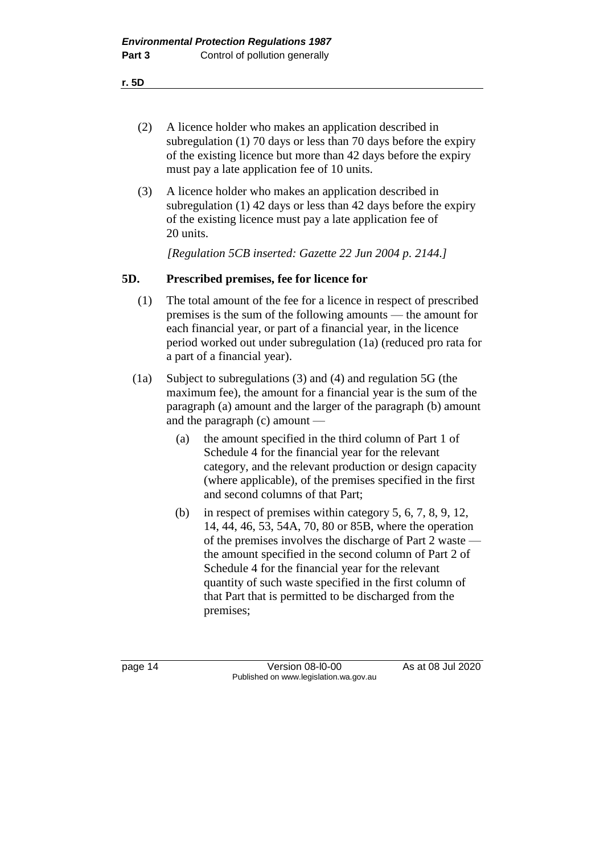**r. 5D**

- (2) A licence holder who makes an application described in subregulation (1) 70 days or less than 70 days before the expiry of the existing licence but more than 42 days before the expiry must pay a late application fee of 10 units.
- (3) A licence holder who makes an application described in subregulation (1) 42 days or less than 42 days before the expiry of the existing licence must pay a late application fee of 20 units.

*[Regulation 5CB inserted: Gazette 22 Jun 2004 p. 2144.]*

# **5D. Prescribed premises, fee for licence for**

- (1) The total amount of the fee for a licence in respect of prescribed premises is the sum of the following amounts — the amount for each financial year, or part of a financial year, in the licence period worked out under subregulation (1a) (reduced pro rata for a part of a financial year).
- (1a) Subject to subregulations (3) and (4) and regulation 5G (the maximum fee), the amount for a financial year is the sum of the paragraph (a) amount and the larger of the paragraph (b) amount and the paragraph (c) amount —
	- (a) the amount specified in the third column of Part 1 of Schedule 4 for the financial year for the relevant category, and the relevant production or design capacity (where applicable), of the premises specified in the first and second columns of that Part;
	- (b) in respect of premises within category 5, 6, 7, 8, 9, 12, 14, 44, 46, 53, 54A, 70, 80 or 85B, where the operation of the premises involves the discharge of Part 2 waste the amount specified in the second column of Part 2 of Schedule 4 for the financial year for the relevant quantity of such waste specified in the first column of that Part that is permitted to be discharged from the premises;

page 14 Version 08-l0-00 As at 08 Jul 2020 Published on www.legislation.wa.gov.au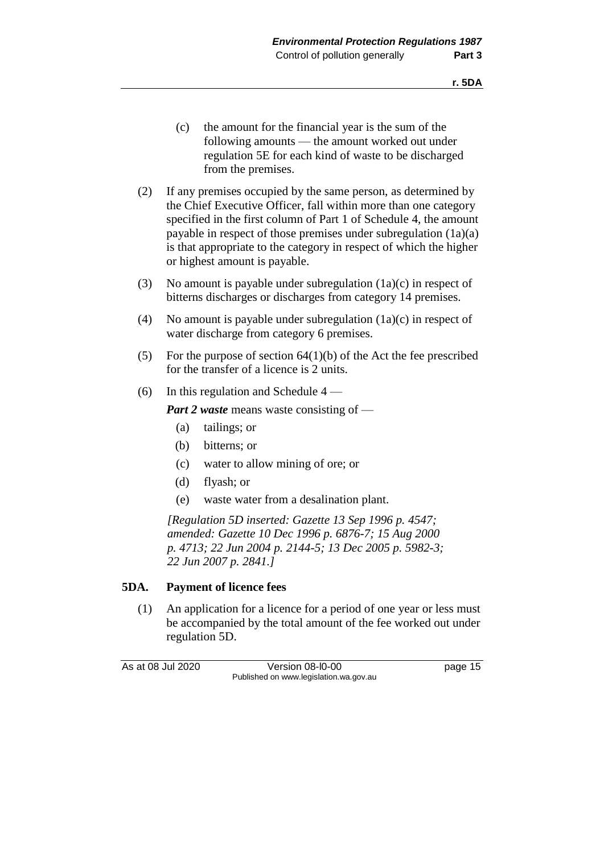- (c) the amount for the financial year is the sum of the following amounts — the amount worked out under regulation 5E for each kind of waste to be discharged from the premises.
- (2) If any premises occupied by the same person, as determined by the Chief Executive Officer, fall within more than one category specified in the first column of Part 1 of Schedule 4, the amount payable in respect of those premises under subregulation (1a)(a) is that appropriate to the category in respect of which the higher or highest amount is payable.
- (3) No amount is payable under subregulation (1a)(c) in respect of bitterns discharges or discharges from category 14 premises.
- (4) No amount is payable under subregulation (1a)(c) in respect of water discharge from category 6 premises.
- (5) For the purpose of section  $64(1)(b)$  of the Act the fee prescribed for the transfer of a licence is 2 units.
- (6) In this regulation and Schedule  $4 -$

*Part 2 waste* means waste consisting of —

- (a) tailings; or
- (b) bitterns; or
- (c) water to allow mining of ore; or
- (d) flyash; or
- (e) waste water from a desalination plant.

*[Regulation 5D inserted: Gazette 13 Sep 1996 p. 4547; amended: Gazette 10 Dec 1996 p. 6876-7; 15 Aug 2000 p. 4713; 22 Jun 2004 p. 2144-5; 13 Dec 2005 p. 5982-3; 22 Jun 2007 p. 2841.]*

#### **5DA. Payment of licence fees**

(1) An application for a licence for a period of one year or less must be accompanied by the total amount of the fee worked out under regulation 5D.

As at 08 Jul 2020 Version 08-l0-00 page 15 Published on www.legislation.wa.gov.au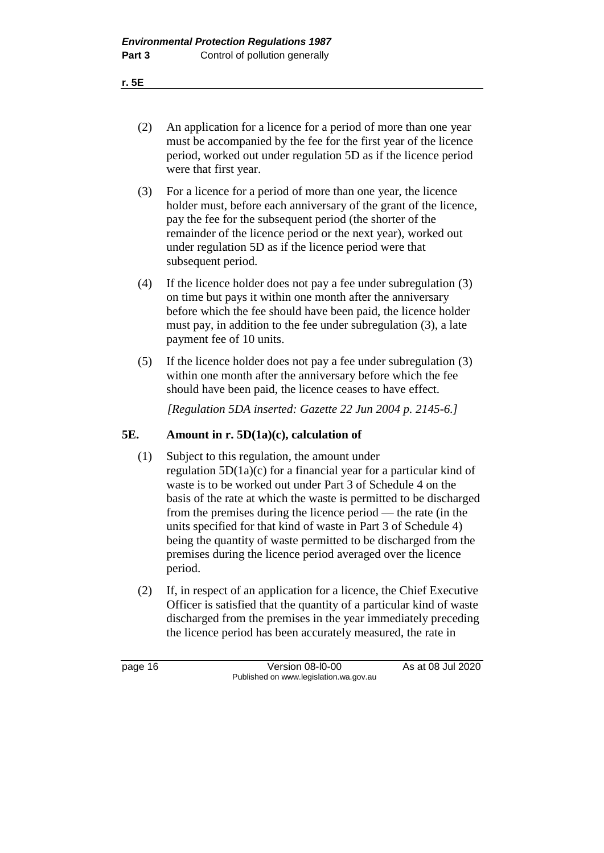(2) An application for a licence for a period of more than one year must be accompanied by the fee for the first year of the licence period, worked out under regulation 5D as if the licence period were that first year.

- (3) For a licence for a period of more than one year, the licence holder must, before each anniversary of the grant of the licence, pay the fee for the subsequent period (the shorter of the remainder of the licence period or the next year), worked out under regulation 5D as if the licence period were that subsequent period.
- (4) If the licence holder does not pay a fee under subregulation (3) on time but pays it within one month after the anniversary before which the fee should have been paid, the licence holder must pay, in addition to the fee under subregulation (3), a late payment fee of 10 units.
- (5) If the licence holder does not pay a fee under subregulation (3) within one month after the anniversary before which the fee should have been paid, the licence ceases to have effect.

*[Regulation 5DA inserted: Gazette 22 Jun 2004 p. 2145-6.]*

## **5E. Amount in r. 5D(1a)(c), calculation of**

- (1) Subject to this regulation, the amount under regulation 5D(1a)(c) for a financial year for a particular kind of waste is to be worked out under Part 3 of Schedule 4 on the basis of the rate at which the waste is permitted to be discharged from the premises during the licence period — the rate (in the units specified for that kind of waste in Part 3 of Schedule 4) being the quantity of waste permitted to be discharged from the premises during the licence period averaged over the licence period.
- (2) If, in respect of an application for a licence, the Chief Executive Officer is satisfied that the quantity of a particular kind of waste discharged from the premises in the year immediately preceding the licence period has been accurately measured, the rate in

page 16 Version 08-l0-00 As at 08 Jul 2020 Published on www.legislation.wa.gov.au

**r. 5E**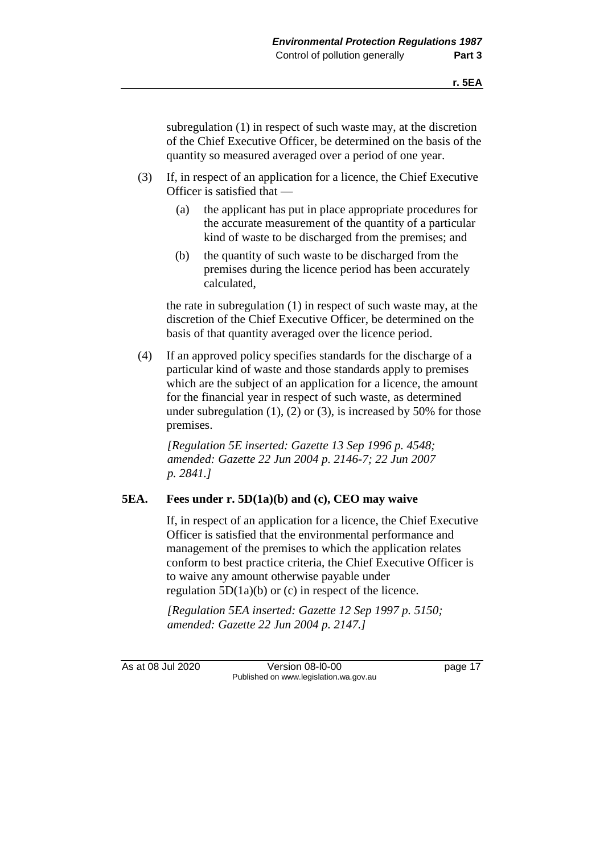subregulation (1) in respect of such waste may, at the discretion of the Chief Executive Officer, be determined on the basis of the quantity so measured averaged over a period of one year.

- (3) If, in respect of an application for a licence, the Chief Executive Officer is satisfied that —
	- (a) the applicant has put in place appropriate procedures for the accurate measurement of the quantity of a particular kind of waste to be discharged from the premises; and
	- (b) the quantity of such waste to be discharged from the premises during the licence period has been accurately calculated,

the rate in subregulation (1) in respect of such waste may, at the discretion of the Chief Executive Officer, be determined on the basis of that quantity averaged over the licence period.

(4) If an approved policy specifies standards for the discharge of a particular kind of waste and those standards apply to premises which are the subject of an application for a licence, the amount for the financial year in respect of such waste, as determined under subregulation  $(1)$ ,  $(2)$  or  $(3)$ , is increased by 50% for those premises.

*[Regulation 5E inserted: Gazette 13 Sep 1996 p. 4548; amended: Gazette 22 Jun 2004 p. 2146-7; 22 Jun 2007 p. 2841.]*

## **5EA. Fees under r. 5D(1a)(b) and (c), CEO may waive**

If, in respect of an application for a licence, the Chief Executive Officer is satisfied that the environmental performance and management of the premises to which the application relates conform to best practice criteria, the Chief Executive Officer is to waive any amount otherwise payable under regulation  $5D(1a)(b)$  or (c) in respect of the licence.

*[Regulation 5EA inserted: Gazette 12 Sep 1997 p. 5150; amended: Gazette 22 Jun 2004 p. 2147.]*

As at 08 Jul 2020 Version 08-l0-00 page 17 Published on www.legislation.wa.gov.au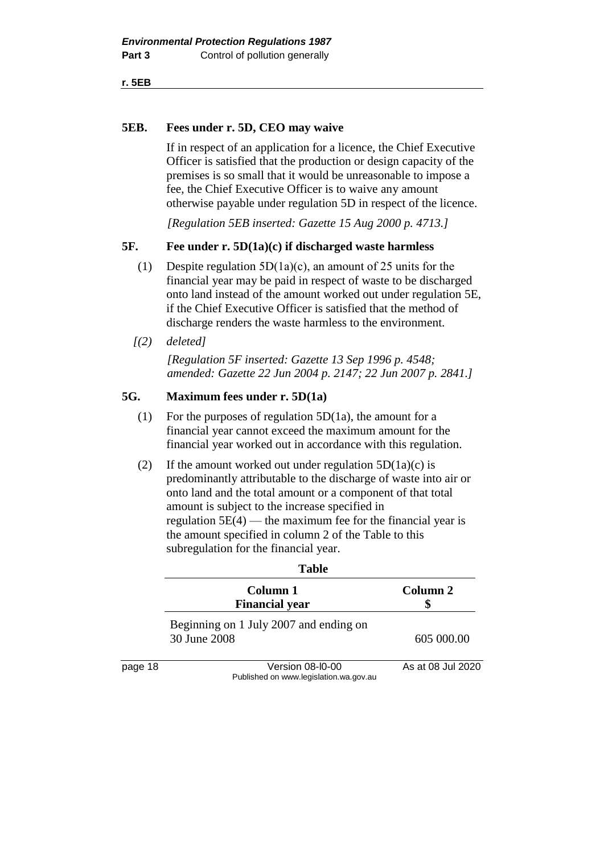**r. 5EB**

#### **5EB. Fees under r. 5D, CEO may waive**

If in respect of an application for a licence, the Chief Executive Officer is satisfied that the production or design capacity of the premises is so small that it would be unreasonable to impose a fee, the Chief Executive Officer is to waive any amount otherwise payable under regulation 5D in respect of the licence.

*[Regulation 5EB inserted: Gazette 15 Aug 2000 p. 4713.]*

#### **5F. Fee under r. 5D(1a)(c) if discharged waste harmless**

- (1) Despite regulation 5D(1a)(c), an amount of 25 units for the financial year may be paid in respect of waste to be discharged onto land instead of the amount worked out under regulation 5E, if the Chief Executive Officer is satisfied that the method of discharge renders the waste harmless to the environment.
- *[(2) deleted]*

*[Regulation 5F inserted: Gazette 13 Sep 1996 p. 4548; amended: Gazette 22 Jun 2004 p. 2147; 22 Jun 2007 p. 2841.]*

#### **5G. Maximum fees under r. 5D(1a)**

- (1) For the purposes of regulation  $5D(1a)$ , the amount for a financial year cannot exceed the maximum amount for the financial year worked out in accordance with this regulation.
- (2) If the amount worked out under regulation  $5D(1a)(c)$  is predominantly attributable to the discharge of waste into air or onto land and the total amount or a component of that total amount is subject to the increase specified in regulation  $5E(4)$  — the maximum fee for the financial year is the amount specified in column 2 of the Table to this subregulation for the financial year.

|         | Tavit                                                      |                   |
|---------|------------------------------------------------------------|-------------------|
|         | Column 1<br><b>Financial year</b>                          | Column 2          |
|         | Beginning on 1 July 2007 and ending on<br>30 June 2008     | 605 000.00        |
| page 18 | Version 08-I0-00<br>Published on www.legislation.wa.gov.au | As at 08 Jul 2020 |

#### **Table**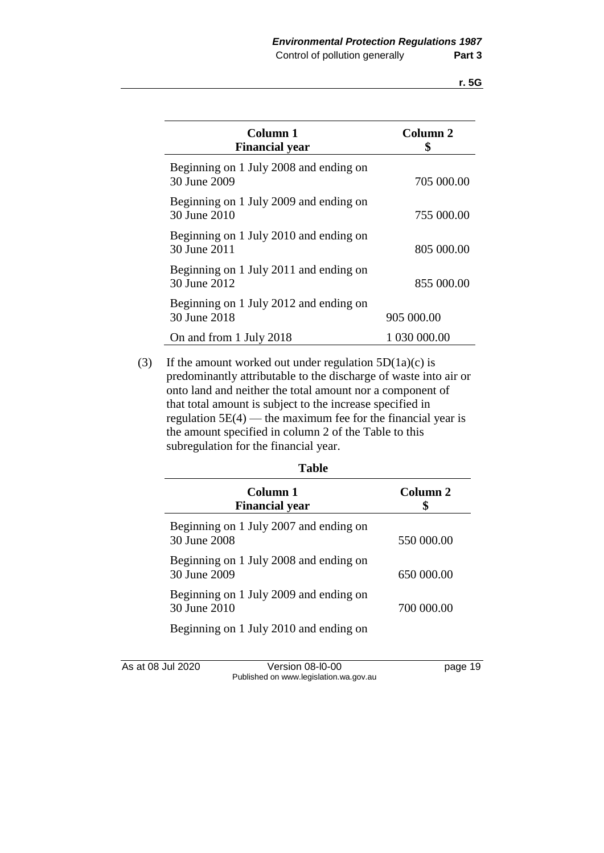| Column 1<br><b>Financial year</b>                      | Column <sub>2</sub> |
|--------------------------------------------------------|---------------------|
| Beginning on 1 July 2008 and ending on<br>30 June 2009 | 705 000.00          |
| Beginning on 1 July 2009 and ending on<br>30 June 2010 | 755 000.00          |
| Beginning on 1 July 2010 and ending on<br>30 June 2011 | 805 000.00          |
| Beginning on 1 July 2011 and ending on<br>30 June 2012 | 855 000.00          |
| Beginning on 1 July 2012 and ending on<br>30 June 2018 | 905 000.00          |
| On and from 1 July 2018                                | 1 030 000.00        |

(3) If the amount worked out under regulation  $5D(1a)(c)$  is predominantly attributable to the discharge of waste into air or onto land and neither the total amount nor a component of that total amount is subject to the increase specified in regulation  $5E(4)$  — the maximum fee for the financial year is the amount specified in column 2 of the Table to this subregulation for the financial year.

| Table                                                  |                     |
|--------------------------------------------------------|---------------------|
| Column 1<br><b>Financial year</b>                      | Column <sub>2</sub> |
| Beginning on 1 July 2007 and ending on<br>30 June 2008 | 550 000.00          |
| Beginning on 1 July 2008 and ending on<br>30 June 2009 | 650 000.00          |
| Beginning on 1 July 2009 and ending on<br>30 June 2010 | 700 000.00          |
| Beginning on 1 July 2010 and ending on                 |                     |

| As at 08 Jul 2020 | Version 08-I0-00                       | page 19 |
|-------------------|----------------------------------------|---------|
|                   | Published on www.legislation.wa.gov.au |         |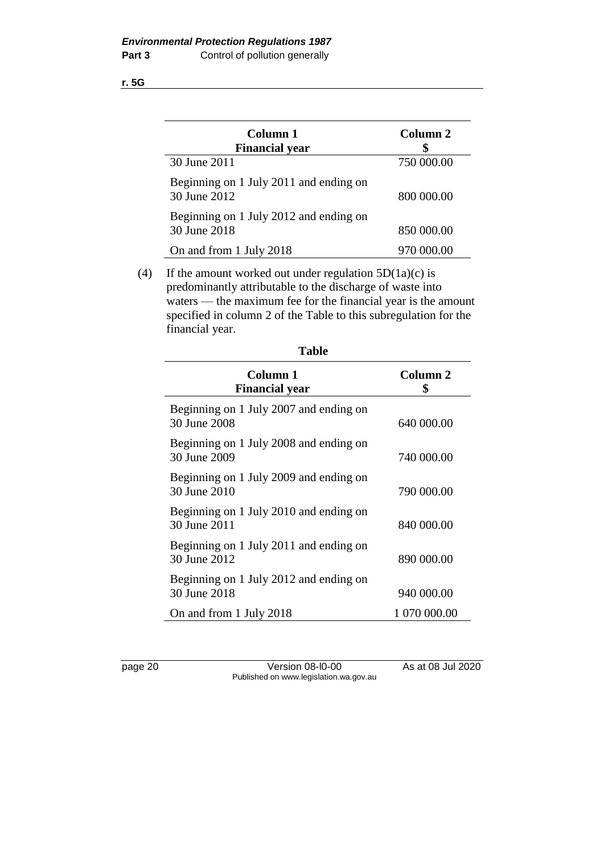**r. 5G**

| Column 1<br><b>Financial year</b>                      | Column <sub>2</sub> |
|--------------------------------------------------------|---------------------|
| 30 June 2011                                           | 750 000.00          |
| Beginning on 1 July 2011 and ending on<br>30 June 2012 | 800 000.00          |
| Beginning on 1 July 2012 and ending on<br>30 June 2018 | 850 000.00          |
| On and from 1 July 2018                                | 970 000.00          |

(4) If the amount worked out under regulation  $5D(1a)(c)$  is predominantly attributable to the discharge of waste into waters — the maximum fee for the financial year is the amount specified in column 2 of the Table to this subregulation for the financial year.

| Column 1<br><b>Financial year</b>                      | Column <sub>2</sub> |
|--------------------------------------------------------|---------------------|
| Beginning on 1 July 2007 and ending on<br>30 June 2008 | 640 000.00          |
| Beginning on 1 July 2008 and ending on<br>30 June 2009 | 740 000.00          |
| Beginning on 1 July 2009 and ending on<br>30 June 2010 | 790 000.00          |
| Beginning on 1 July 2010 and ending on<br>30 June 2011 | 840 000.00          |
| Beginning on 1 July 2011 and ending on<br>30 June 2012 | 890 000.00          |
| Beginning on 1 July 2012 and ending on<br>30 June 2018 | 940 000.00          |
| On and from 1 July 2018                                | 1 070 000.00        |

page 20 Version 08-l0-00 As at 08 Jul 2020 Published on www.legislation.wa.gov.au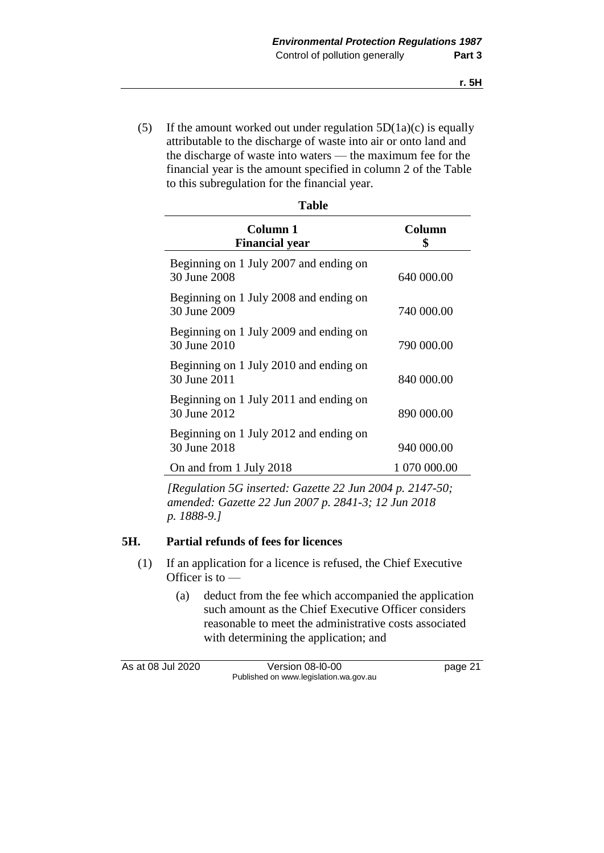(5) If the amount worked out under regulation  $5D(1a)(c)$  is equally attributable to the discharge of waste into air or onto land and the discharge of waste into waters — the maximum fee for the financial year is the amount specified in column 2 of the Table to this subregulation for the financial year.

| <b>Table</b>                                           |              |  |
|--------------------------------------------------------|--------------|--|
| Column 1<br><b>Financial year</b>                      | Column<br>\$ |  |
| Beginning on 1 July 2007 and ending on<br>30 June 2008 | 640 000.00   |  |
| Beginning on 1 July 2008 and ending on<br>30 June 2009 | 740 000.00   |  |
| Beginning on 1 July 2009 and ending on<br>30 June 2010 | 790 000.00   |  |
| Beginning on 1 July 2010 and ending on<br>30 June 2011 | 840 000.00   |  |
| Beginning on 1 July 2011 and ending on<br>30 June 2012 | 890 000.00   |  |
| Beginning on 1 July 2012 and ending on<br>30 June 2018 | 940 000.00   |  |
| On and from 1 July 2018                                | 1 070 000.00 |  |

*[Regulation 5G inserted: Gazette 22 Jun 2004 p. 2147-50; amended: Gazette 22 Jun 2007 p. 2841-3; 12 Jun 2018 p. 1888-9.]*

## **5H. Partial refunds of fees for licences**

- (1) If an application for a licence is refused, the Chief Executive Officer is to —
	- (a) deduct from the fee which accompanied the application such amount as the Chief Executive Officer considers reasonable to meet the administrative costs associated with determining the application; and

As at 08 Jul 2020 Version 08-l0-00 page 21 Published on www.legislation.wa.gov.au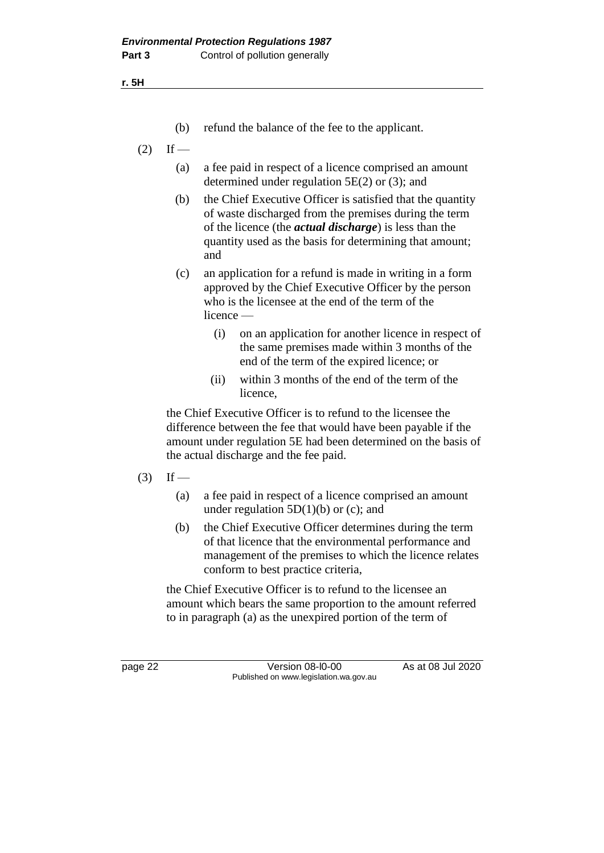**r. 5H**

- (b) refund the balance of the fee to the applicant.
- $(2)$  If
	- (a) a fee paid in respect of a licence comprised an amount determined under regulation 5E(2) or (3); and
	- (b) the Chief Executive Officer is satisfied that the quantity of waste discharged from the premises during the term of the licence (the *actual discharge*) is less than the quantity used as the basis for determining that amount; and
	- (c) an application for a refund is made in writing in a form approved by the Chief Executive Officer by the person who is the licensee at the end of the term of the licence —
		- (i) on an application for another licence in respect of the same premises made within 3 months of the end of the term of the expired licence; or
		- (ii) within 3 months of the end of the term of the licence,

the Chief Executive Officer is to refund to the licensee the difference between the fee that would have been payable if the amount under regulation 5E had been determined on the basis of the actual discharge and the fee paid.

- $(3)$  If
	- (a) a fee paid in respect of a licence comprised an amount under regulation  $5D(1)(b)$  or (c); and
	- (b) the Chief Executive Officer determines during the term of that licence that the environmental performance and management of the premises to which the licence relates conform to best practice criteria,

the Chief Executive Officer is to refund to the licensee an amount which bears the same proportion to the amount referred to in paragraph (a) as the unexpired portion of the term of

page 22 Version 08-l0-00 As at 08 Jul 2020 Published on www.legislation.wa.gov.au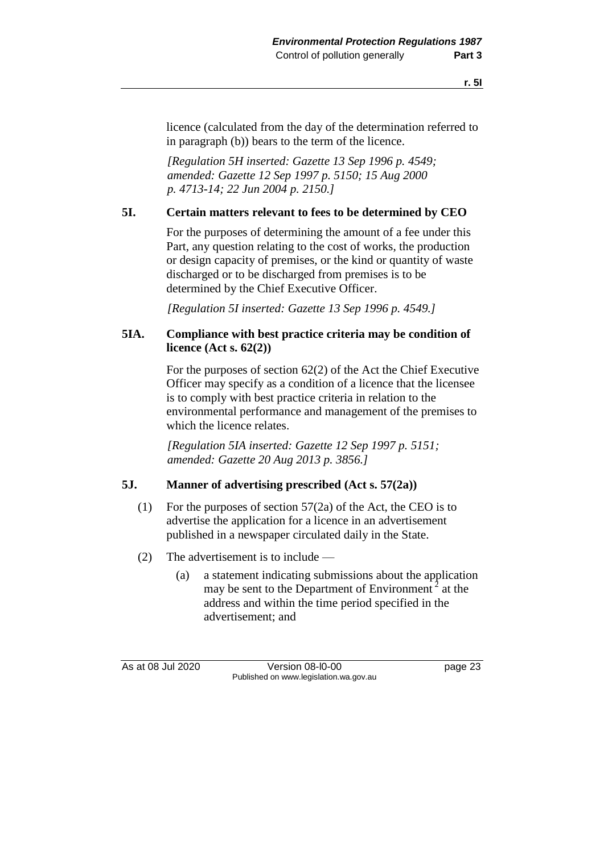licence (calculated from the day of the determination referred to in paragraph (b)) bears to the term of the licence.

*[Regulation 5H inserted: Gazette 13 Sep 1996 p. 4549; amended: Gazette 12 Sep 1997 p. 5150; 15 Aug 2000 p. 4713-14; 22 Jun 2004 p. 2150.]*

# **5I. Certain matters relevant to fees to be determined by CEO**

For the purposes of determining the amount of a fee under this Part, any question relating to the cost of works, the production or design capacity of premises, or the kind or quantity of waste discharged or to be discharged from premises is to be determined by the Chief Executive Officer.

*[Regulation 5I inserted: Gazette 13 Sep 1996 p. 4549.]*

# **5IA. Compliance with best practice criteria may be condition of licence (Act s. 62(2))**

For the purposes of section 62(2) of the Act the Chief Executive Officer may specify as a condition of a licence that the licensee is to comply with best practice criteria in relation to the environmental performance and management of the premises to which the licence relates.

*[Regulation 5IA inserted: Gazette 12 Sep 1997 p. 5151; amended: Gazette 20 Aug 2013 p. 3856.]*

# **5J. Manner of advertising prescribed (Act s. 57(2a))**

- (1) For the purposes of section 57(2a) of the Act, the CEO is to advertise the application for a licence in an advertisement published in a newspaper circulated daily in the State.
- (2) The advertisement is to include
	- (a) a statement indicating submissions about the application may be sent to the Department of Environment<sup>2</sup> at the address and within the time period specified in the advertisement; and

As at 08 Jul 2020 Version 08-l0-00 page 23 Published on www.legislation.wa.gov.au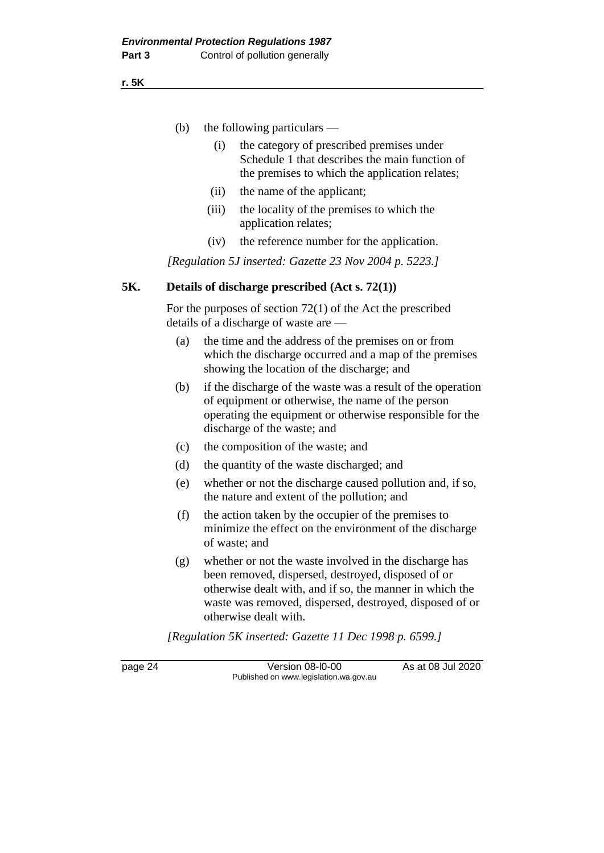- (b) the following particulars
	- (i) the category of prescribed premises under Schedule 1 that describes the main function of the premises to which the application relates;
	- (ii) the name of the applicant;
	- (iii) the locality of the premises to which the application relates;
	- (iv) the reference number for the application.

*[Regulation 5J inserted: Gazette 23 Nov 2004 p. 5223.]*

## **5K. Details of discharge prescribed (Act s. 72(1))**

For the purposes of section 72(1) of the Act the prescribed details of a discharge of waste are —

- (a) the time and the address of the premises on or from which the discharge occurred and a map of the premises showing the location of the discharge; and
- (b) if the discharge of the waste was a result of the operation of equipment or otherwise, the name of the person operating the equipment or otherwise responsible for the discharge of the waste; and
- (c) the composition of the waste; and
- (d) the quantity of the waste discharged; and
- (e) whether or not the discharge caused pollution and, if so, the nature and extent of the pollution; and
- (f) the action taken by the occupier of the premises to minimize the effect on the environment of the discharge of waste; and
- (g) whether or not the waste involved in the discharge has been removed, dispersed, destroyed, disposed of or otherwise dealt with, and if so, the manner in which the waste was removed, dispersed, destroyed, disposed of or otherwise dealt with.

*[Regulation 5K inserted: Gazette 11 Dec 1998 p. 6599.]*

page 24 Version 08-l0-00 As at 08 Jul 2020 Published on www.legislation.wa.gov.au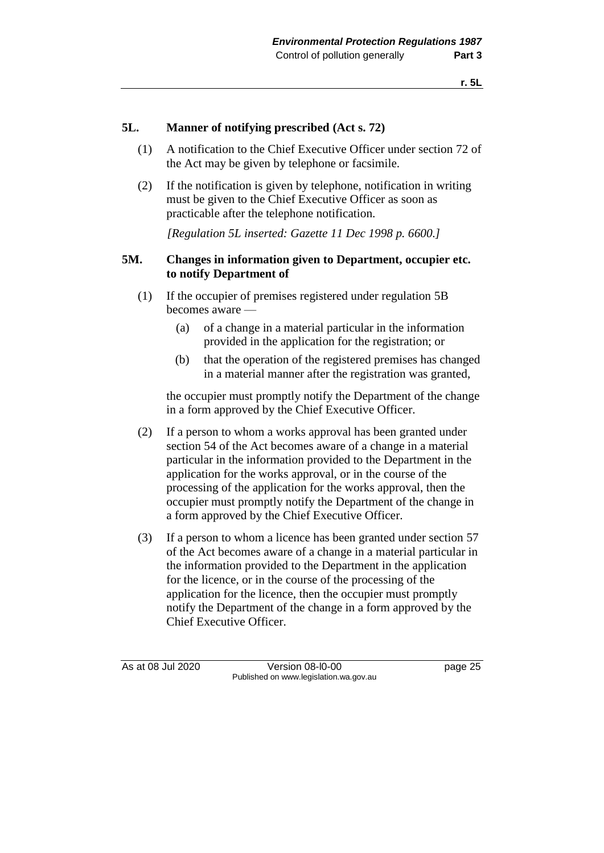# **5L. Manner of notifying prescribed (Act s. 72)**

- (1) A notification to the Chief Executive Officer under section 72 of the Act may be given by telephone or facsimile.
- (2) If the notification is given by telephone, notification in writing must be given to the Chief Executive Officer as soon as practicable after the telephone notification.

*[Regulation 5L inserted: Gazette 11 Dec 1998 p. 6600.]*

## **5M. Changes in information given to Department, occupier etc. to notify Department of**

- (1) If the occupier of premises registered under regulation 5B becomes aware —
	- (a) of a change in a material particular in the information provided in the application for the registration; or
	- (b) that the operation of the registered premises has changed in a material manner after the registration was granted,

the occupier must promptly notify the Department of the change in a form approved by the Chief Executive Officer.

- (2) If a person to whom a works approval has been granted under section 54 of the Act becomes aware of a change in a material particular in the information provided to the Department in the application for the works approval, or in the course of the processing of the application for the works approval, then the occupier must promptly notify the Department of the change in a form approved by the Chief Executive Officer.
- (3) If a person to whom a licence has been granted under section 57 of the Act becomes aware of a change in a material particular in the information provided to the Department in the application for the licence, or in the course of the processing of the application for the licence, then the occupier must promptly notify the Department of the change in a form approved by the Chief Executive Officer.

As at 08 Jul 2020 Version 08-l0-00 page 25 Published on www.legislation.wa.gov.au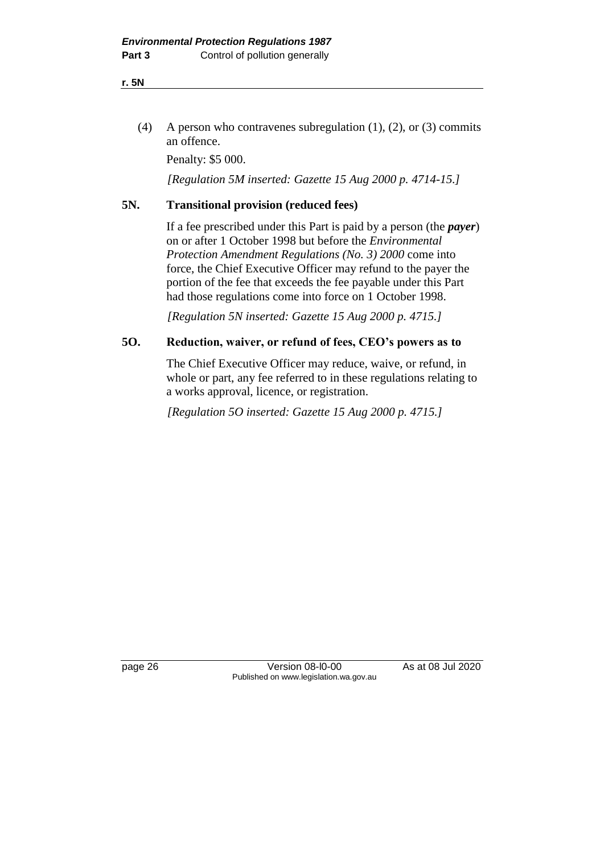(4) A person who contravenes subregulation (1), (2), or (3) commits an offence.

Penalty: \$5 000.

*[Regulation 5M inserted: Gazette 15 Aug 2000 p. 4714-15.]*

# **5N. Transitional provision (reduced fees)**

If a fee prescribed under this Part is paid by a person (the *payer*) on or after 1 October 1998 but before the *Environmental Protection Amendment Regulations (No. 3) 2000* come into force, the Chief Executive Officer may refund to the payer the portion of the fee that exceeds the fee payable under this Part had those regulations come into force on 1 October 1998.

*[Regulation 5N inserted: Gazette 15 Aug 2000 p. 4715.]*

# **5O. Reduction, waiver, or refund of fees, CEO's powers as to**

The Chief Executive Officer may reduce, waive, or refund, in whole or part, any fee referred to in these regulations relating to a works approval, licence, or registration.

*[Regulation 5O inserted: Gazette 15 Aug 2000 p. 4715.]*

page 26 Version 08-l0-00 As at 08 Jul 2020 Published on www.legislation.wa.gov.au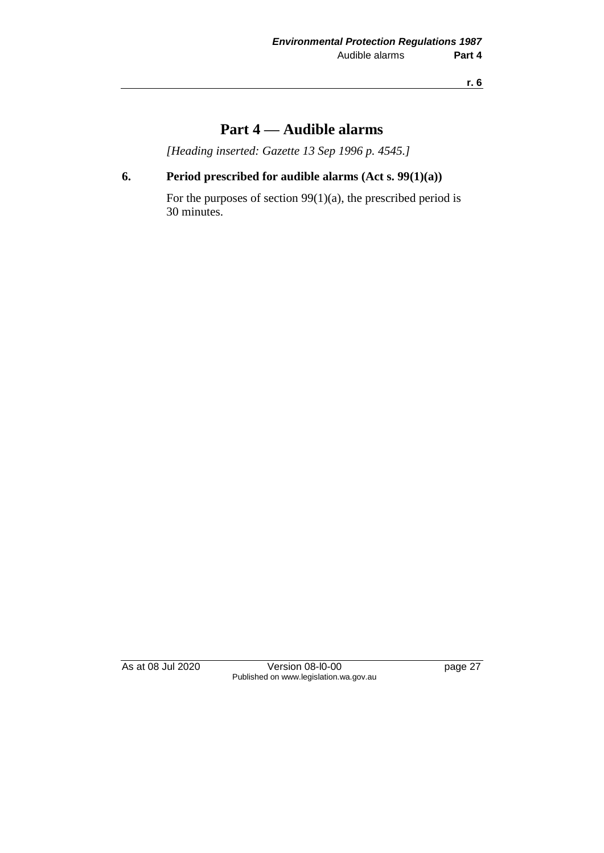**r. 6**

# **Part 4 — Audible alarms**

*[Heading inserted: Gazette 13 Sep 1996 p. 4545.]*

# **6. Period prescribed for audible alarms (Act s. 99(1)(a))**

For the purposes of section 99(1)(a), the prescribed period is 30 minutes.

As at 08 Jul 2020 Version 08-l0-00 page 27 Published on www.legislation.wa.gov.au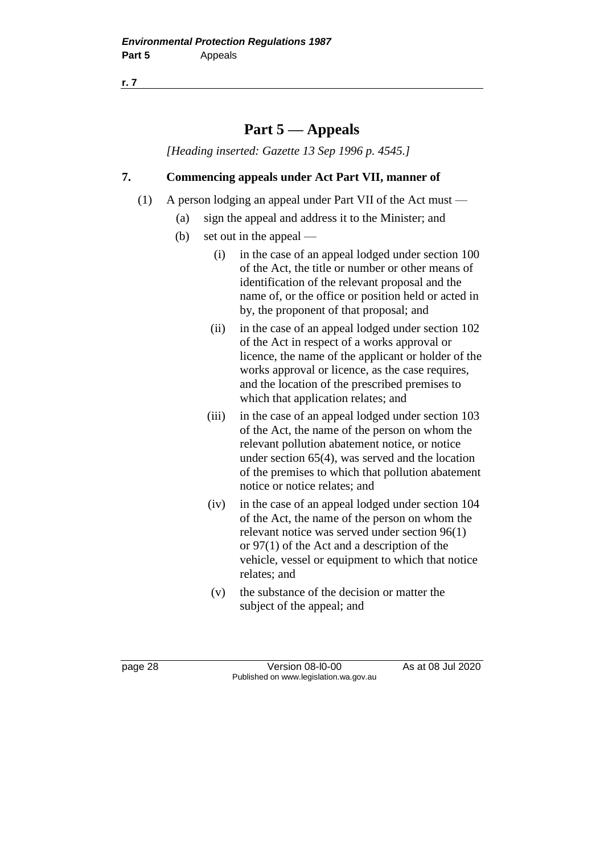**r. 7**

# **Part 5 — Appeals**

*[Heading inserted: Gazette 13 Sep 1996 p. 4545.]*

# **7. Commencing appeals under Act Part VII, manner of**

- (1) A person lodging an appeal under Part VII of the Act must
	- (a) sign the appeal and address it to the Minister; and
	- (b) set out in the appeal
		- (i) in the case of an appeal lodged under section 100 of the Act, the title or number or other means of identification of the relevant proposal and the name of, or the office or position held or acted in by, the proponent of that proposal; and
		- (ii) in the case of an appeal lodged under section 102 of the Act in respect of a works approval or licence, the name of the applicant or holder of the works approval or licence, as the case requires, and the location of the prescribed premises to which that application relates; and
		- (iii) in the case of an appeal lodged under section 103 of the Act, the name of the person on whom the relevant pollution abatement notice, or notice under section 65(4), was served and the location of the premises to which that pollution abatement notice or notice relates; and
		- (iv) in the case of an appeal lodged under section 104 of the Act, the name of the person on whom the relevant notice was served under section 96(1) or 97(1) of the Act and a description of the vehicle, vessel or equipment to which that notice relates; and
		- (v) the substance of the decision or matter the subject of the appeal; and

page 28 Version 08-l0-00 As at 08 Jul 2020 Published on www.legislation.wa.gov.au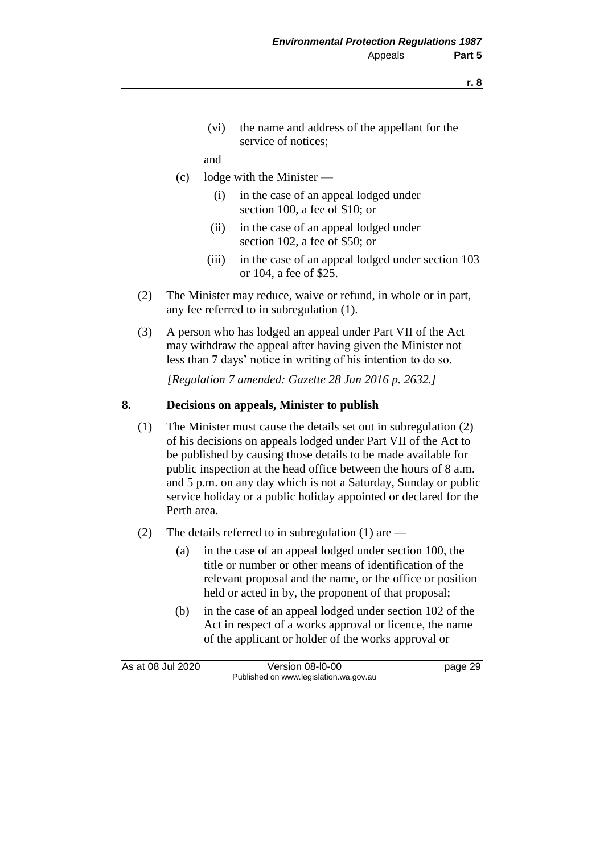(vi) the name and address of the appellant for the service of notices;

#### and

- (c) lodge with the Minister
	- (i) in the case of an appeal lodged under section 100, a fee of \$10; or
	- (ii) in the case of an appeal lodged under section 102, a fee of \$50; or
	- (iii) in the case of an appeal lodged under section 103 or 104, a fee of \$25.
- (2) The Minister may reduce, waive or refund, in whole or in part, any fee referred to in subregulation (1).
- (3) A person who has lodged an appeal under Part VII of the Act may withdraw the appeal after having given the Minister not less than 7 days' notice in writing of his intention to do so.

*[Regulation 7 amended: Gazette 28 Jun 2016 p. 2632.]*

#### **8. Decisions on appeals, Minister to publish**

- (1) The Minister must cause the details set out in subregulation (2) of his decisions on appeals lodged under Part VII of the Act to be published by causing those details to be made available for public inspection at the head office between the hours of 8 a.m. and 5 p.m. on any day which is not a Saturday, Sunday or public service holiday or a public holiday appointed or declared for the Perth area.
- (2) The details referred to in subregulation (1) are
	- (a) in the case of an appeal lodged under section 100, the title or number or other means of identification of the relevant proposal and the name, or the office or position held or acted in by, the proponent of that proposal;
	- (b) in the case of an appeal lodged under section 102 of the Act in respect of a works approval or licence, the name of the applicant or holder of the works approval or

As at 08 Jul 2020 Version 08-l0-00 page 29 Published on www.legislation.wa.gov.au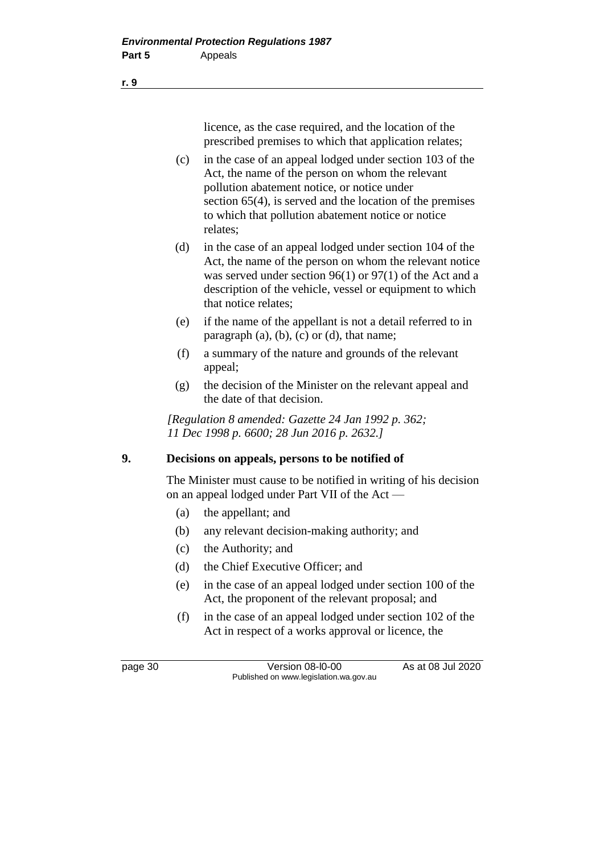licence, as the case required, and the location of the prescribed premises to which that application relates;

- (c) in the case of an appeal lodged under section 103 of the Act, the name of the person on whom the relevant pollution abatement notice, or notice under section 65(4), is served and the location of the premises to which that pollution abatement notice or notice relates;
- (d) in the case of an appeal lodged under section 104 of the Act, the name of the person on whom the relevant notice was served under section 96(1) or 97(1) of the Act and a description of the vehicle, vessel or equipment to which that notice relates;
- (e) if the name of the appellant is not a detail referred to in paragraph (a), (b), (c) or (d), that name;
- (f) a summary of the nature and grounds of the relevant appeal;
- (g) the decision of the Minister on the relevant appeal and the date of that decision.

*[Regulation 8 amended: Gazette 24 Jan 1992 p. 362; 11 Dec 1998 p. 6600; 28 Jun 2016 p. 2632.]*

# **9. Decisions on appeals, persons to be notified of**

The Minister must cause to be notified in writing of his decision on an appeal lodged under Part VII of the Act —

- (a) the appellant; and
- (b) any relevant decision-making authority; and
- (c) the Authority; and
- (d) the Chief Executive Officer; and
- (e) in the case of an appeal lodged under section 100 of the Act, the proponent of the relevant proposal; and
- (f) in the case of an appeal lodged under section 102 of the Act in respect of a works approval or licence, the

page 30 Version 08-l0-00 As at 08 Jul 2020 Published on www.legislation.wa.gov.au

**r. 9**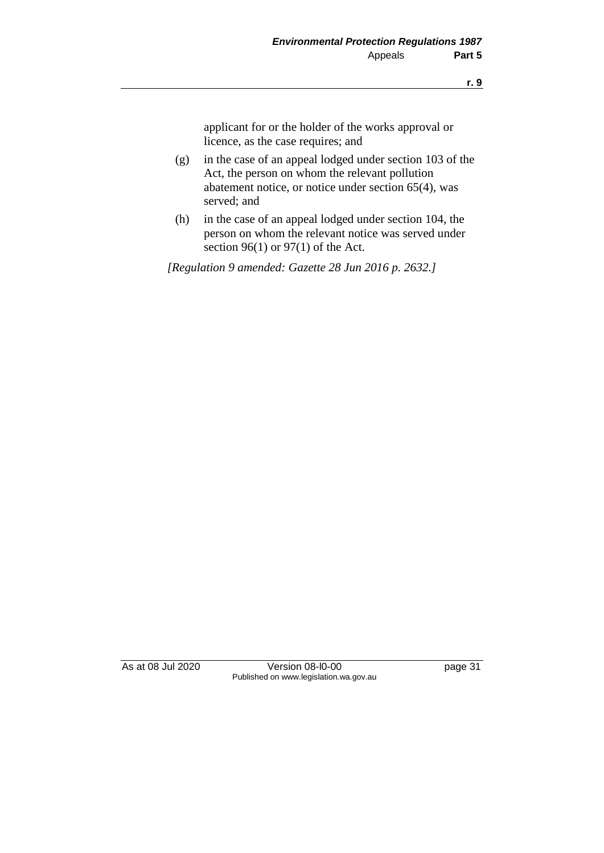applicant for or the holder of the works approval or licence, as the case requires; and

- (g) in the case of an appeal lodged under section 103 of the Act, the person on whom the relevant pollution abatement notice, or notice under section 65(4), was served; and
- (h) in the case of an appeal lodged under section 104, the person on whom the relevant notice was served under section 96(1) or 97(1) of the Act.

*[Regulation 9 amended: Gazette 28 Jun 2016 p. 2632.]*

As at 08 Jul 2020 Version 08-l0-00 page 31 Published on www.legislation.wa.gov.au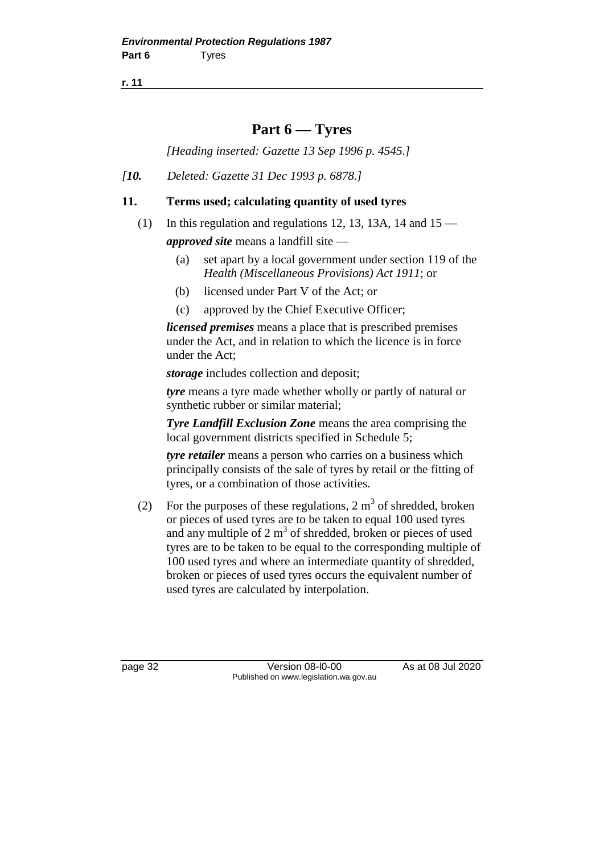**r. 11**

# **Part 6 — Tyres**

*[Heading inserted: Gazette 13 Sep 1996 p. 4545.]*

*[10. Deleted: Gazette 31 Dec 1993 p. 6878.]*

## **11. Terms used; calculating quantity of used tyres**

- (1) In this regulation and regulations 12, 13, 13A, 14 and  $15$ *approved site* means a landfill site —
	- (a) set apart by a local government under section 119 of the *Health (Miscellaneous Provisions) Act 1911*; or
	- (b) licensed under Part V of the Act; or
	- (c) approved by the Chief Executive Officer;

*licensed premises* means a place that is prescribed premises under the Act, and in relation to which the licence is in force under the Act;

*storage* includes collection and deposit;

*tyre* means a tyre made whether wholly or partly of natural or synthetic rubber or similar material;

*Tyre Landfill Exclusion Zone* means the area comprising the local government districts specified in Schedule 5;

*tyre retailer* means a person who carries on a business which principally consists of the sale of tyres by retail or the fitting of tyres, or a combination of those activities.

(2) For the purposes of these regulations,  $2 \text{ m}^3$  of shredded, broken or pieces of used tyres are to be taken to equal 100 used tyres and any multiple of  $2 \text{ m}^3$  of shredded, broken or pieces of used tyres are to be taken to be equal to the corresponding multiple of 100 used tyres and where an intermediate quantity of shredded, broken or pieces of used tyres occurs the equivalent number of used tyres are calculated by interpolation.

page 32 Version 08-l0-00 As at 08 Jul 2020 Published on www.legislation.wa.gov.au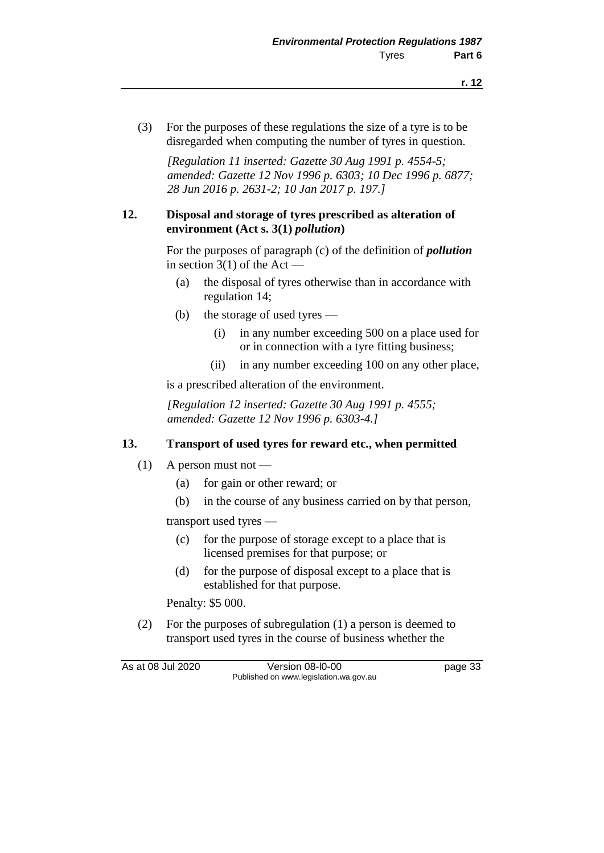(3) For the purposes of these regulations the size of a tyre is to be disregarded when computing the number of tyres in question.

*[Regulation 11 inserted: Gazette 30 Aug 1991 p. 4554-5; amended: Gazette 12 Nov 1996 p. 6303; 10 Dec 1996 p. 6877; 28 Jun 2016 p. 2631-2; 10 Jan 2017 p. 197.]*

#### **12. Disposal and storage of tyres prescribed as alteration of environment (Act s. 3(1)** *pollution***)**

For the purposes of paragraph (c) of the definition of *pollution* in section  $3(1)$  of the Act —

- (a) the disposal of tyres otherwise than in accordance with regulation 14;
- (b) the storage of used tyres
	- (i) in any number exceeding 500 on a place used for or in connection with a tyre fitting business;
	- (ii) in any number exceeding 100 on any other place,

is a prescribed alteration of the environment.

*[Regulation 12 inserted: Gazette 30 Aug 1991 p. 4555; amended: Gazette 12 Nov 1996 p. 6303-4.]*

#### **13. Transport of used tyres for reward etc., when permitted**

- $(1)$  A person must not
	- (a) for gain or other reward; or
	- (b) in the course of any business carried on by that person,

transport used tyres —

- (c) for the purpose of storage except to a place that is licensed premises for that purpose; or
- (d) for the purpose of disposal except to a place that is established for that purpose.

Penalty: \$5 000.

(2) For the purposes of subregulation (1) a person is deemed to transport used tyres in the course of business whether the

As at 08 Jul 2020 Version 08-l0-00 page 33 Published on www.legislation.wa.gov.au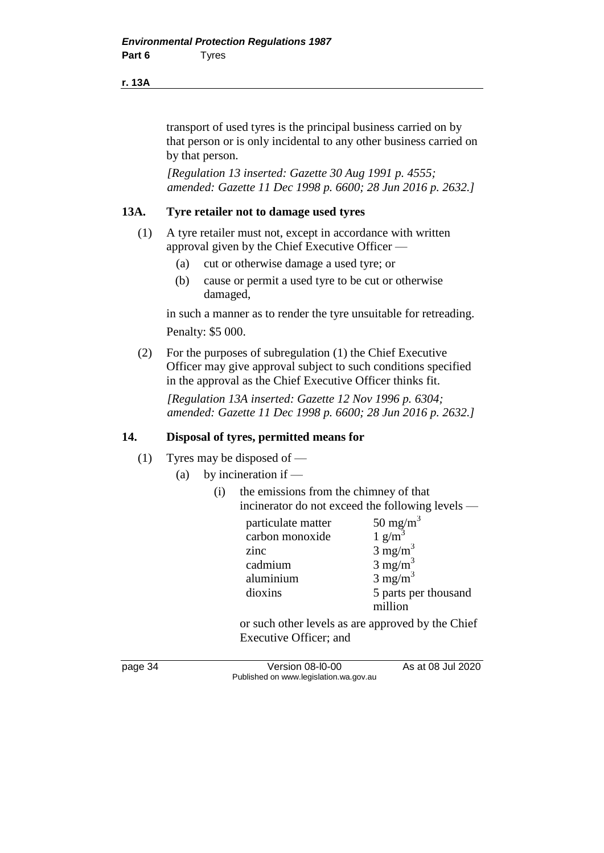#### **r. 13A**

transport of used tyres is the principal business carried on by that person or is only incidental to any other business carried on by that person.

*[Regulation 13 inserted: Gazette 30 Aug 1991 p. 4555; amended: Gazette 11 Dec 1998 p. 6600; 28 Jun 2016 p. 2632.]*

#### **13A. Tyre retailer not to damage used tyres**

- (1) A tyre retailer must not, except in accordance with written approval given by the Chief Executive Officer —
	- (a) cut or otherwise damage a used tyre; or
	- (b) cause or permit a used tyre to be cut or otherwise damaged,

in such a manner as to render the tyre unsuitable for retreading. Penalty: \$5 000.

(2) For the purposes of subregulation (1) the Chief Executive Officer may give approval subject to such conditions specified in the approval as the Chief Executive Officer thinks fit.

*[Regulation 13A inserted: Gazette 12 Nov 1996 p. 6304; amended: Gazette 11 Dec 1998 p. 6600; 28 Jun 2016 p. 2632.]*

#### **14. Disposal of tyres, permitted means for**

- (1) Tyres may be disposed of
	- (a) by incineration if  $-$ 
		- (i) the emissions from the chimney of that incinerator do not exceed the following levels —

| particulate matter | 50 mg/m <sup>3</sup> |
|--------------------|----------------------|
| carbon monoxide    | $1 \text{ g/m}^3$    |
| zinc               | $3 \text{ mg/m}^3$   |
| cadmium            | $3 \text{ mg/m}^3$   |
| aluminium          | $3 \text{ mg/m}^3$   |
| dioxins            | 5 parts per thousand |
|                    | million              |

or such other levels as are approved by the Chief Executive Officer; and

page 34 Version 08-l0-00 As at 08 Jul 2020 Published on www.legislation.wa.gov.au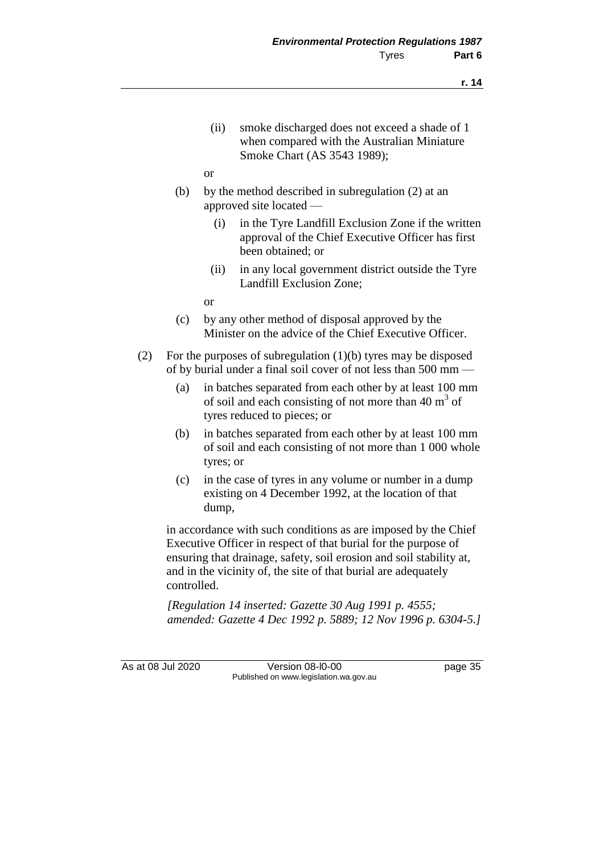- (ii) smoke discharged does not exceed a shade of 1 when compared with the Australian Miniature Smoke Chart (AS 3543 1989);
- or
- (b) by the method described in subregulation (2) at an approved site located —
	- (i) in the Tyre Landfill Exclusion Zone if the written approval of the Chief Executive Officer has first been obtained; or
	- (ii) in any local government district outside the Tyre Landfill Exclusion Zone;
	- or
- (c) by any other method of disposal approved by the Minister on the advice of the Chief Executive Officer.
- (2) For the purposes of subregulation (1)(b) tyres may be disposed of by burial under a final soil cover of not less than 500 mm —
	- (a) in batches separated from each other by at least 100 mm of soil and each consisting of not more than  $40 \text{ m}^3$  of tyres reduced to pieces; or
	- (b) in batches separated from each other by at least 100 mm of soil and each consisting of not more than 1 000 whole tyres; or
	- (c) in the case of tyres in any volume or number in a dump existing on 4 December 1992, at the location of that dump,

in accordance with such conditions as are imposed by the Chief Executive Officer in respect of that burial for the purpose of ensuring that drainage, safety, soil erosion and soil stability at, and in the vicinity of, the site of that burial are adequately controlled.

*[Regulation 14 inserted: Gazette 30 Aug 1991 p. 4555; amended: Gazette 4 Dec 1992 p. 5889; 12 Nov 1996 p. 6304-5.]*

As at 08 Jul 2020 Version 08-l0-00 page 35 Published on www.legislation.wa.gov.au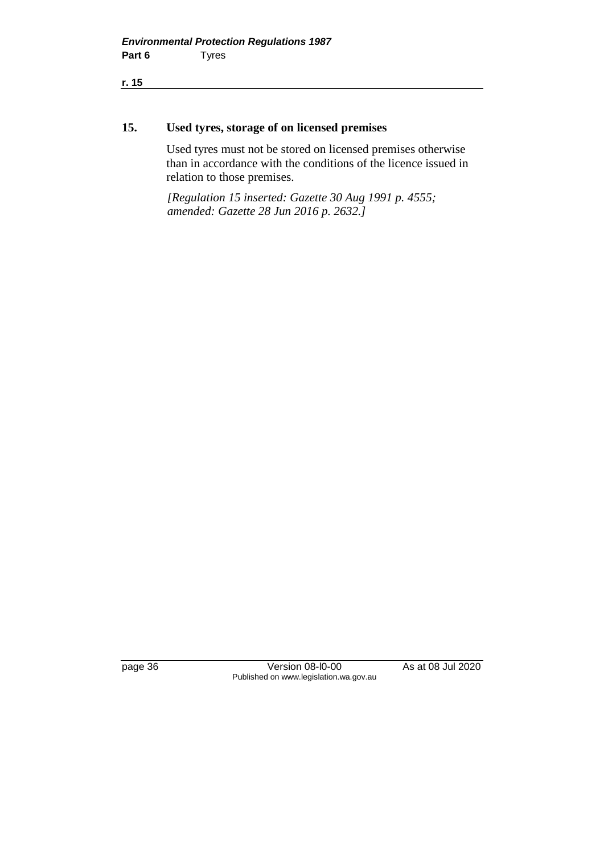**r. 15**

#### **15. Used tyres, storage of on licensed premises**

Used tyres must not be stored on licensed premises otherwise than in accordance with the conditions of the licence issued in relation to those premises.

*[Regulation 15 inserted: Gazette 30 Aug 1991 p. 4555; amended: Gazette 28 Jun 2016 p. 2632.]*

page 36 Version 08-l0-00 As at 08 Jul 2020 Published on www.legislation.wa.gov.au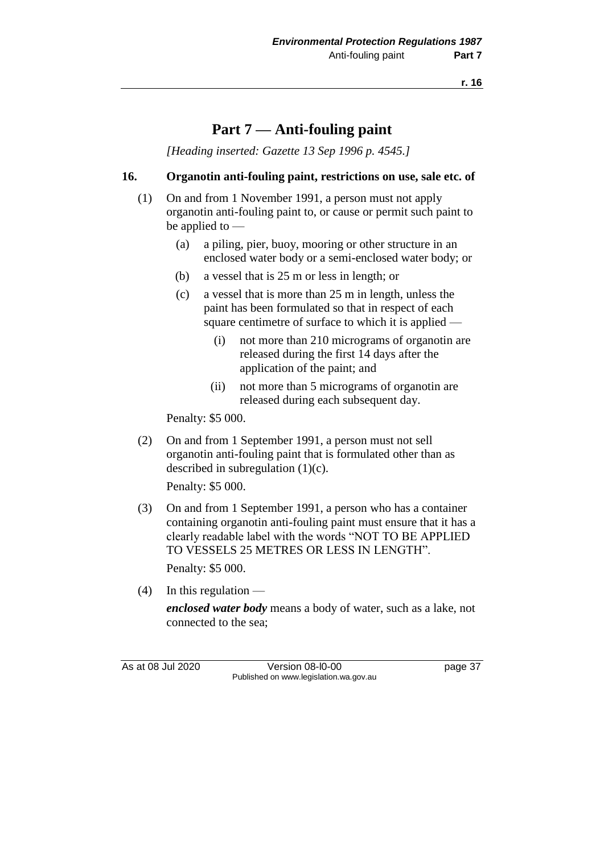# **Part 7 — Anti-fouling paint**

*[Heading inserted: Gazette 13 Sep 1996 p. 4545.]*

#### **16. Organotin anti-fouling paint, restrictions on use, sale etc. of**

- (1) On and from 1 November 1991, a person must not apply organotin anti-fouling paint to, or cause or permit such paint to be applied to —
	- (a) a piling, pier, buoy, mooring or other structure in an enclosed water body or a semi-enclosed water body; or
	- (b) a vessel that is 25 m or less in length; or
	- (c) a vessel that is more than 25 m in length, unless the paint has been formulated so that in respect of each square centimetre of surface to which it is applied —
		- (i) not more than 210 micrograms of organotin are released during the first 14 days after the application of the paint; and
		- (ii) not more than 5 micrograms of organotin are released during each subsequent day.

Penalty: \$5 000.

(2) On and from 1 September 1991, a person must not sell organotin anti-fouling paint that is formulated other than as described in subregulation (1)(c).

Penalty: \$5 000.

(3) On and from 1 September 1991, a person who has a container containing organotin anti-fouling paint must ensure that it has a clearly readable label with the words "NOT TO BE APPLIED TO VESSELS 25 METRES OR LESS IN LENGTH".

Penalty: \$5 000.

 $(4)$  In this regulation —

*enclosed water body* means a body of water, such as a lake, not connected to the sea;

As at 08 Jul 2020 Version 08-l0-00 page 37 Published on www.legislation.wa.gov.au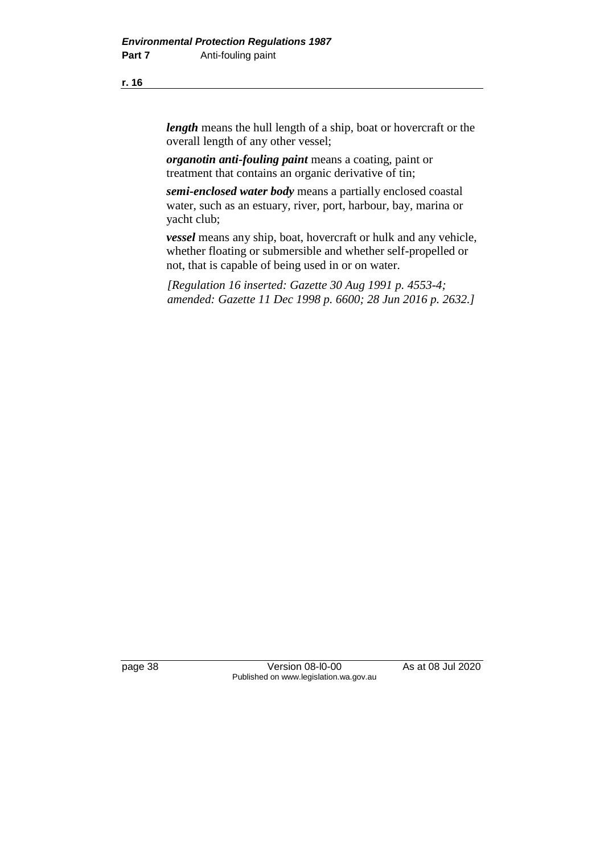**r. 16**

*length* means the hull length of a ship, boat or hovercraft or the overall length of any other vessel;

*organotin anti-fouling paint* means a coating, paint or treatment that contains an organic derivative of tin;

*semi-enclosed water body* means a partially enclosed coastal water, such as an estuary, river, port, harbour, bay, marina or yacht club;

*vessel* means any ship, boat, hovercraft or hulk and any vehicle, whether floating or submersible and whether self-propelled or not, that is capable of being used in or on water.

*[Regulation 16 inserted: Gazette 30 Aug 1991 p. 4553-4; amended: Gazette 11 Dec 1998 p. 6600; 28 Jun 2016 p. 2632.]*

page 38 Version 08-l0-00 As at 08 Jul 2020 Published on www.legislation.wa.gov.au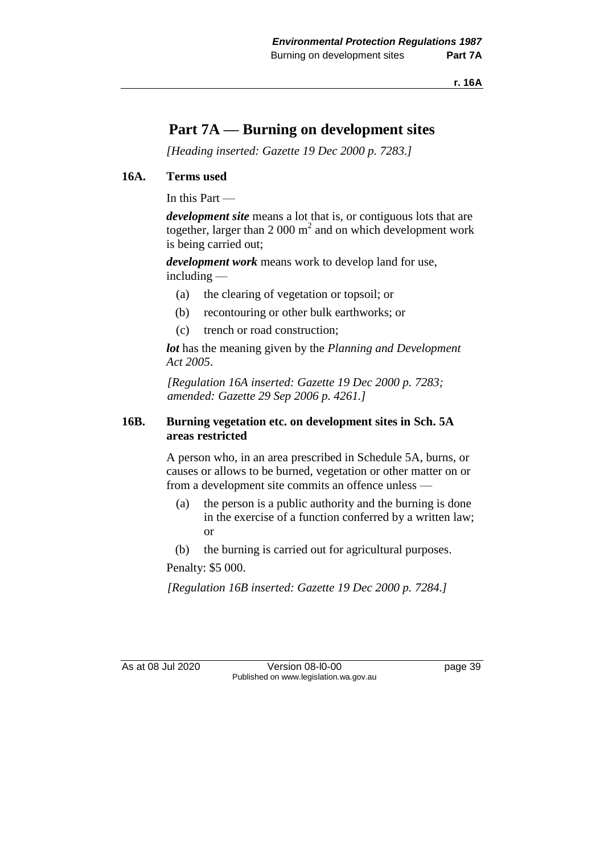**r. 16A**

# **Part 7A — Burning on development sites**

*[Heading inserted: Gazette 19 Dec 2000 p. 7283.]*

## **16A. Terms used**

In this Part —

*development site* means a lot that is, or contiguous lots that are together, larger than 2 000  $m^2$  and on which development work is being carried out;

*development work* means work to develop land for use, including —

- (a) the clearing of vegetation or topsoil; or
- (b) recontouring or other bulk earthworks; or
- (c) trench or road construction;

*lot* has the meaning given by the *Planning and Development Act 2005*.

*[Regulation 16A inserted: Gazette 19 Dec 2000 p. 7283; amended: Gazette 29 Sep 2006 p. 4261.]*

## **16B. Burning vegetation etc. on development sites in Sch. 5A areas restricted**

A person who, in an area prescribed in Schedule 5A, burns, or causes or allows to be burned, vegetation or other matter on or from a development site commits an offence unless —

- (a) the person is a public authority and the burning is done in the exercise of a function conferred by a written law; or
- (b) the burning is carried out for agricultural purposes.

Penalty: \$5 000.

*[Regulation 16B inserted: Gazette 19 Dec 2000 p. 7284.]*

As at 08 Jul 2020 Version 08-l0-00 page 39 Published on www.legislation.wa.gov.au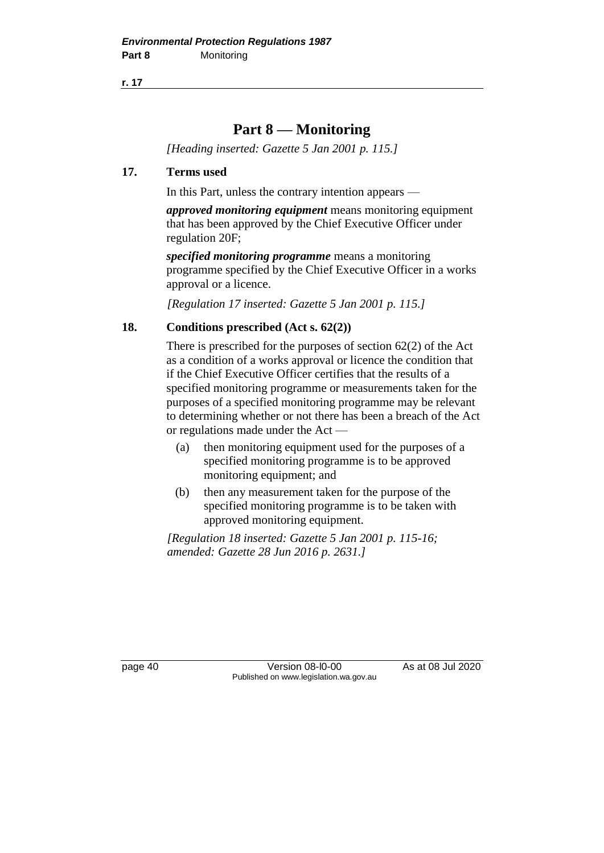**r. 17**

# **Part 8 — Monitoring**

*[Heading inserted: Gazette 5 Jan 2001 p. 115.]*

# **17. Terms used**

In this Part, unless the contrary intention appears —

*approved monitoring equipment* means monitoring equipment that has been approved by the Chief Executive Officer under regulation 20F;

*specified monitoring programme* means a monitoring programme specified by the Chief Executive Officer in a works approval or a licence.

*[Regulation 17 inserted: Gazette 5 Jan 2001 p. 115.]*

# **18. Conditions prescribed (Act s. 62(2))**

There is prescribed for the purposes of section 62(2) of the Act as a condition of a works approval or licence the condition that if the Chief Executive Officer certifies that the results of a specified monitoring programme or measurements taken for the purposes of a specified monitoring programme may be relevant to determining whether or not there has been a breach of the Act or regulations made under the Act —

- (a) then monitoring equipment used for the purposes of a specified monitoring programme is to be approved monitoring equipment; and
- (b) then any measurement taken for the purpose of the specified monitoring programme is to be taken with approved monitoring equipment.

*[Regulation 18 inserted: Gazette 5 Jan 2001 p. 115-16; amended: Gazette 28 Jun 2016 p. 2631.]*

page 40 Version 08-l0-00 As at 08 Jul 2020 Published on www.legislation.wa.gov.au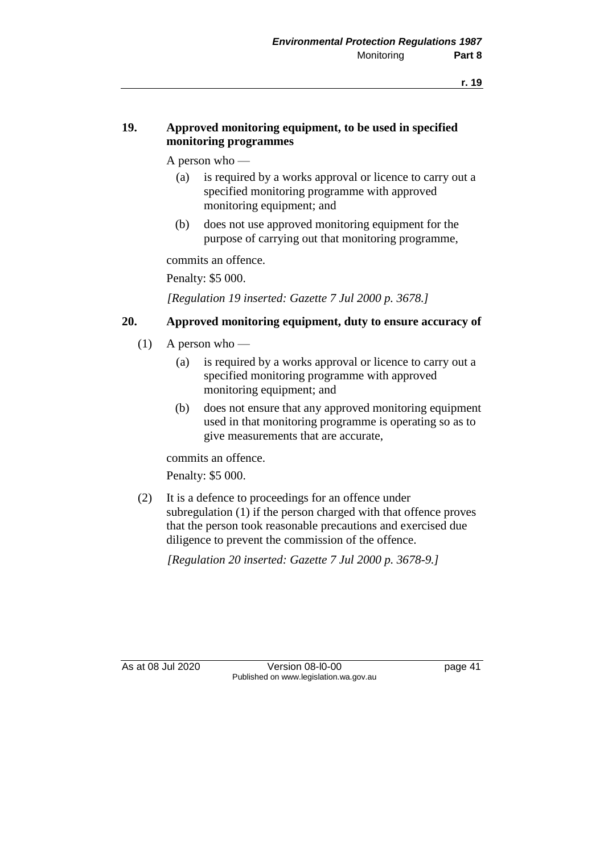# **19. Approved monitoring equipment, to be used in specified monitoring programmes**

A person who —

- (a) is required by a works approval or licence to carry out a specified monitoring programme with approved monitoring equipment; and
- (b) does not use approved monitoring equipment for the purpose of carrying out that monitoring programme,

commits an offence.

Penalty: \$5 000.

*[Regulation 19 inserted: Gazette 7 Jul 2000 p. 3678.]*

#### **20. Approved monitoring equipment, duty to ensure accuracy of**

- $(1)$  A person who
	- (a) is required by a works approval or licence to carry out a specified monitoring programme with approved monitoring equipment; and
	- (b) does not ensure that any approved monitoring equipment used in that monitoring programme is operating so as to give measurements that are accurate,

commits an offence.

Penalty: \$5 000.

(2) It is a defence to proceedings for an offence under subregulation (1) if the person charged with that offence proves that the person took reasonable precautions and exercised due diligence to prevent the commission of the offence.

*[Regulation 20 inserted: Gazette 7 Jul 2000 p. 3678-9.]*

As at 08 Jul 2020 Version 08-l0-00 page 41 Published on www.legislation.wa.gov.au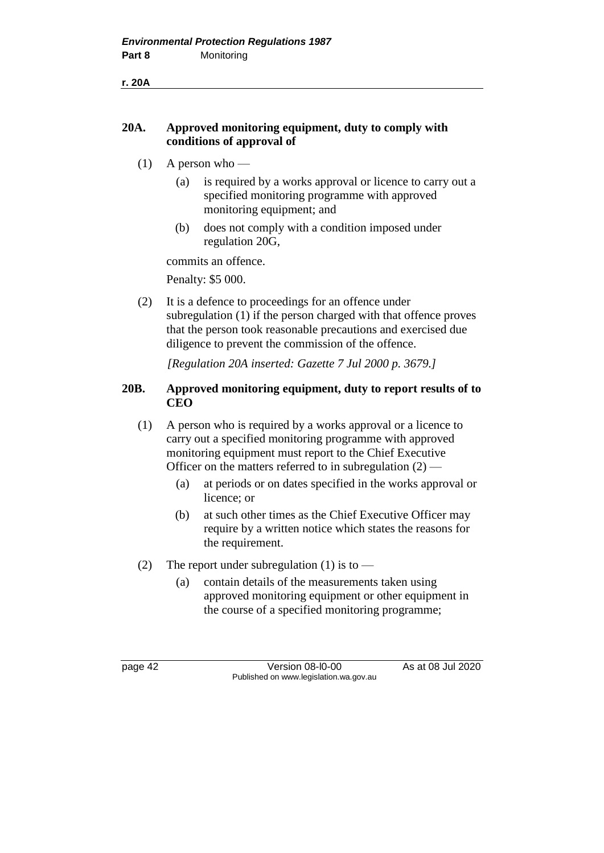**r. 20A**

# **20A. Approved monitoring equipment, duty to comply with conditions of approval of**

- $(1)$  A person who
	- (a) is required by a works approval or licence to carry out a specified monitoring programme with approved monitoring equipment; and
	- (b) does not comply with a condition imposed under regulation 20G,

commits an offence.

Penalty: \$5 000.

(2) It is a defence to proceedings for an offence under subregulation (1) if the person charged with that offence proves that the person took reasonable precautions and exercised due diligence to prevent the commission of the offence.

*[Regulation 20A inserted: Gazette 7 Jul 2000 p. 3679.]*

# **20B. Approved monitoring equipment, duty to report results of to CEO**

- (1) A person who is required by a works approval or a licence to carry out a specified monitoring programme with approved monitoring equipment must report to the Chief Executive Officer on the matters referred to in subregulation  $(2)$  —
	- (a) at periods or on dates specified in the works approval or licence; or
	- (b) at such other times as the Chief Executive Officer may require by a written notice which states the reasons for the requirement.
- (2) The report under subregulation (1) is to
	- (a) contain details of the measurements taken using approved monitoring equipment or other equipment in the course of a specified monitoring programme;

page 42 Version 08-l0-00 As at 08 Jul 2020 Published on www.legislation.wa.gov.au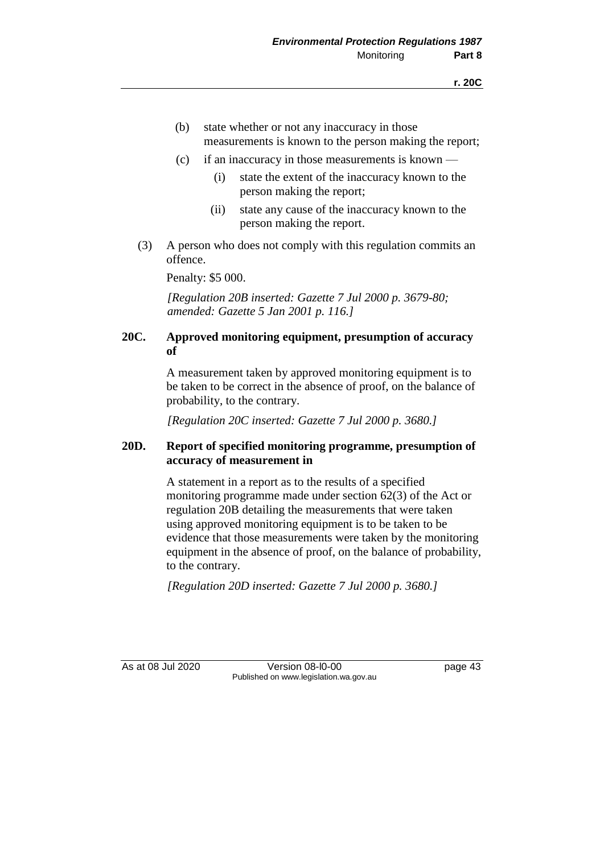- (b) state whether or not any inaccuracy in those measurements is known to the person making the report;
- (c) if an inaccuracy in those measurements is known
	- (i) state the extent of the inaccuracy known to the person making the report;
	- (ii) state any cause of the inaccuracy known to the person making the report.
- (3) A person who does not comply with this regulation commits an offence.

Penalty: \$5 000.

*[Regulation 20B inserted: Gazette 7 Jul 2000 p. 3679-80; amended: Gazette 5 Jan 2001 p. 116.]*

## **20C. Approved monitoring equipment, presumption of accuracy of**

A measurement taken by approved monitoring equipment is to be taken to be correct in the absence of proof, on the balance of probability, to the contrary.

*[Regulation 20C inserted: Gazette 7 Jul 2000 p. 3680.]*

## **20D. Report of specified monitoring programme, presumption of accuracy of measurement in**

A statement in a report as to the results of a specified monitoring programme made under section 62(3) of the Act or regulation 20B detailing the measurements that were taken using approved monitoring equipment is to be taken to be evidence that those measurements were taken by the monitoring equipment in the absence of proof, on the balance of probability, to the contrary.

*[Regulation 20D inserted: Gazette 7 Jul 2000 p. 3680.]*

As at 08 Jul 2020 Version 08-l0-00 page 43 Published on www.legislation.wa.gov.au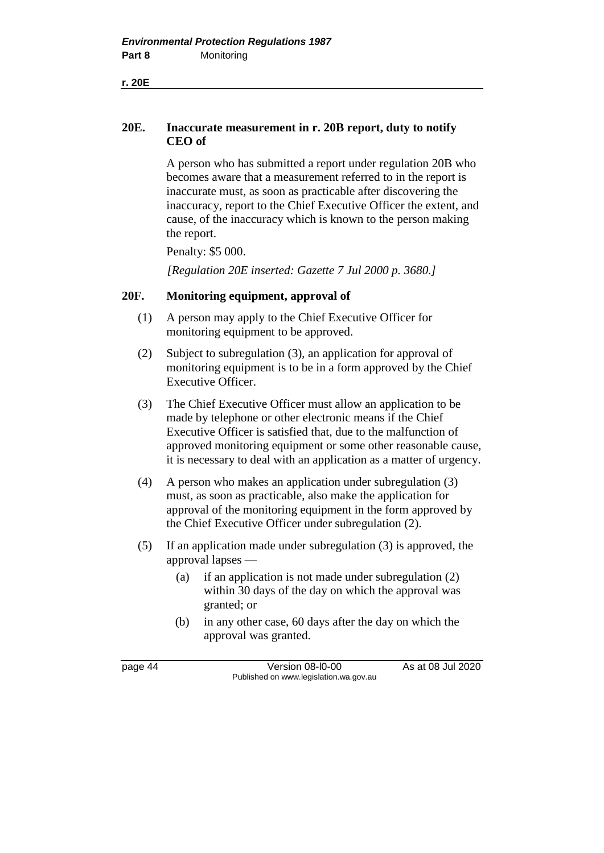**20E. Inaccurate measurement in r. 20B report, duty to notify CEO of**

> A person who has submitted a report under regulation 20B who becomes aware that a measurement referred to in the report is inaccurate must, as soon as practicable after discovering the inaccuracy, report to the Chief Executive Officer the extent, and cause, of the inaccuracy which is known to the person making the report.

Penalty: \$5 000.

*[Regulation 20E inserted: Gazette 7 Jul 2000 p. 3680.]*

## **20F. Monitoring equipment, approval of**

- (1) A person may apply to the Chief Executive Officer for monitoring equipment to be approved.
- (2) Subject to subregulation (3), an application for approval of monitoring equipment is to be in a form approved by the Chief Executive Officer.
- (3) The Chief Executive Officer must allow an application to be made by telephone or other electronic means if the Chief Executive Officer is satisfied that, due to the malfunction of approved monitoring equipment or some other reasonable cause, it is necessary to deal with an application as a matter of urgency.
- (4) A person who makes an application under subregulation (3) must, as soon as practicable, also make the application for approval of the monitoring equipment in the form approved by the Chief Executive Officer under subregulation (2).
- (5) If an application made under subregulation (3) is approved, the approval lapses —
	- (a) if an application is not made under subregulation (2) within 30 days of the day on which the approval was granted; or
	- (b) in any other case, 60 days after the day on which the approval was granted.

page 44 Version 08-l0-00 As at 08 Jul 2020 Published on www.legislation.wa.gov.au

**r. 20E**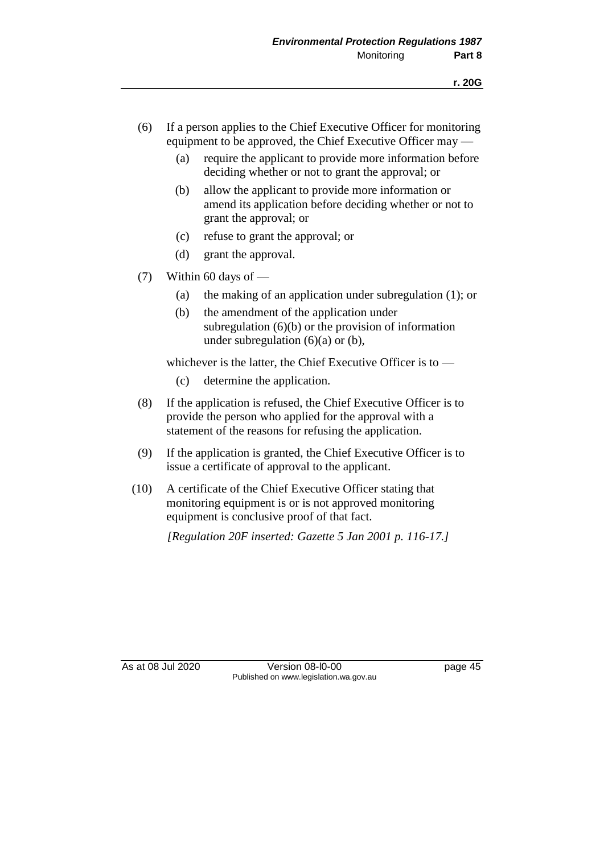- (6) If a person applies to the Chief Executive Officer for monitoring equipment to be approved, the Chief Executive Officer may —
	- (a) require the applicant to provide more information before deciding whether or not to grant the approval; or
	- (b) allow the applicant to provide more information or amend its application before deciding whether or not to grant the approval; or
	- (c) refuse to grant the approval; or
	- (d) grant the approval.
- (7) Within 60 days of  $-$ 
	- (a) the making of an application under subregulation (1); or
	- (b) the amendment of the application under subregulation (6)(b) or the provision of information under subregulation  $(6)(a)$  or  $(b)$ ,

whichever is the latter, the Chief Executive Officer is to —

- (c) determine the application.
- (8) If the application is refused, the Chief Executive Officer is to provide the person who applied for the approval with a statement of the reasons for refusing the application.
- (9) If the application is granted, the Chief Executive Officer is to issue a certificate of approval to the applicant.
- (10) A certificate of the Chief Executive Officer stating that monitoring equipment is or is not approved monitoring equipment is conclusive proof of that fact.

*[Regulation 20F inserted: Gazette 5 Jan 2001 p. 116-17.]*

As at 08 Jul 2020 Version 08-l0-00 page 45 Published on www.legislation.wa.gov.au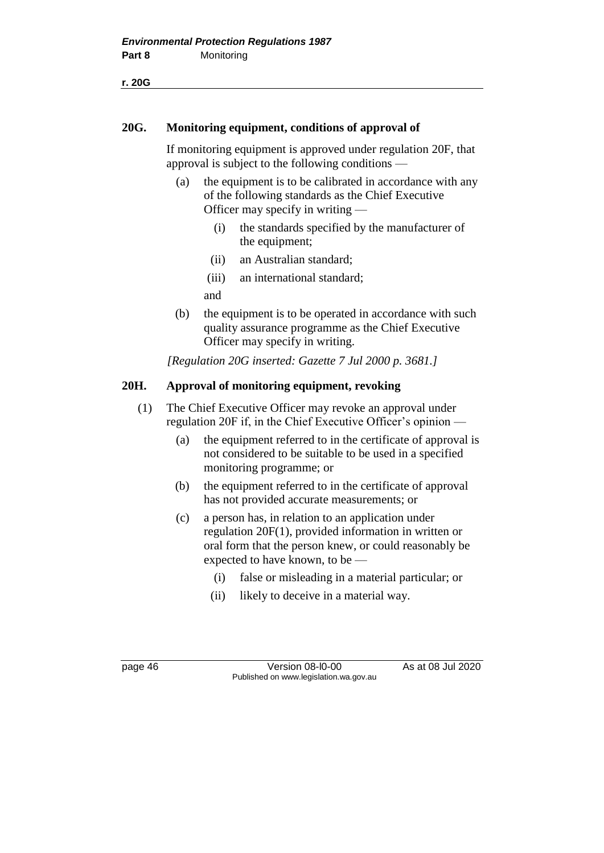**r. 20G**

#### **20G. Monitoring equipment, conditions of approval of**

If monitoring equipment is approved under regulation 20F, that approval is subject to the following conditions —

- (a) the equipment is to be calibrated in accordance with any of the following standards as the Chief Executive Officer may specify in writing —
	- (i) the standards specified by the manufacturer of the equipment;
	- (ii) an Australian standard;
	- (iii) an international standard;

and

(b) the equipment is to be operated in accordance with such quality assurance programme as the Chief Executive Officer may specify in writing.

*[Regulation 20G inserted: Gazette 7 Jul 2000 p. 3681.]*

## **20H. Approval of monitoring equipment, revoking**

- (1) The Chief Executive Officer may revoke an approval under regulation 20F if, in the Chief Executive Officer's opinion —
	- (a) the equipment referred to in the certificate of approval is not considered to be suitable to be used in a specified monitoring programme; or
	- (b) the equipment referred to in the certificate of approval has not provided accurate measurements; or
	- (c) a person has, in relation to an application under regulation 20F(1), provided information in written or oral form that the person knew, or could reasonably be expected to have known, to be —
		- (i) false or misleading in a material particular; or
		- (ii) likely to deceive in a material way.

page 46 Version 08-l0-00 As at 08 Jul 2020 Published on www.legislation.wa.gov.au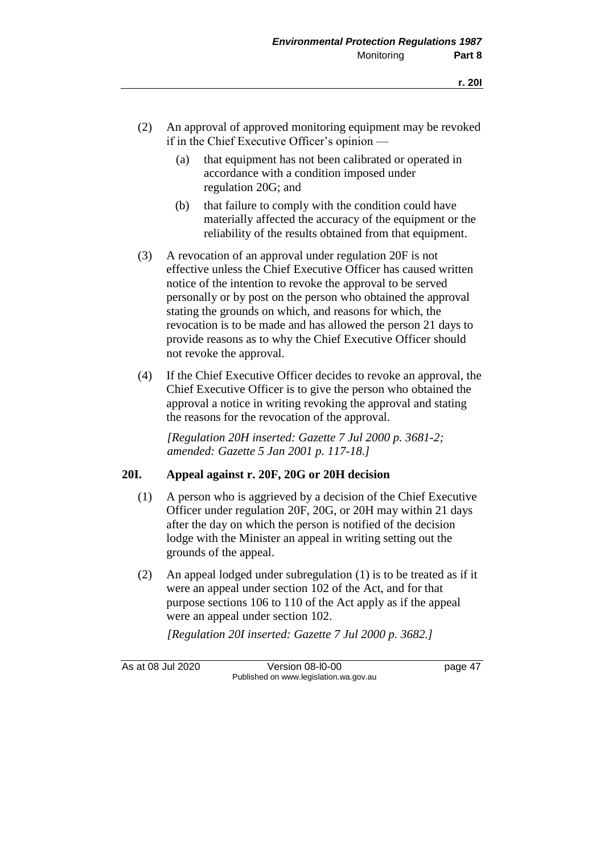- (2) An approval of approved monitoring equipment may be revoked if in the Chief Executive Officer's opinion —
	- (a) that equipment has not been calibrated or operated in accordance with a condition imposed under regulation 20G; and
	- (b) that failure to comply with the condition could have materially affected the accuracy of the equipment or the reliability of the results obtained from that equipment.
- (3) A revocation of an approval under regulation 20F is not effective unless the Chief Executive Officer has caused written notice of the intention to revoke the approval to be served personally or by post on the person who obtained the approval stating the grounds on which, and reasons for which, the revocation is to be made and has allowed the person 21 days to provide reasons as to why the Chief Executive Officer should not revoke the approval.
- (4) If the Chief Executive Officer decides to revoke an approval, the Chief Executive Officer is to give the person who obtained the approval a notice in writing revoking the approval and stating the reasons for the revocation of the approval.

*[Regulation 20H inserted: Gazette 7 Jul 2000 p. 3681-2; amended: Gazette 5 Jan 2001 p. 117-18.]*

#### **20I. Appeal against r. 20F, 20G or 20H decision**

- (1) A person who is aggrieved by a decision of the Chief Executive Officer under regulation 20F, 20G, or 20H may within 21 days after the day on which the person is notified of the decision lodge with the Minister an appeal in writing setting out the grounds of the appeal.
- (2) An appeal lodged under subregulation (1) is to be treated as if it were an appeal under section 102 of the Act, and for that purpose sections 106 to 110 of the Act apply as if the appeal were an appeal under section 102.

*[Regulation 20I inserted: Gazette 7 Jul 2000 p. 3682.]*

As at 08 Jul 2020 Version 08-l0-00 page 47 Published on www.legislation.wa.gov.au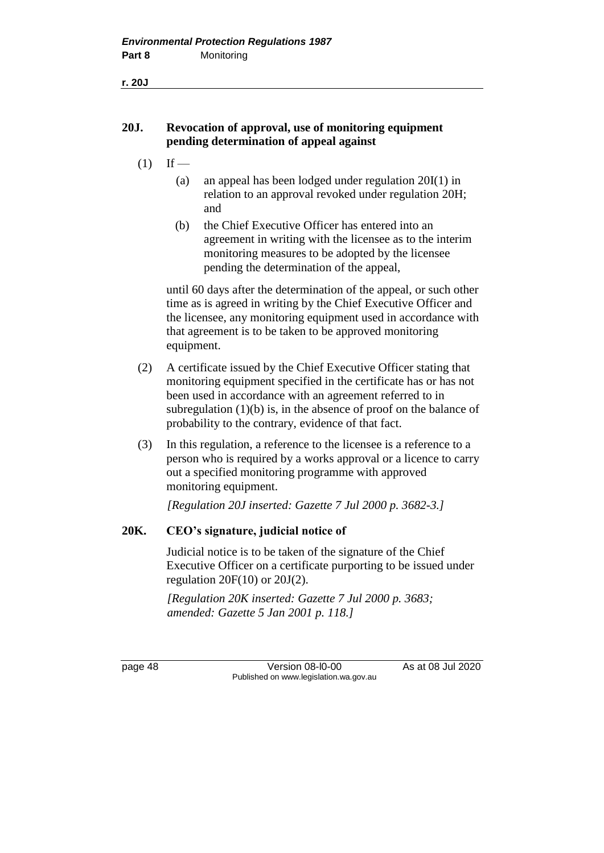**r. 20J**

# **20J. Revocation of approval, use of monitoring equipment pending determination of appeal against**

- $(1)$  If
	- (a) an appeal has been lodged under regulation 20I(1) in relation to an approval revoked under regulation 20H; and
	- (b) the Chief Executive Officer has entered into an agreement in writing with the licensee as to the interim monitoring measures to be adopted by the licensee pending the determination of the appeal,

until 60 days after the determination of the appeal, or such other time as is agreed in writing by the Chief Executive Officer and the licensee, any monitoring equipment used in accordance with that agreement is to be taken to be approved monitoring equipment.

- (2) A certificate issued by the Chief Executive Officer stating that monitoring equipment specified in the certificate has or has not been used in accordance with an agreement referred to in subregulation  $(1)(b)$  is, in the absence of proof on the balance of probability to the contrary, evidence of that fact.
- (3) In this regulation, a reference to the licensee is a reference to a person who is required by a works approval or a licence to carry out a specified monitoring programme with approved monitoring equipment.

*[Regulation 20J inserted: Gazette 7 Jul 2000 p. 3682-3.]*

# **20K. CEO's signature, judicial notice of**

Judicial notice is to be taken of the signature of the Chief Executive Officer on a certificate purporting to be issued under regulation  $20F(10)$  or  $20J(2)$ .

*[Regulation 20K inserted: Gazette 7 Jul 2000 p. 3683; amended: Gazette 5 Jan 2001 p. 118.]*

page 48 Version 08-l0-00 As at 08 Jul 2020 Published on www.legislation.wa.gov.au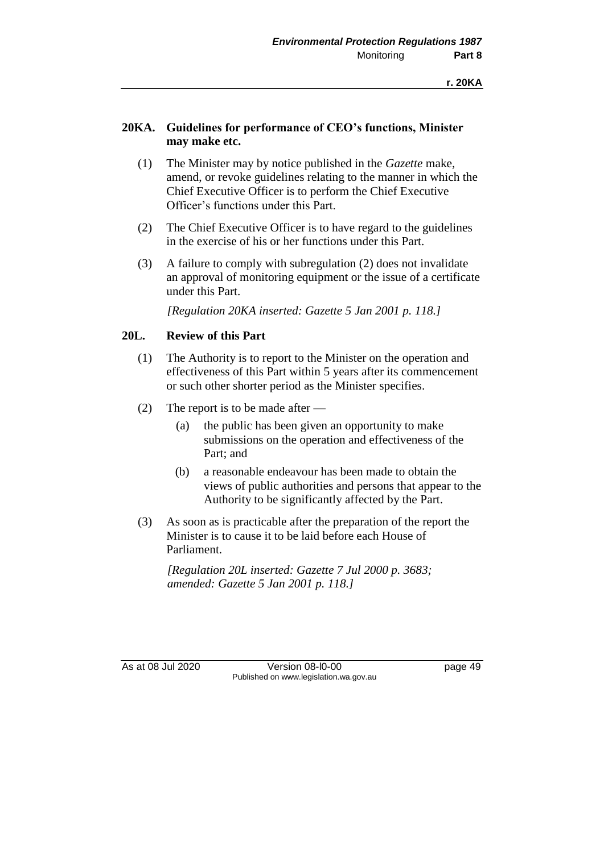# **20KA. Guidelines for performance of CEO's functions, Minister may make etc.**

- (1) The Minister may by notice published in the *Gazette* make, amend, or revoke guidelines relating to the manner in which the Chief Executive Officer is to perform the Chief Executive Officer's functions under this Part.
- (2) The Chief Executive Officer is to have regard to the guidelines in the exercise of his or her functions under this Part.
- (3) A failure to comply with subregulation (2) does not invalidate an approval of monitoring equipment or the issue of a certificate under this Part.

*[Regulation 20KA inserted: Gazette 5 Jan 2001 p. 118.]*

# **20L. Review of this Part**

- (1) The Authority is to report to the Minister on the operation and effectiveness of this Part within 5 years after its commencement or such other shorter period as the Minister specifies.
- (2) The report is to be made after
	- (a) the public has been given an opportunity to make submissions on the operation and effectiveness of the Part; and
	- (b) a reasonable endeavour has been made to obtain the views of public authorities and persons that appear to the Authority to be significantly affected by the Part.
- (3) As soon as is practicable after the preparation of the report the Minister is to cause it to be laid before each House of Parliament.

*[Regulation 20L inserted: Gazette 7 Jul 2000 p. 3683; amended: Gazette 5 Jan 2001 p. 118.]*

As at 08 Jul 2020 Version 08-l0-00 page 49 Published on www.legislation.wa.gov.au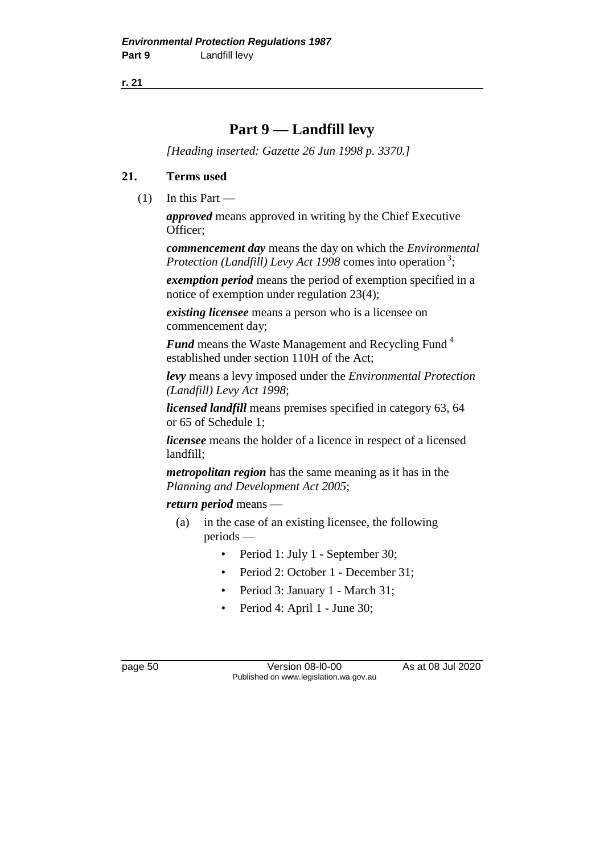**r. 21**

# **Part 9 — Landfill levy**

*[Heading inserted: Gazette 26 Jun 1998 p. 3370.]*

# **21. Terms used**

 $(1)$  In this Part —

*approved* means approved in writing by the Chief Executive Officer;

*commencement day* means the day on which the *Environmental*  Protection (Landfill) Levy Act 1998 comes into operation<sup>3</sup>;

*exemption period* means the period of exemption specified in a notice of exemption under regulation 23(4);

*existing licensee* means a person who is a licensee on commencement day;

*Fund* means the Waste Management and Recycling Fund <sup>4</sup> established under section 110H of the Act;

*levy* means a levy imposed under the *Environmental Protection (Landfill) Levy Act 1998*;

*licensed landfill* means premises specified in category 63, 64 or 65 of Schedule 1;

*licensee* means the holder of a licence in respect of a licensed landfill;

*metropolitan region* has the same meaning as it has in the *Planning and Development Act 2005*;

*return period* means —

- (a) in the case of an existing licensee, the following periods —
	- Period 1: July 1 September 30;
	- Period 2: October 1 December 31;
	- Period 3: January 1 March 31;
	- Period 4: April 1 June 30;

page 50 Version 08-l0-00 As at 08 Jul 2020 Published on www.legislation.wa.gov.au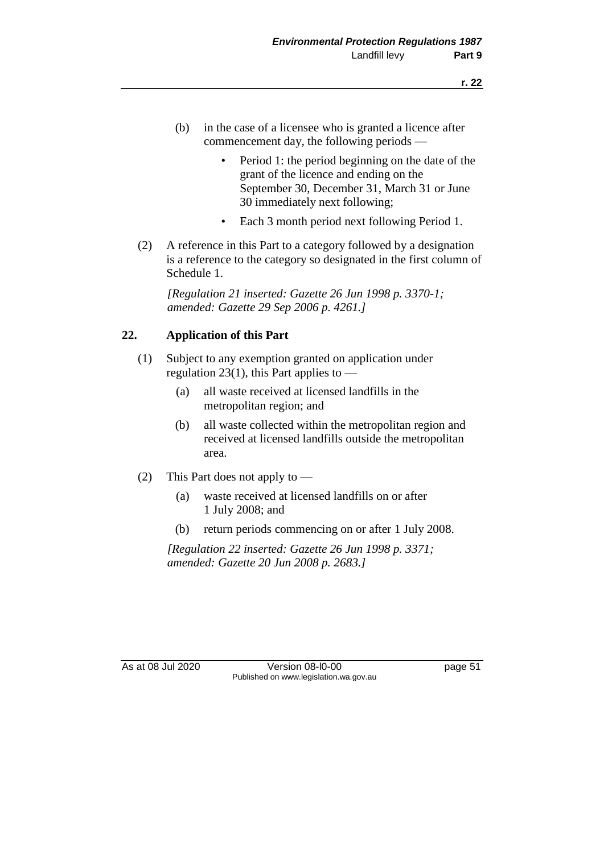- (b) in the case of a licensee who is granted a licence after commencement day, the following periods —
	- Period 1: the period beginning on the date of the grant of the licence and ending on the September 30, December 31, March 31 or June 30 immediately next following;
	- Each 3 month period next following Period 1.
- (2) A reference in this Part to a category followed by a designation is a reference to the category so designated in the first column of Schedule 1.

*[Regulation 21 inserted: Gazette 26 Jun 1998 p. 3370-1; amended: Gazette 29 Sep 2006 p. 4261.]*

# **22. Application of this Part**

- (1) Subject to any exemption granted on application under regulation 23(1), this Part applies to  $-$ 
	- (a) all waste received at licensed landfills in the metropolitan region; and
	- (b) all waste collected within the metropolitan region and received at licensed landfills outside the metropolitan area.
- (2) This Part does not apply to
	- (a) waste received at licensed landfills on or after 1 July 2008; and
	- (b) return periods commencing on or after 1 July 2008.

*[Regulation 22 inserted: Gazette 26 Jun 1998 p. 3371; amended: Gazette 20 Jun 2008 p. 2683.]*

As at 08 Jul 2020 Version 08-l0-00 page 51 Published on www.legislation.wa.gov.au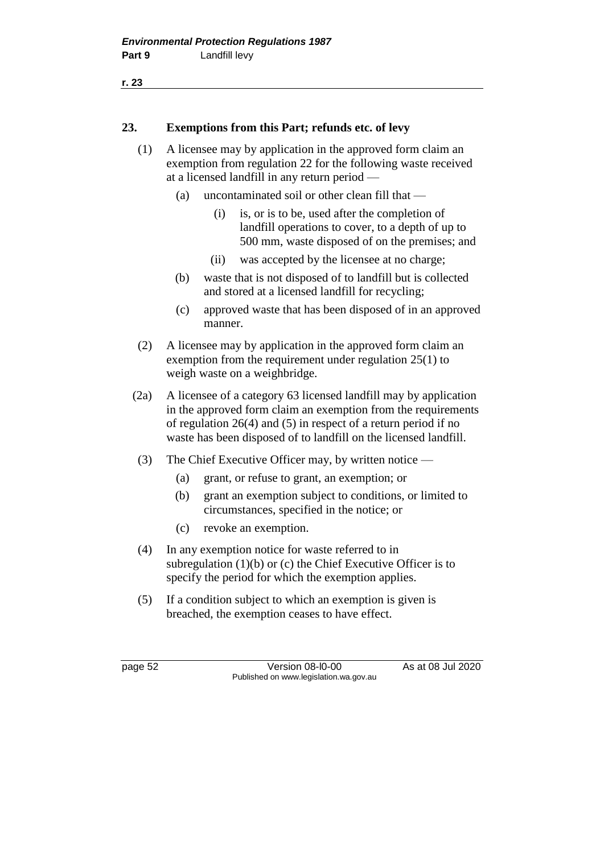```
r. 23
```
## **23. Exemptions from this Part; refunds etc. of levy**

- (1) A licensee may by application in the approved form claim an exemption from regulation 22 for the following waste received at a licensed landfill in any return period —
	- (a) uncontaminated soil or other clean fill that
		- (i) is, or is to be, used after the completion of landfill operations to cover, to a depth of up to 500 mm, waste disposed of on the premises; and
		- (ii) was accepted by the licensee at no charge;
	- (b) waste that is not disposed of to landfill but is collected and stored at a licensed landfill for recycling;
	- (c) approved waste that has been disposed of in an approved manner.
- (2) A licensee may by application in the approved form claim an exemption from the requirement under regulation 25(1) to weigh waste on a weighbridge.
- (2a) A licensee of a category 63 licensed landfill may by application in the approved form claim an exemption from the requirements of regulation 26(4) and (5) in respect of a return period if no waste has been disposed of to landfill on the licensed landfill.
- (3) The Chief Executive Officer may, by written notice
	- (a) grant, or refuse to grant, an exemption; or
	- (b) grant an exemption subject to conditions, or limited to circumstances, specified in the notice; or
	- (c) revoke an exemption.
- (4) In any exemption notice for waste referred to in subregulation (1)(b) or (c) the Chief Executive Officer is to specify the period for which the exemption applies.
- (5) If a condition subject to which an exemption is given is breached, the exemption ceases to have effect.

page 52 Version 08-l0-00 As at 08 Jul 2020 Published on www.legislation.wa.gov.au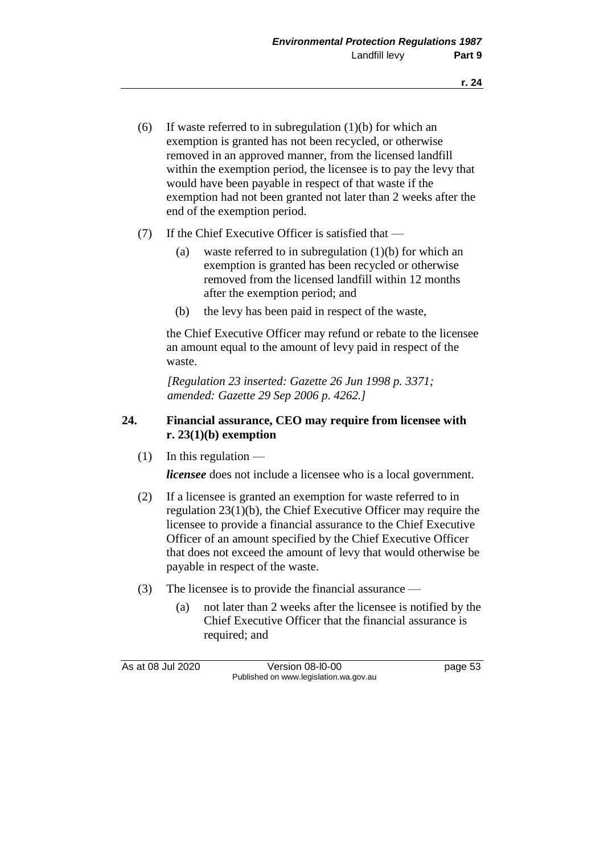- (6) If waste referred to in subregulation  $(1)(b)$  for which an exemption is granted has not been recycled, or otherwise removed in an approved manner, from the licensed landfill within the exemption period, the licensee is to pay the levy that would have been payable in respect of that waste if the exemption had not been granted not later than 2 weeks after the end of the exemption period.
- (7) If the Chief Executive Officer is satisfied that
	- (a) waste referred to in subregulation (1)(b) for which an exemption is granted has been recycled or otherwise removed from the licensed landfill within 12 months after the exemption period; and
	- (b) the levy has been paid in respect of the waste,

the Chief Executive Officer may refund or rebate to the licensee an amount equal to the amount of levy paid in respect of the waste.

*[Regulation 23 inserted: Gazette 26 Jun 1998 p. 3371; amended: Gazette 29 Sep 2006 p. 4262.]*

# **24. Financial assurance, CEO may require from licensee with r. 23(1)(b) exemption**

 $(1)$  In this regulation —

*licensee* does not include a licensee who is a local government.

- (2) If a licensee is granted an exemption for waste referred to in regulation 23(1)(b), the Chief Executive Officer may require the licensee to provide a financial assurance to the Chief Executive Officer of an amount specified by the Chief Executive Officer that does not exceed the amount of levy that would otherwise be payable in respect of the waste.
- (3) The licensee is to provide the financial assurance
	- (a) not later than 2 weeks after the licensee is notified by the Chief Executive Officer that the financial assurance is required; and

As at 08 Jul 2020 Version 08-l0-00 page 53 Published on www.legislation.wa.gov.au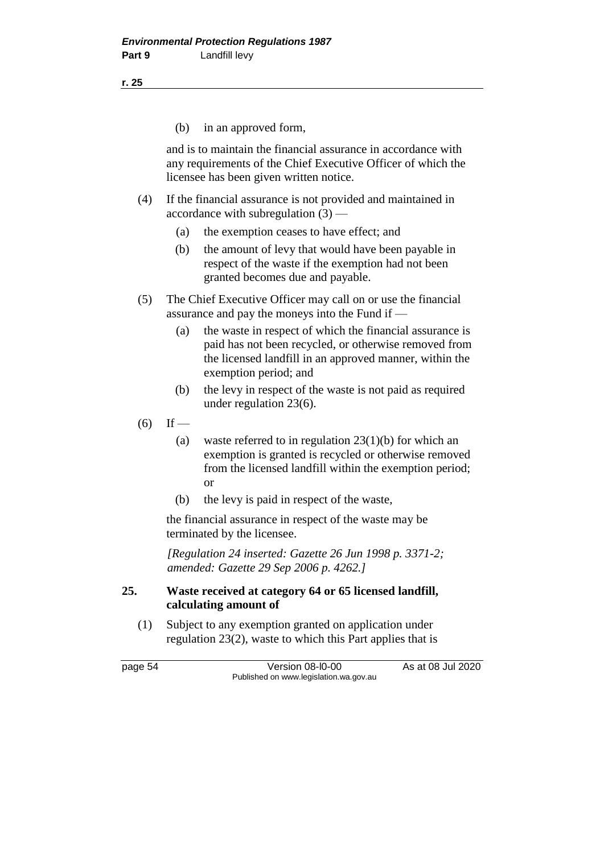(b) in an approved form,

and is to maintain the financial assurance in accordance with any requirements of the Chief Executive Officer of which the licensee has been given written notice.

- (4) If the financial assurance is not provided and maintained in accordance with subregulation  $(3)$  —
	- (a) the exemption ceases to have effect; and
	- (b) the amount of levy that would have been payable in respect of the waste if the exemption had not been granted becomes due and payable.
- (5) The Chief Executive Officer may call on or use the financial assurance and pay the moneys into the Fund if —
	- (a) the waste in respect of which the financial assurance is paid has not been recycled, or otherwise removed from the licensed landfill in an approved manner, within the exemption period; and
	- (b) the levy in respect of the waste is not paid as required under regulation 23(6).
- $(6)$  If
	- (a) waste referred to in regulation 23(1)(b) for which an exemption is granted is recycled or otherwise removed from the licensed landfill within the exemption period; or
	- (b) the levy is paid in respect of the waste,

the financial assurance in respect of the waste may be terminated by the licensee.

*[Regulation 24 inserted: Gazette 26 Jun 1998 p. 3371-2; amended: Gazette 29 Sep 2006 p. 4262.]*

## **25. Waste received at category 64 or 65 licensed landfill, calculating amount of**

(1) Subject to any exemption granted on application under regulation 23(2), waste to which this Part applies that is

page 54 Version 08-l0-00 As at 08 Jul 2020 Published on www.legislation.wa.gov.au

**r. 25**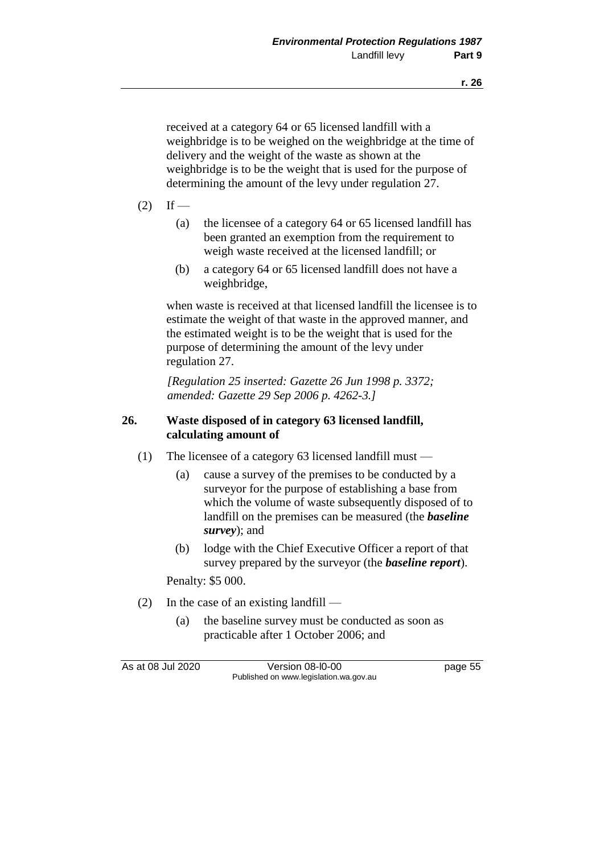received at a category 64 or 65 licensed landfill with a weighbridge is to be weighed on the weighbridge at the time of delivery and the weight of the waste as shown at the weighbridge is to be the weight that is used for the purpose of determining the amount of the levy under regulation 27.

- $(2)$  If
	- (a) the licensee of a category 64 or 65 licensed landfill has been granted an exemption from the requirement to weigh waste received at the licensed landfill; or
	- (b) a category 64 or 65 licensed landfill does not have a weighbridge,

when waste is received at that licensed landfill the licensee is to estimate the weight of that waste in the approved manner, and the estimated weight is to be the weight that is used for the purpose of determining the amount of the levy under regulation 27.

*[Regulation 25 inserted: Gazette 26 Jun 1998 p. 3372; amended: Gazette 29 Sep 2006 p. 4262-3.]*

## **26. Waste disposed of in category 63 licensed landfill, calculating amount of**

- (1) The licensee of a category 63 licensed landfill must
	- (a) cause a survey of the premises to be conducted by a surveyor for the purpose of establishing a base from which the volume of waste subsequently disposed of to landfill on the premises can be measured (the *baseline survey*); and
	- (b) lodge with the Chief Executive Officer a report of that survey prepared by the surveyor (the *baseline report*).

Penalty: \$5 000.

- (2) In the case of an existing landfill
	- (a) the baseline survey must be conducted as soon as practicable after 1 October 2006; and

As at 08 Jul 2020 Version 08-l0-00 page 55 Published on www.legislation.wa.gov.au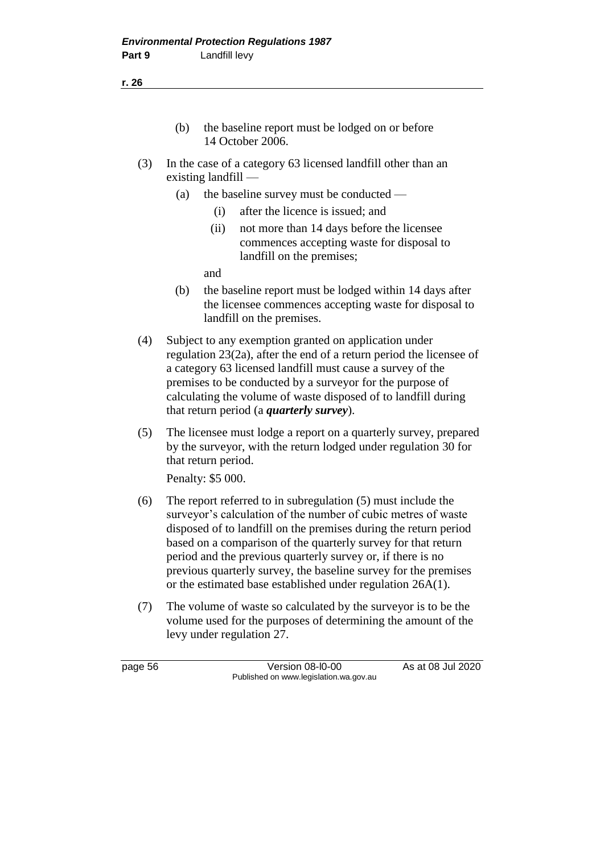- (b) the baseline report must be lodged on or before 14 October 2006.
- (3) In the case of a category 63 licensed landfill other than an existing landfill —
	- (a) the baseline survey must be conducted
		- (i) after the licence is issued; and
		- (ii) not more than 14 days before the licensee commences accepting waste for disposal to landfill on the premises;

and

- (b) the baseline report must be lodged within 14 days after the licensee commences accepting waste for disposal to landfill on the premises.
- (4) Subject to any exemption granted on application under regulation 23(2a), after the end of a return period the licensee of a category 63 licensed landfill must cause a survey of the premises to be conducted by a surveyor for the purpose of calculating the volume of waste disposed of to landfill during that return period (a *quarterly survey*).
- (5) The licensee must lodge a report on a quarterly survey, prepared by the surveyor, with the return lodged under regulation 30 for that return period.

Penalty: \$5 000.

- (6) The report referred to in subregulation (5) must include the surveyor's calculation of the number of cubic metres of waste disposed of to landfill on the premises during the return period based on a comparison of the quarterly survey for that return period and the previous quarterly survey or, if there is no previous quarterly survey, the baseline survey for the premises or the estimated base established under regulation 26A(1).
- (7) The volume of waste so calculated by the surveyor is to be the volume used for the purposes of determining the amount of the levy under regulation 27.

page 56 Version 08-l0-00 As at 08 Jul 2020 Published on www.legislation.wa.gov.au

**r. 26**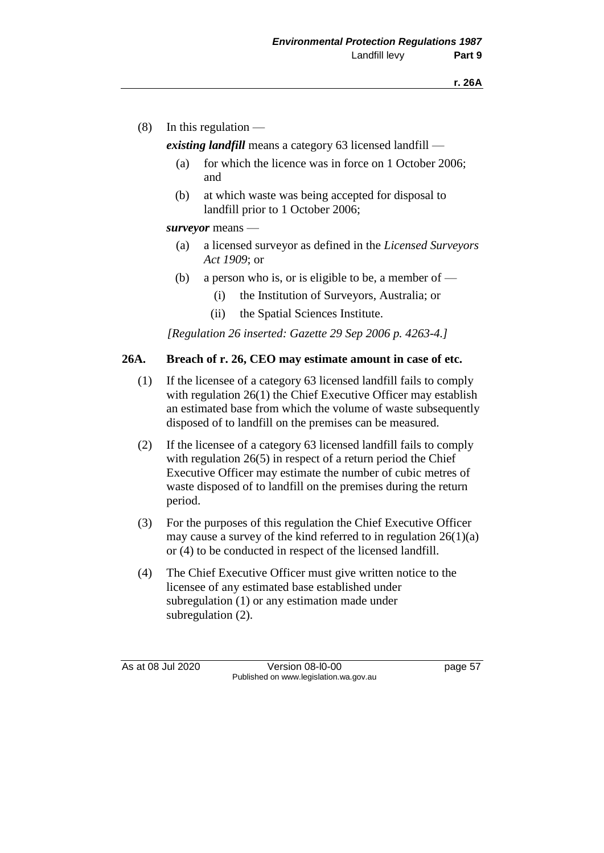(8) In this regulation —

*existing landfill* means a category 63 licensed landfill —

- (a) for which the licence was in force on 1 October 2006; and
- (b) at which waste was being accepted for disposal to landfill prior to 1 October 2006;

#### *surveyor* means —

- (a) a licensed surveyor as defined in the *Licensed Surveyors Act 1909*; or
- (b) a person who is, or is eligible to be, a member of  $-$ 
	- (i) the Institution of Surveyors, Australia; or
	- (ii) the Spatial Sciences Institute.

*[Regulation 26 inserted: Gazette 29 Sep 2006 p. 4263-4.]*

## **26A. Breach of r. 26, CEO may estimate amount in case of etc.**

- (1) If the licensee of a category 63 licensed landfill fails to comply with regulation 26(1) the Chief Executive Officer may establish an estimated base from which the volume of waste subsequently disposed of to landfill on the premises can be measured.
- (2) If the licensee of a category 63 licensed landfill fails to comply with regulation 26(5) in respect of a return period the Chief Executive Officer may estimate the number of cubic metres of waste disposed of to landfill on the premises during the return period.
- (3) For the purposes of this regulation the Chief Executive Officer may cause a survey of the kind referred to in regulation  $26(1)(a)$ or (4) to be conducted in respect of the licensed landfill.
- (4) The Chief Executive Officer must give written notice to the licensee of any estimated base established under subregulation (1) or any estimation made under subregulation  $(2)$ .

As at 08 Jul 2020 Version 08-l0-00 page 57 Published on www.legislation.wa.gov.au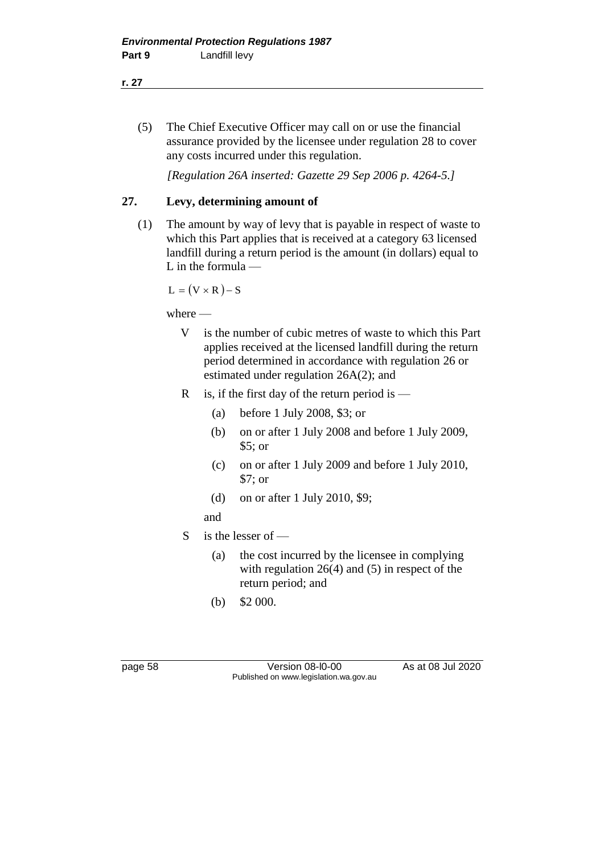(5) The Chief Executive Officer may call on or use the financial assurance provided by the licensee under regulation 28 to cover any costs incurred under this regulation.

*[Regulation 26A inserted: Gazette 29 Sep 2006 p. 4264-5.]*

# **27. Levy, determining amount of**

(1) The amount by way of levy that is payable in respect of waste to which this Part applies that is received at a category 63 licensed landfill during a return period is the amount (in dollars) equal to L in the formula —

 $L = (V \times R) - S$ 

where —

- V is the number of cubic metres of waste to which this Part applies received at the licensed landfill during the return period determined in accordance with regulation 26 or estimated under regulation 26A(2); and
- R is, if the first day of the return period is  $-$ 
	- (a) before 1 July 2008, \$3; or
	- (b) on or after 1 July 2008 and before 1 July 2009, \$5; or
	- (c) on or after 1 July 2009 and before 1 July 2010, \$7; or
	- (d) on or after 1 July 2010, \$9;

and

- S is the lesser of
	- (a) the cost incurred by the licensee in complying with regulation 26(4) and (5) in respect of the return period; and
	- (b) \$2 000.

page 58 Version 08-l0-00 As at 08 Jul 2020 Published on www.legislation.wa.gov.au

**r. 27**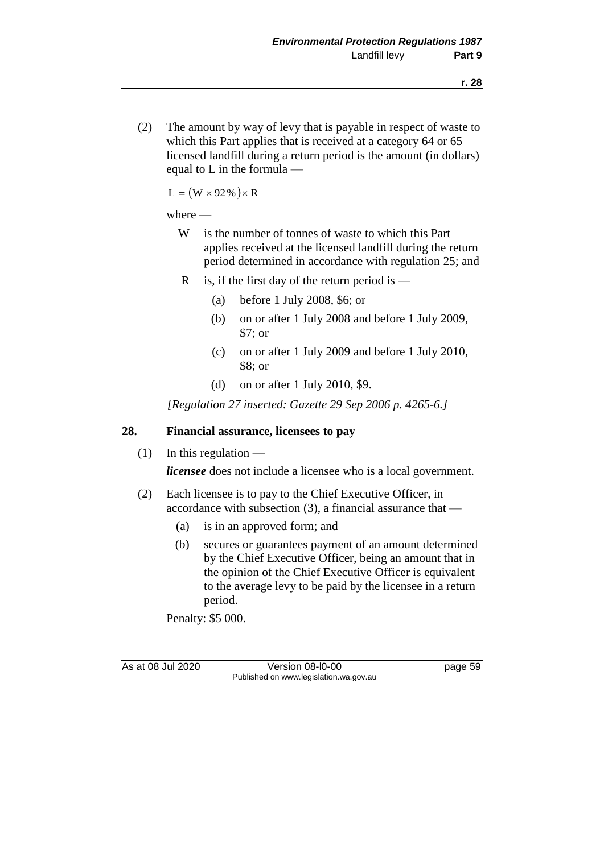(2) The amount by way of levy that is payable in respect of waste to which this Part applies that is received at a category 64 or 65 licensed landfill during a return period is the amount (in dollars) equal to L in the formula —

 $L = (W \times 92\%)\times R$ 

#### where —

- W is the number of tonnes of waste to which this Part applies received at the licensed landfill during the return period determined in accordance with regulation 25; and
- R is, if the first day of the return period is  $-$ 
	- (a) before 1 July 2008, \$6; or
	- (b) on or after 1 July 2008 and before 1 July 2009, \$7; or
	- (c) on or after 1 July 2009 and before 1 July 2010, \$8; or
	- (d) on or after 1 July 2010, \$9.

*[Regulation 27 inserted: Gazette 29 Sep 2006 p. 4265-6.]*

#### **28. Financial assurance, licensees to pay**

 $(1)$  In this regulation —

*licensee* does not include a licensee who is a local government.

- (2) Each licensee is to pay to the Chief Executive Officer, in accordance with subsection (3), a financial assurance that —
	- (a) is in an approved form; and
	- (b) secures or guarantees payment of an amount determined by the Chief Executive Officer, being an amount that in the opinion of the Chief Executive Officer is equivalent to the average levy to be paid by the licensee in a return period.

Penalty: \$5 000.

As at 08 Jul 2020 Version 08-l0-00 page 59 Published on www.legislation.wa.gov.au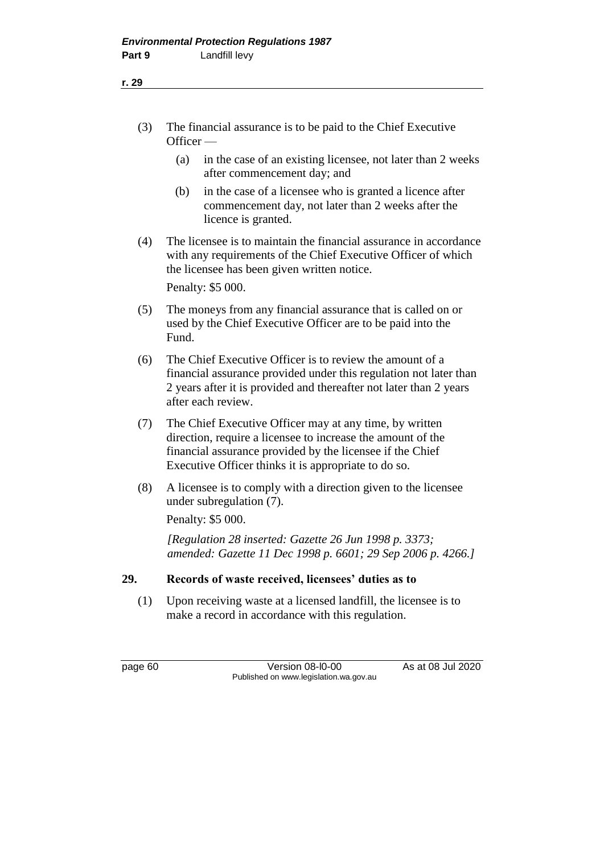- (3) The financial assurance is to be paid to the Chief Executive Officer —
	- (a) in the case of an existing licensee, not later than 2 weeks after commencement day; and
	- (b) in the case of a licensee who is granted a licence after commencement day, not later than 2 weeks after the licence is granted.
- (4) The licensee is to maintain the financial assurance in accordance with any requirements of the Chief Executive Officer of which the licensee has been given written notice.

Penalty: \$5 000.

- (5) The moneys from any financial assurance that is called on or used by the Chief Executive Officer are to be paid into the Fund.
- (6) The Chief Executive Officer is to review the amount of a financial assurance provided under this regulation not later than 2 years after it is provided and thereafter not later than 2 years after each review.
- (7) The Chief Executive Officer may at any time, by written direction, require a licensee to increase the amount of the financial assurance provided by the licensee if the Chief Executive Officer thinks it is appropriate to do so.
- (8) A licensee is to comply with a direction given to the licensee under subregulation (7).

Penalty: \$5 000.

*[Regulation 28 inserted: Gazette 26 Jun 1998 p. 3373; amended: Gazette 11 Dec 1998 p. 6601; 29 Sep 2006 p. 4266.]*

# **29. Records of waste received, licensees' duties as to**

(1) Upon receiving waste at a licensed landfill, the licensee is to make a record in accordance with this regulation.

page 60 Version 08-l0-00 As at 08 Jul 2020 Published on www.legislation.wa.gov.au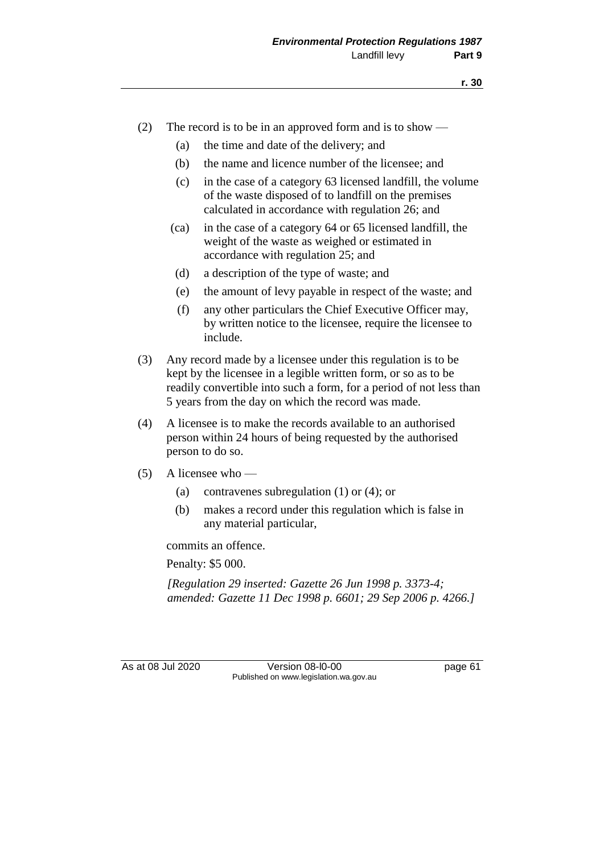- (2) The record is to be in an approved form and is to show
	- (a) the time and date of the delivery; and
	- (b) the name and licence number of the licensee; and
	- (c) in the case of a category 63 licensed landfill, the volume of the waste disposed of to landfill on the premises calculated in accordance with regulation 26; and
	- (ca) in the case of a category 64 or 65 licensed landfill, the weight of the waste as weighed or estimated in accordance with regulation 25; and
	- (d) a description of the type of waste; and
	- (e) the amount of levy payable in respect of the waste; and
	- (f) any other particulars the Chief Executive Officer may, by written notice to the licensee, require the licensee to include.
- (3) Any record made by a licensee under this regulation is to be kept by the licensee in a legible written form, or so as to be readily convertible into such a form, for a period of not less than 5 years from the day on which the record was made.
- (4) A licensee is to make the records available to an authorised person within 24 hours of being requested by the authorised person to do so.
- $(5)$  A licensee who
	- (a) contravenes subregulation (1) or (4); or
	- (b) makes a record under this regulation which is false in any material particular,

commits an offence.

Penalty: \$5 000.

*[Regulation 29 inserted: Gazette 26 Jun 1998 p. 3373-4; amended: Gazette 11 Dec 1998 p. 6601; 29 Sep 2006 p. 4266.]*

As at 08 Jul 2020 Version 08-l0-00 page 61 Published on www.legislation.wa.gov.au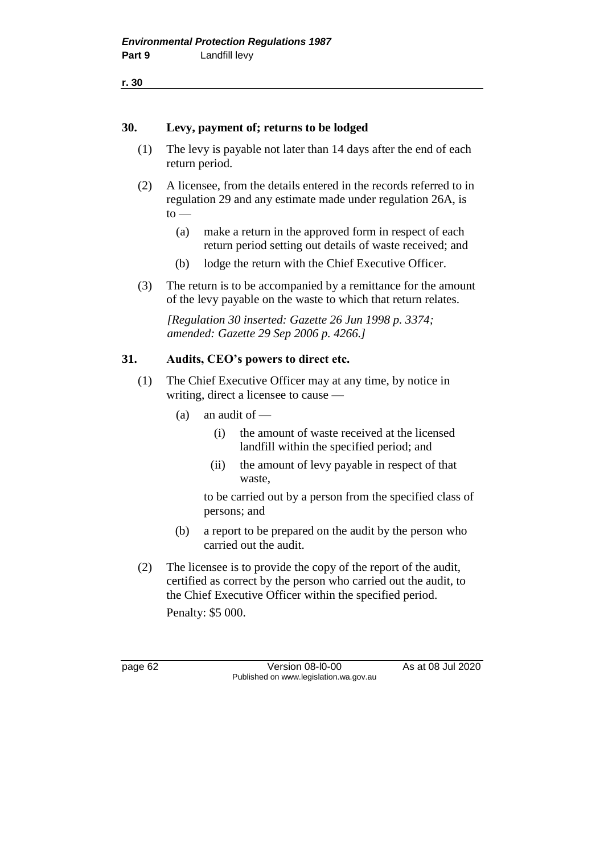**r. 30**

#### **30. Levy, payment of; returns to be lodged**

- (1) The levy is payable not later than 14 days after the end of each return period.
- (2) A licensee, from the details entered in the records referred to in regulation 29 and any estimate made under regulation 26A, is  $to$ —
	- (a) make a return in the approved form in respect of each return period setting out details of waste received; and
	- (b) lodge the return with the Chief Executive Officer.
- (3) The return is to be accompanied by a remittance for the amount of the levy payable on the waste to which that return relates.

*[Regulation 30 inserted: Gazette 26 Jun 1998 p. 3374; amended: Gazette 29 Sep 2006 p. 4266.]*

## **31. Audits, CEO's powers to direct etc.**

- (1) The Chief Executive Officer may at any time, by notice in writing, direct a licensee to cause —
	- $(a)$  an audit of
		- (i) the amount of waste received at the licensed landfill within the specified period; and
		- (ii) the amount of levy payable in respect of that waste,

to be carried out by a person from the specified class of persons; and

- (b) a report to be prepared on the audit by the person who carried out the audit.
- (2) The licensee is to provide the copy of the report of the audit, certified as correct by the person who carried out the audit, to the Chief Executive Officer within the specified period.

Penalty: \$5 000.

page 62 Version 08-l0-00 As at 08 Jul 2020 Published on www.legislation.wa.gov.au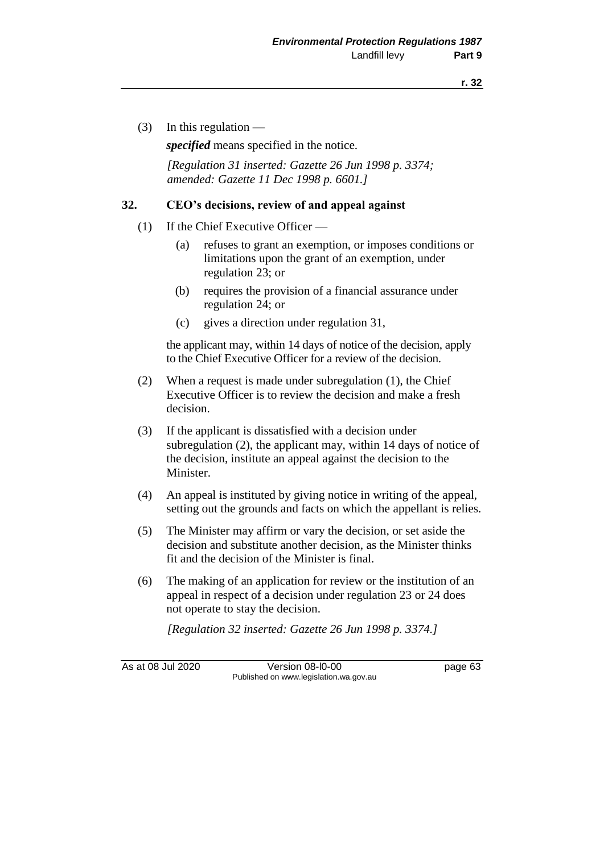(3) In this regulation  $-$ 

*specified* means specified in the notice.

*[Regulation 31 inserted: Gazette 26 Jun 1998 p. 3374; amended: Gazette 11 Dec 1998 p. 6601.]*

#### **32. CEO's decisions, review of and appeal against**

- (1) If the Chief Executive Officer
	- (a) refuses to grant an exemption, or imposes conditions or limitations upon the grant of an exemption, under regulation 23; or
	- (b) requires the provision of a financial assurance under regulation 24; or
	- (c) gives a direction under regulation 31,

the applicant may, within 14 days of notice of the decision, apply to the Chief Executive Officer for a review of the decision.

- (2) When a request is made under subregulation (1), the Chief Executive Officer is to review the decision and make a fresh decision.
- (3) If the applicant is dissatisfied with a decision under subregulation (2), the applicant may, within 14 days of notice of the decision, institute an appeal against the decision to the Minister.
- (4) An appeal is instituted by giving notice in writing of the appeal, setting out the grounds and facts on which the appellant is relies.
- (5) The Minister may affirm or vary the decision, or set aside the decision and substitute another decision, as the Minister thinks fit and the decision of the Minister is final.
- (6) The making of an application for review or the institution of an appeal in respect of a decision under regulation 23 or 24 does not operate to stay the decision.

*[Regulation 32 inserted: Gazette 26 Jun 1998 p. 3374.]*

As at 08 Jul 2020 Version 08-l0-00 page 63 Published on www.legislation.wa.gov.au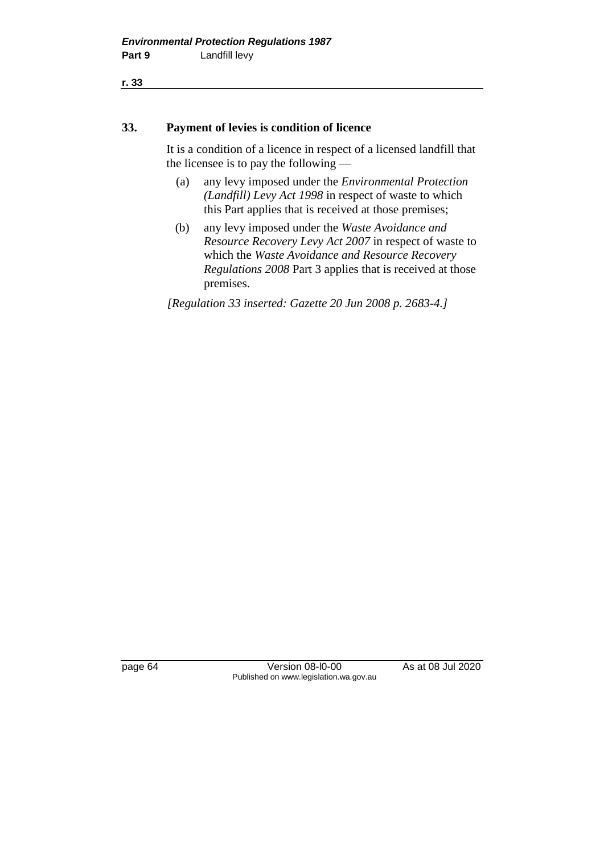**r. 33**

#### **33. Payment of levies is condition of licence**

It is a condition of a licence in respect of a licensed landfill that the licensee is to pay the following —

- (a) any levy imposed under the *Environmental Protection (Landfill) Levy Act 1998* in respect of waste to which this Part applies that is received at those premises;
- (b) any levy imposed under the *Waste Avoidance and Resource Recovery Levy Act 2007* in respect of waste to which the *Waste Avoidance and Resource Recovery Regulations 2008* Part 3 applies that is received at those premises.

*[Regulation 33 inserted: Gazette 20 Jun 2008 p. 2683-4.]*

page 64 Version 08-l0-00 As at 08 Jul 2020 Published on www.legislation.wa.gov.au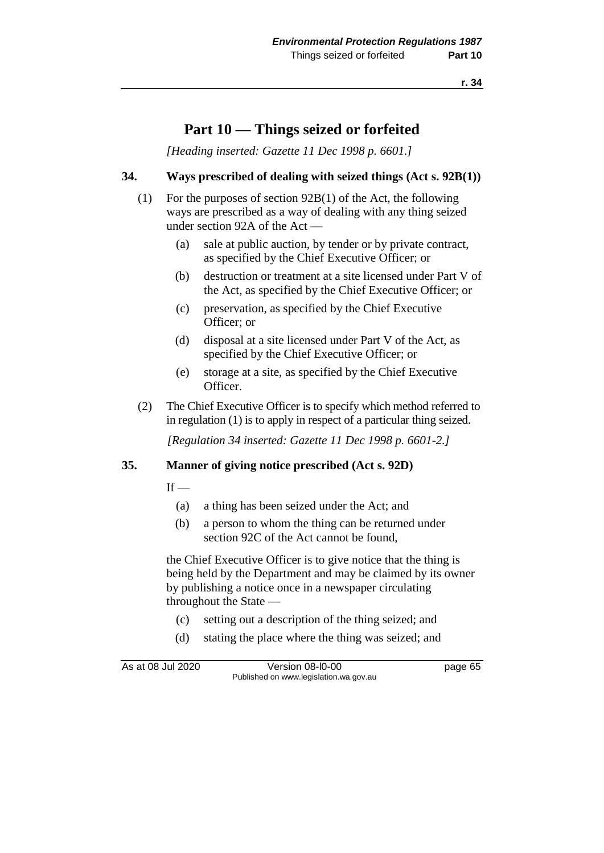## **Part 10 — Things seized or forfeited**

*[Heading inserted: Gazette 11 Dec 1998 p. 6601.]*

### **34. Ways prescribed of dealing with seized things (Act s. 92B(1))**

- (1) For the purposes of section 92B(1) of the Act, the following ways are prescribed as a way of dealing with any thing seized under section 92A of the Act —
	- (a) sale at public auction, by tender or by private contract, as specified by the Chief Executive Officer; or
	- (b) destruction or treatment at a site licensed under Part V of the Act, as specified by the Chief Executive Officer; or
	- (c) preservation, as specified by the Chief Executive Officer; or
	- (d) disposal at a site licensed under Part V of the Act, as specified by the Chief Executive Officer; or
	- (e) storage at a site, as specified by the Chief Executive Officer.
- (2) The Chief Executive Officer is to specify which method referred to in regulation (1) is to apply in respect of a particular thing seized.

*[Regulation 34 inserted: Gazette 11 Dec 1998 p. 6601-2.]*

#### **35. Manner of giving notice prescribed (Act s. 92D)**

 $If$  —

- (a) a thing has been seized under the Act; and
- (b) a person to whom the thing can be returned under section 92C of the Act cannot be found,

the Chief Executive Officer is to give notice that the thing is being held by the Department and may be claimed by its owner by publishing a notice once in a newspaper circulating throughout the State —

- (c) setting out a description of the thing seized; and
- (d) stating the place where the thing was seized; and

As at 08 Jul 2020 Version 08-l0-00 page 65 Published on www.legislation.wa.gov.au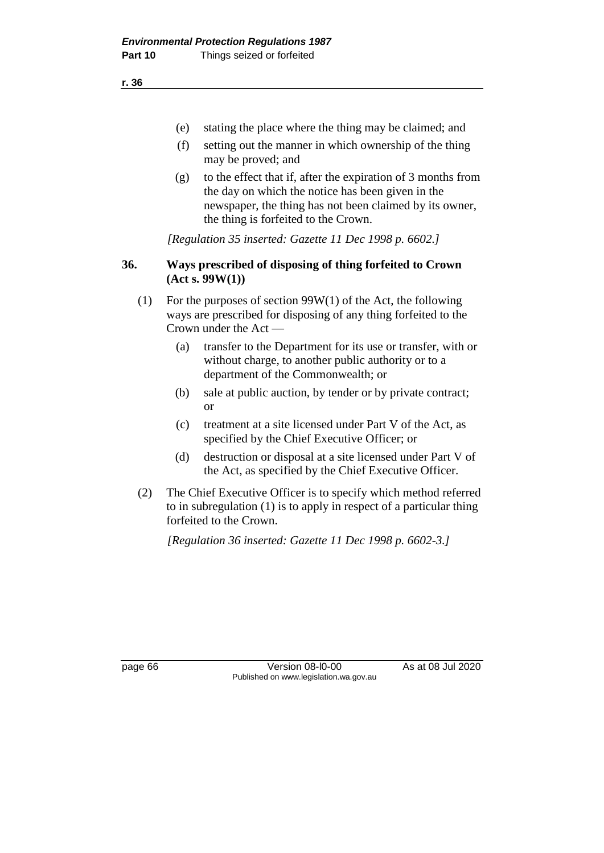(e) stating the place where the thing may be claimed; and

- (f) setting out the manner in which ownership of the thing may be proved; and
- (g) to the effect that if, after the expiration of 3 months from the day on which the notice has been given in the newspaper, the thing has not been claimed by its owner, the thing is forfeited to the Crown.

*[Regulation 35 inserted: Gazette 11 Dec 1998 p. 6602.]*

### **36. Ways prescribed of disposing of thing forfeited to Crown (Act s. 99W(1))**

- (1) For the purposes of section 99W(1) of the Act, the following ways are prescribed for disposing of any thing forfeited to the Crown under the Act —
	- (a) transfer to the Department for its use or transfer, with or without charge, to another public authority or to a department of the Commonwealth; or
	- (b) sale at public auction, by tender or by private contract; or
	- (c) treatment at a site licensed under Part V of the Act, as specified by the Chief Executive Officer; or
	- (d) destruction or disposal at a site licensed under Part V of the Act, as specified by the Chief Executive Officer.
- (2) The Chief Executive Officer is to specify which method referred to in subregulation (1) is to apply in respect of a particular thing forfeited to the Crown.

*[Regulation 36 inserted: Gazette 11 Dec 1998 p. 6602-3.]*

page 66 Version 08-l0-00 As at 08 Jul 2020 Published on www.legislation.wa.gov.au

**r. 36**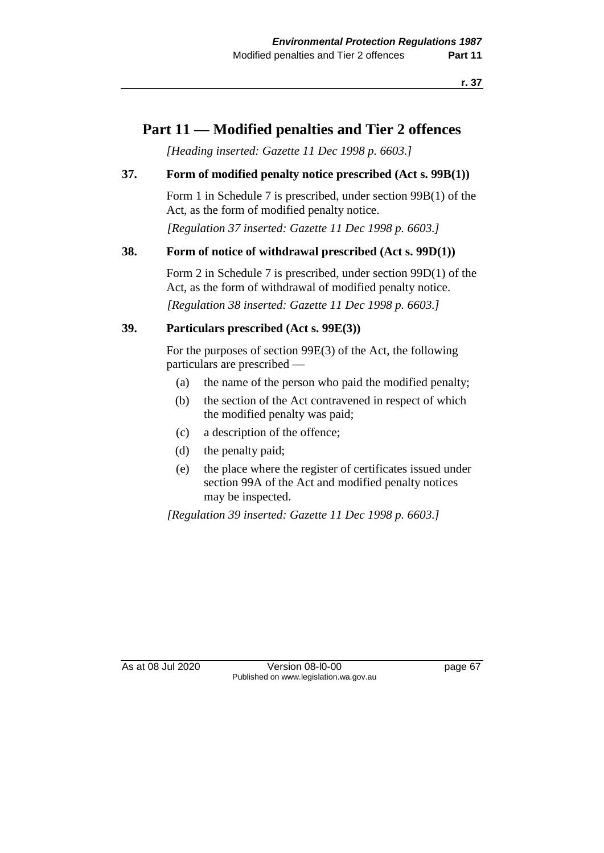## **Part 11 — Modified penalties and Tier 2 offences**

*[Heading inserted: Gazette 11 Dec 1998 p. 6603.]*

### **37. Form of modified penalty notice prescribed (Act s. 99B(1))**

Form 1 in Schedule 7 is prescribed, under section 99B(1) of the Act, as the form of modified penalty notice. *[Regulation 37 inserted: Gazette 11 Dec 1998 p. 6603.]*

### **38. Form of notice of withdrawal prescribed (Act s. 99D(1))**

Form 2 in Schedule 7 is prescribed, under section 99D(1) of the Act, as the form of withdrawal of modified penalty notice.

*[Regulation 38 inserted: Gazette 11 Dec 1998 p. 6603.]*

### **39. Particulars prescribed (Act s. 99E(3))**

For the purposes of section 99E(3) of the Act, the following particulars are prescribed —

- (a) the name of the person who paid the modified penalty;
- (b) the section of the Act contravened in respect of which the modified penalty was paid;
- (c) a description of the offence;
- (d) the penalty paid;
- (e) the place where the register of certificates issued under section 99A of the Act and modified penalty notices may be inspected.

*[Regulation 39 inserted: Gazette 11 Dec 1998 p. 6603.]*

As at 08 Jul 2020 Version 08-l0-00 page 67 Published on www.legislation.wa.gov.au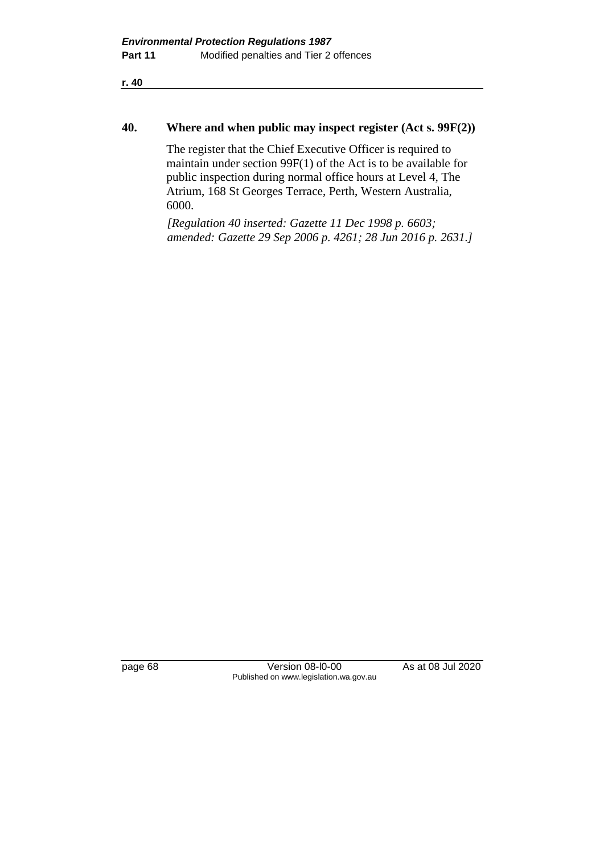**r. 40**

#### **40. Where and when public may inspect register (Act s. 99F(2))**

The register that the Chief Executive Officer is required to maintain under section 99F(1) of the Act is to be available for public inspection during normal office hours at Level 4, The Atrium, 168 St Georges Terrace, Perth, Western Australia, 6000.

*[Regulation 40 inserted: Gazette 11 Dec 1998 p. 6603; amended: Gazette 29 Sep 2006 p. 4261; 28 Jun 2016 p. 2631.]*

page 68 Version 08-l0-00 As at 08 Jul 2020 Published on www.legislation.wa.gov.au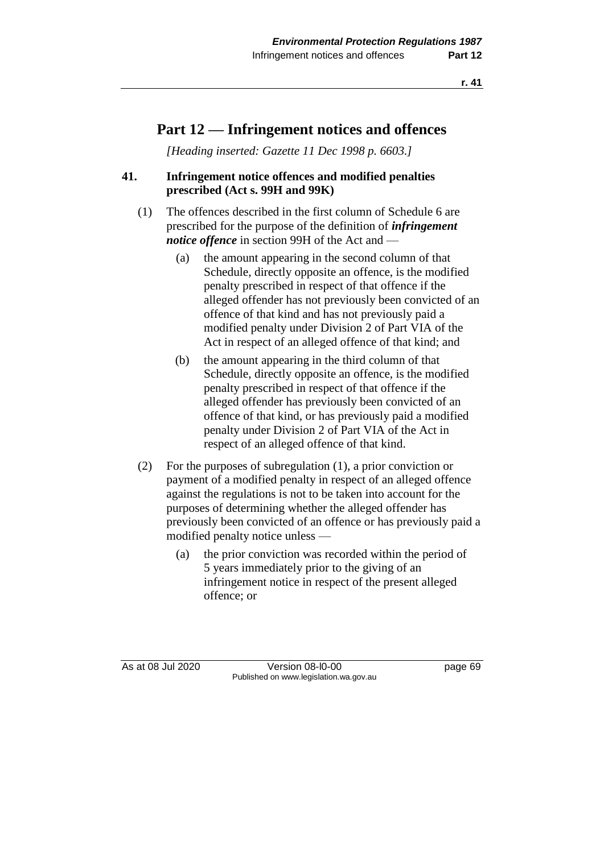## **Part 12 — Infringement notices and offences**

*[Heading inserted: Gazette 11 Dec 1998 p. 6603.]*

### **41. Infringement notice offences and modified penalties prescribed (Act s. 99H and 99K)**

- (1) The offences described in the first column of Schedule 6 are prescribed for the purpose of the definition of *infringement notice offence* in section 99H of the Act and —
	- (a) the amount appearing in the second column of that Schedule, directly opposite an offence, is the modified penalty prescribed in respect of that offence if the alleged offender has not previously been convicted of an offence of that kind and has not previously paid a modified penalty under Division 2 of Part VIA of the Act in respect of an alleged offence of that kind; and
	- (b) the amount appearing in the third column of that Schedule, directly opposite an offence, is the modified penalty prescribed in respect of that offence if the alleged offender has previously been convicted of an offence of that kind, or has previously paid a modified penalty under Division 2 of Part VIA of the Act in respect of an alleged offence of that kind.
- (2) For the purposes of subregulation (1), a prior conviction or payment of a modified penalty in respect of an alleged offence against the regulations is not to be taken into account for the purposes of determining whether the alleged offender has previously been convicted of an offence or has previously paid a modified penalty notice unless —
	- (a) the prior conviction was recorded within the period of 5 years immediately prior to the giving of an infringement notice in respect of the present alleged offence; or

As at 08 Jul 2020 Version 08-l0-00 page 69 Published on www.legislation.wa.gov.au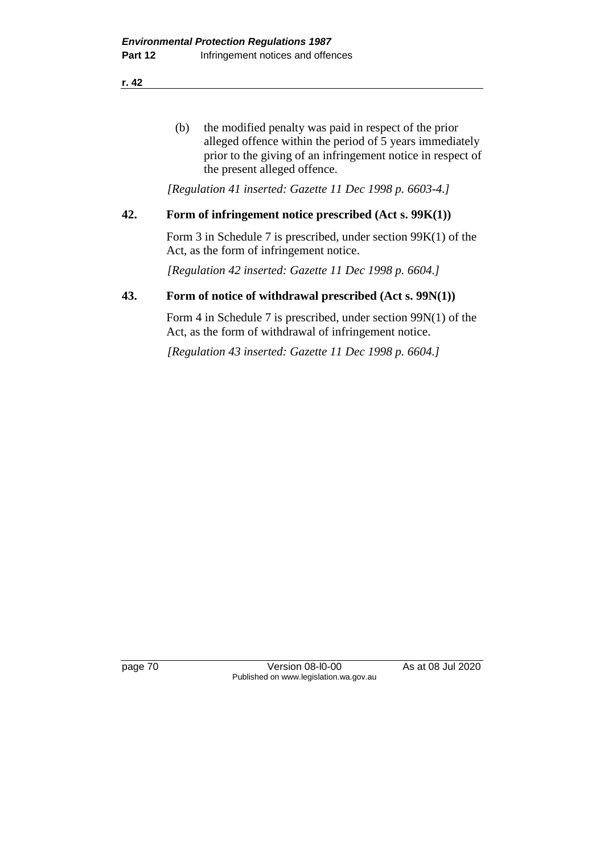**r. 42**

(b) the modified penalty was paid in respect of the prior alleged offence within the period of 5 years immediately prior to the giving of an infringement notice in respect of the present alleged offence.

*[Regulation 41 inserted: Gazette 11 Dec 1998 p. 6603-4.]*

### **42. Form of infringement notice prescribed (Act s. 99K(1))**

Form 3 in Schedule 7 is prescribed, under section 99K(1) of the Act, as the form of infringement notice.

*[Regulation 42 inserted: Gazette 11 Dec 1998 p. 6604.]*

### **43. Form of notice of withdrawal prescribed (Act s. 99N(1))**

Form 4 in Schedule 7 is prescribed, under section 99N(1) of the Act, as the form of withdrawal of infringement notice.

*[Regulation 43 inserted: Gazette 11 Dec 1998 p. 6604.]*

page 70 Version 08-l0-00 As at 08 Jul 2020 Published on www.legislation.wa.gov.au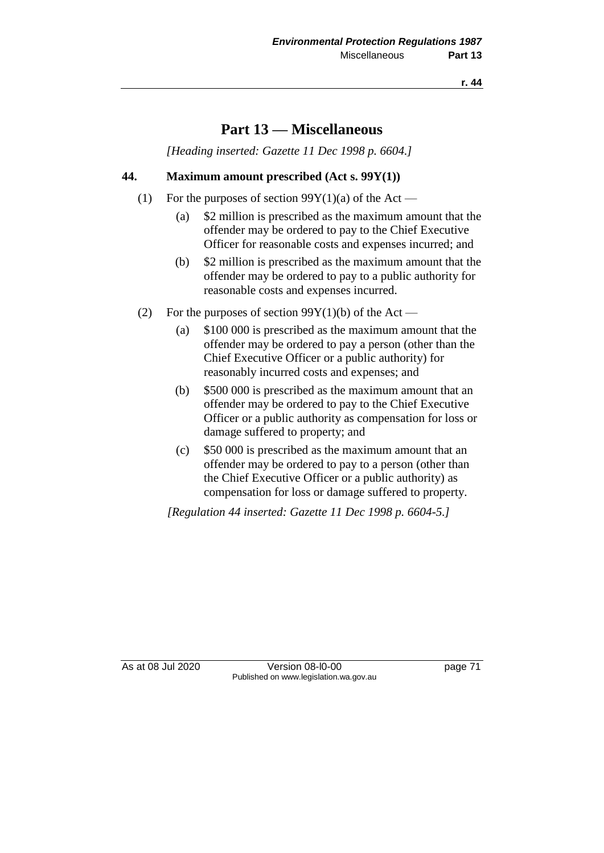### **Part 13 — Miscellaneous**

*[Heading inserted: Gazette 11 Dec 1998 p. 6604.]*

### **44. Maximum amount prescribed (Act s. 99Y(1))**

- (1) For the purposes of section  $99Y(1)(a)$  of the Act
	- (a) \$2 million is prescribed as the maximum amount that the offender may be ordered to pay to the Chief Executive Officer for reasonable costs and expenses incurred; and
	- (b) \$2 million is prescribed as the maximum amount that the offender may be ordered to pay to a public authority for reasonable costs and expenses incurred.
- (2) For the purposes of section  $99Y(1)(b)$  of the Act
	- (a) \$100 000 is prescribed as the maximum amount that the offender may be ordered to pay a person (other than the Chief Executive Officer or a public authority) for reasonably incurred costs and expenses; and
	- (b) \$500 000 is prescribed as the maximum amount that an offender may be ordered to pay to the Chief Executive Officer or a public authority as compensation for loss or damage suffered to property; and
	- (c) \$50 000 is prescribed as the maximum amount that an offender may be ordered to pay to a person (other than the Chief Executive Officer or a public authority) as compensation for loss or damage suffered to property.

*[Regulation 44 inserted: Gazette 11 Dec 1998 p. 6604-5.]*

As at 08 Jul 2020 Version 08-l0-00 page 71 Published on www.legislation.wa.gov.au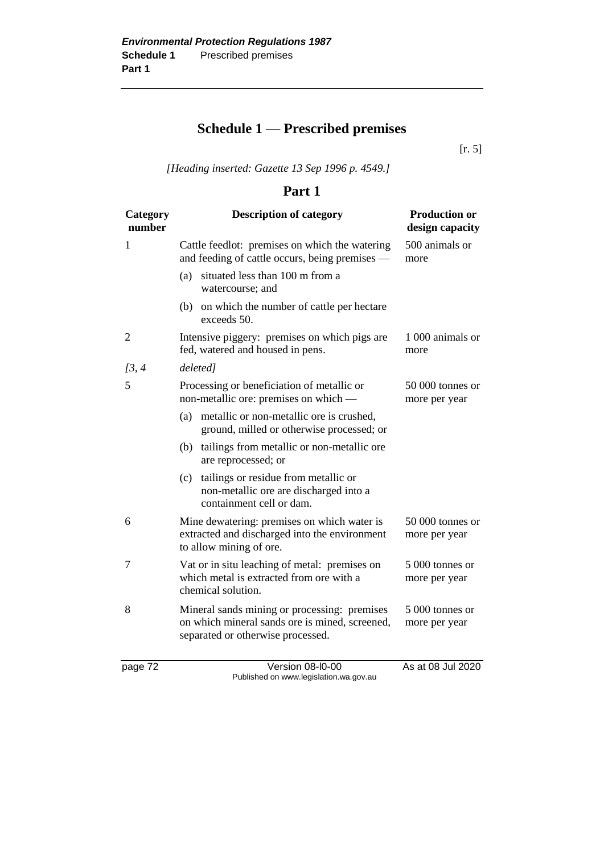# **Schedule 1 — Prescribed premises**

[r. 5]

*[Heading inserted: Gazette 13 Sep 1996 p. 4549.]*

### **Part 1**

| Category<br>number | <b>Description of category</b>                                                                                                      | <b>Production or</b><br>design capacity |
|--------------------|-------------------------------------------------------------------------------------------------------------------------------------|-----------------------------------------|
| 1                  | Cattle feedlot: premises on which the watering<br>and feeding of cattle occurs, being premises —                                    | 500 animals or<br>more                  |
|                    | situated less than 100 m from a<br>(a)<br>watercourse; and                                                                          |                                         |
|                    | on which the number of cattle per hectare<br>(b)<br>exceeds 50.                                                                     |                                         |
| $\overline{2}$     | Intensive piggery: premises on which pigs are<br>fed, watered and housed in pens.                                                   | 1 000 animals or<br>more                |
| [3, 4]             | deleted]                                                                                                                            |                                         |
| 5                  | Processing or beneficiation of metallic or<br>non-metallic ore: premises on which —                                                 | 50 000 tonnes or<br>more per year       |
|                    | metallic or non-metallic ore is crushed,<br>(a)<br>ground, milled or otherwise processed; or                                        |                                         |
|                    | tailings from metallic or non-metallic ore<br>(b)<br>are reprocessed; or                                                            |                                         |
|                    | tailings or residue from metallic or<br>(c)<br>non-metallic ore are discharged into a<br>containment cell or dam.                   |                                         |
| 6                  | Mine dewatering: premises on which water is<br>extracted and discharged into the environment<br>to allow mining of ore.             | 50 000 tonnes or<br>more per year       |
| 7                  | Vat or in situ leaching of metal: premises on<br>which metal is extracted from ore with a<br>chemical solution.                     | 5 000 tonnes or<br>more per year        |
| 8                  | Mineral sands mining or processing: premises<br>on which mineral sands ore is mined, screened,<br>separated or otherwise processed. | 5 000 tonnes or<br>more per year        |

page 72 Version 08-l0-00 As at 08 Jul 2020 Published on www.legislation.wa.gov.au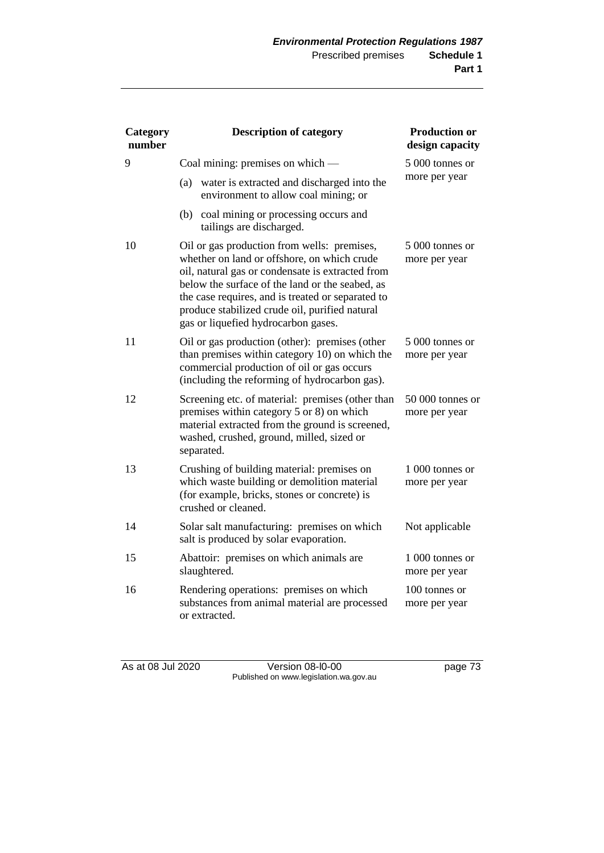| Category<br>number | <b>Description of category</b>                                                                                                                                                                                                                                                                                                                  | <b>Production or</b><br>design capacity |
|--------------------|-------------------------------------------------------------------------------------------------------------------------------------------------------------------------------------------------------------------------------------------------------------------------------------------------------------------------------------------------|-----------------------------------------|
| 9                  | Coal mining: premises on which —                                                                                                                                                                                                                                                                                                                | 5 000 tonnes or                         |
|                    | (a)<br>water is extracted and discharged into the<br>environment to allow coal mining; or                                                                                                                                                                                                                                                       | more per year                           |
|                    | (b) coal mining or processing occurs and<br>tailings are discharged.                                                                                                                                                                                                                                                                            |                                         |
| 10                 | Oil or gas production from wells: premises,<br>whether on land or offshore, on which crude<br>oil, natural gas or condensate is extracted from<br>below the surface of the land or the seabed, as<br>the case requires, and is treated or separated to<br>produce stabilized crude oil, purified natural<br>gas or liquefied hydrocarbon gases. | 5 000 tonnes or<br>more per year        |
| 11                 | Oil or gas production (other): premises (other<br>than premises within category 10) on which the<br>commercial production of oil or gas occurs<br>(including the reforming of hydrocarbon gas).                                                                                                                                                 | 5 000 tonnes or<br>more per year        |
| 12                 | Screening etc. of material: premises (other than<br>premises within category 5 or 8) on which<br>material extracted from the ground is screened,<br>washed, crushed, ground, milled, sized or<br>separated.                                                                                                                                     | 50 000 tonnes or<br>more per year       |
| 13                 | Crushing of building material: premises on<br>which waste building or demolition material<br>(for example, bricks, stones or concrete) is<br>crushed or cleaned.                                                                                                                                                                                | 1 000 tonnes or<br>more per year        |
| 14                 | Solar salt manufacturing: premises on which<br>salt is produced by solar evaporation.                                                                                                                                                                                                                                                           | Not applicable                          |
| 15                 | Abattoir: premises on which animals are<br>slaughtered.                                                                                                                                                                                                                                                                                         | 1 000 tonnes or<br>more per year        |
| 16                 | Rendering operations: premises on which<br>substances from animal material are processed<br>or extracted.                                                                                                                                                                                                                                       | 100 tonnes or<br>more per year          |

As at 08 Jul 2020 Version 08-l0-00 page 73 Published on www.legislation.wa.gov.au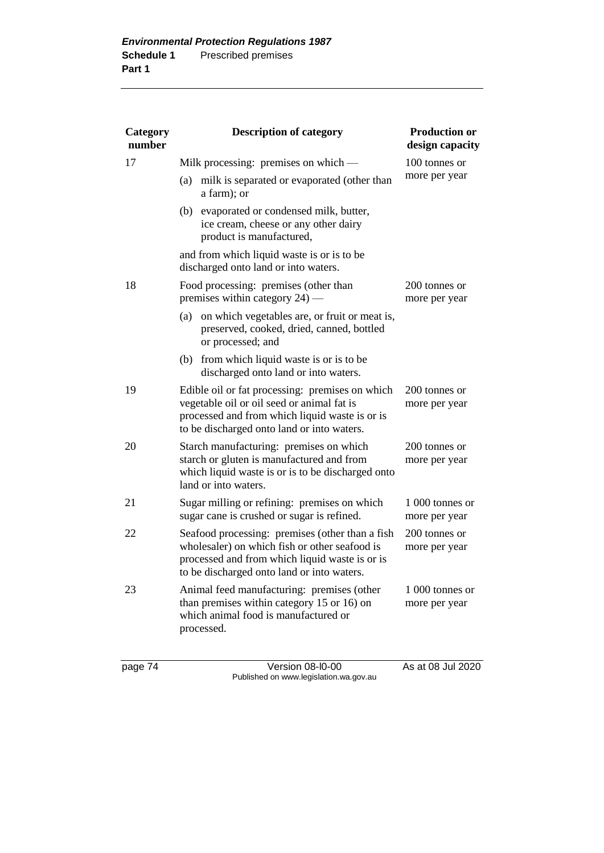| Category<br>number | <b>Description of category</b>                                                                                                                                                                   | <b>Production or</b><br>design capacity |
|--------------------|--------------------------------------------------------------------------------------------------------------------------------------------------------------------------------------------------|-----------------------------------------|
| 17                 | Milk processing: premises on which —                                                                                                                                                             | 100 tonnes or                           |
|                    | milk is separated or evaporated (other than<br>(a)<br>a farm); or                                                                                                                                | more per year                           |
|                    | (b) evaporated or condensed milk, butter,<br>ice cream, cheese or any other dairy<br>product is manufactured,                                                                                    |                                         |
|                    | and from which liquid waste is or is to be<br>discharged onto land or into waters.                                                                                                               |                                         |
| 18                 | Food processing: premises (other than<br>premises within category 24) —                                                                                                                          | 200 tonnes or<br>more per year          |
|                    | on which vegetables are, or fruit or meat is,<br>(a)<br>preserved, cooked, dried, canned, bottled<br>or processed; and                                                                           |                                         |
|                    | (b) from which liquid waste is or is to be<br>discharged onto land or into waters.                                                                                                               |                                         |
| 19                 | Edible oil or fat processing: premises on which<br>vegetable oil or oil seed or animal fat is<br>processed and from which liquid waste is or is<br>to be discharged onto land or into waters.    | 200 tonnes or<br>more per year          |
| 20                 | Starch manufacturing: premises on which<br>starch or gluten is manufactured and from<br>which liquid waste is or is to be discharged onto<br>land or into waters.                                | 200 tonnes or<br>more per year          |
| 21                 | Sugar milling or refining: premises on which<br>sugar cane is crushed or sugar is refined.                                                                                                       | 1 000 tonnes or<br>more per year        |
| 22                 | Seafood processing: premises (other than a fish<br>wholesaler) on which fish or other seafood is<br>processed and from which liquid waste is or is<br>to be discharged onto land or into waters. | 200 tonnes or<br>more per year          |
| 23                 | Animal feed manufacturing: premises (other<br>than premises within category 15 or 16) on<br>which animal food is manufactured or<br>processed.                                                   | 1 000 tonnes or<br>more per year        |

page 74 Version 08-l0-00 As at 08 Jul 2020 Published on www.legislation.wa.gov.au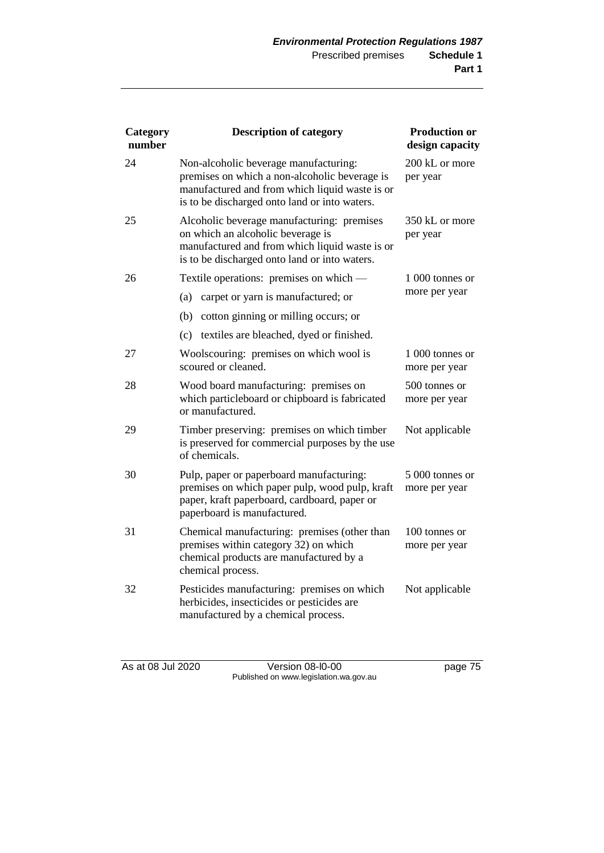| Category<br>number | <b>Description of category</b>                                                                                                                                                            | <b>Production or</b><br>design capacity |
|--------------------|-------------------------------------------------------------------------------------------------------------------------------------------------------------------------------------------|-----------------------------------------|
| 24                 | Non-alcoholic beverage manufacturing:<br>premises on which a non-alcoholic beverage is<br>manufactured and from which liquid waste is or<br>is to be discharged onto land or into waters. | 200 kL or more<br>per year              |
| 25                 | Alcoholic beverage manufacturing: premises<br>on which an alcoholic beverage is<br>manufactured and from which liquid waste is or<br>is to be discharged onto land or into waters.        | 350 kL or more<br>per year              |
| 26                 | Textile operations: premises on which —                                                                                                                                                   | 1 000 tonnes or                         |
|                    | carpet or yarn is manufactured; or<br>(a)                                                                                                                                                 | more per year                           |
|                    | (b)<br>cotton ginning or milling occurs; or                                                                                                                                               |                                         |
|                    | textiles are bleached, dyed or finished.<br>(c)                                                                                                                                           |                                         |
| 27                 | Woolscouring: premises on which wool is<br>scoured or cleaned.                                                                                                                            | 1 000 tonnes or<br>more per year        |
| 28                 | Wood board manufacturing: premises on<br>which particleboard or chipboard is fabricated<br>or manufactured.                                                                               | 500 tonnes or<br>more per year          |
| 29                 | Timber preserving: premises on which timber<br>is preserved for commercial purposes by the use<br>of chemicals.                                                                           | Not applicable                          |
| 30                 | Pulp, paper or paperboard manufacturing:<br>premises on which paper pulp, wood pulp, kraft<br>paper, kraft paperboard, cardboard, paper or<br>paperboard is manufactured.                 | 5 000 tonnes or<br>more per year        |
| 31                 | Chemical manufacturing: premises (other than<br>premises within category 32) on which<br>chemical products are manufactured by a<br>chemical process.                                     | 100 tonnes or<br>more per year          |
| 32                 | Pesticides manufacturing: premises on which<br>herbicides, insecticides or pesticides are<br>manufactured by a chemical process.                                                          | Not applicable                          |

As at 08 Jul 2020 Version 08-l0-00 page 75 Published on www.legislation.wa.gov.au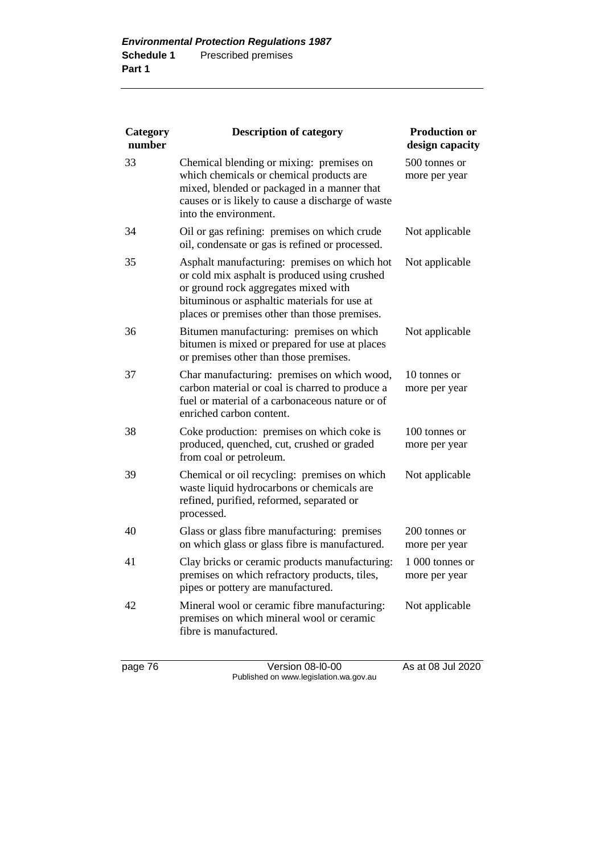| Category<br>number | <b>Description of category</b>                                                                                                                                                                                                         | <b>Production or</b><br>design capacity |
|--------------------|----------------------------------------------------------------------------------------------------------------------------------------------------------------------------------------------------------------------------------------|-----------------------------------------|
| 33                 | Chemical blending or mixing: premises on<br>which chemicals or chemical products are<br>mixed, blended or packaged in a manner that<br>causes or is likely to cause a discharge of waste<br>into the environment.                      | 500 tonnes or<br>more per year          |
| 34                 | Oil or gas refining: premises on which crude<br>oil, condensate or gas is refined or processed.                                                                                                                                        | Not applicable                          |
| 35                 | Asphalt manufacturing: premises on which hot<br>or cold mix asphalt is produced using crushed<br>or ground rock aggregates mixed with<br>bituminous or asphaltic materials for use at<br>places or premises other than those premises. | Not applicable                          |
| 36                 | Bitumen manufacturing: premises on which<br>bitumen is mixed or prepared for use at places<br>or premises other than those premises.                                                                                                   | Not applicable                          |
| 37                 | Char manufacturing: premises on which wood,<br>carbon material or coal is charred to produce a<br>fuel or material of a carbonaceous nature or of<br>enriched carbon content.                                                          | 10 tonnes or<br>more per year           |
| 38                 | Coke production: premises on which coke is<br>produced, quenched, cut, crushed or graded<br>from coal or petroleum.                                                                                                                    | 100 tonnes or<br>more per year          |
| 39                 | Chemical or oil recycling: premises on which<br>waste liquid hydrocarbons or chemicals are<br>refined, purified, reformed, separated or<br>processed.                                                                                  | Not applicable                          |
| 40                 | Glass or glass fibre manufacturing: premises<br>on which glass or glass fibre is manufactured.                                                                                                                                         | 200 tonnes or<br>more per year          |
| 41                 | Clay bricks or ceramic products manufacturing:<br>premises on which refractory products, tiles,<br>pipes or pottery are manufactured.                                                                                                  | 1 000 tonnes or<br>more per year        |
| 42                 | Mineral wool or ceramic fibre manufacturing:<br>premises on which mineral wool or ceramic<br>fibre is manufactured.                                                                                                                    | Not applicable                          |

page 76 Version 08-l0-00 As at 08 Jul 2020 Published on www.legislation.wa.gov.au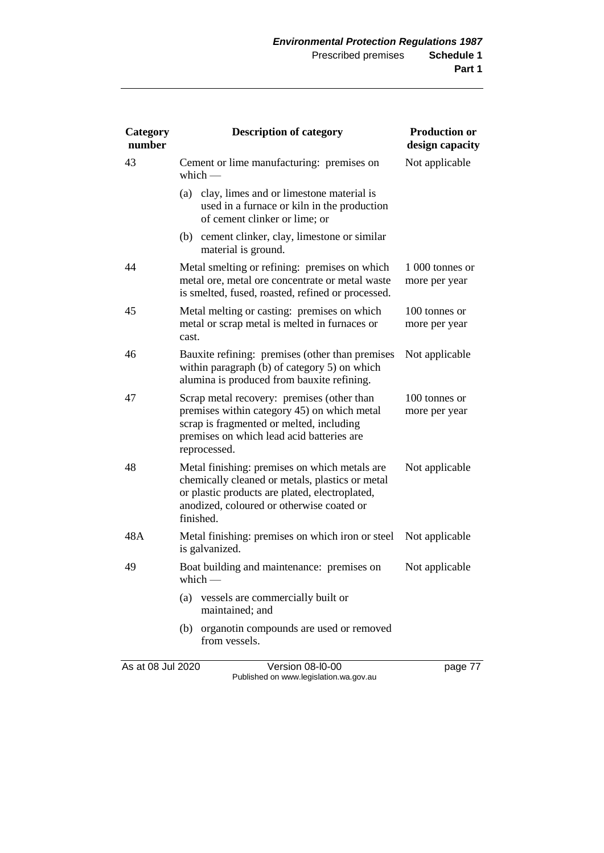| Category<br>number | <b>Description of category</b>                                                                                                                                                                               | <b>Production or</b><br>design capacity |
|--------------------|--------------------------------------------------------------------------------------------------------------------------------------------------------------------------------------------------------------|-----------------------------------------|
| 43                 | Cement or lime manufacturing: premises on<br>which $-$                                                                                                                                                       | Not applicable                          |
|                    | clay, limes and or limestone material is<br>(a)<br>used in a furnace or kiln in the production<br>of cement clinker or lime; or                                                                              |                                         |
|                    | (b) cement clinker, clay, limestone or similar<br>material is ground.                                                                                                                                        |                                         |
| 44                 | Metal smelting or refining: premises on which<br>metal ore, metal ore concentrate or metal waste<br>is smelted, fused, roasted, refined or processed.                                                        | 1 000 tonnes or<br>more per year        |
| 45                 | Metal melting or casting: premises on which<br>metal or scrap metal is melted in furnaces or<br>cast.                                                                                                        | 100 tonnes or<br>more per year          |
| 46                 | Bauxite refining: premises (other than premises<br>within paragraph (b) of category 5) on which<br>alumina is produced from bauxite refining.                                                                | Not applicable                          |
| 47                 | Scrap metal recovery: premises (other than<br>premises within category 45) on which metal<br>scrap is fragmented or melted, including<br>premises on which lead acid batteries are<br>reprocessed.           | 100 tonnes or<br>more per year          |
| 48                 | Metal finishing: premises on which metals are<br>chemically cleaned or metals, plastics or metal<br>or plastic products are plated, electroplated,<br>anodized, coloured or otherwise coated or<br>finished. | Not applicable                          |
| 48A                | Metal finishing: premises on which iron or steel<br>is galvanized.                                                                                                                                           | Not applicable                          |
| 49                 | Boat building and maintenance: premises on<br>which —                                                                                                                                                        | Not applicable                          |
|                    | (a)<br>vessels are commercially built or<br>maintained; and                                                                                                                                                  |                                         |
|                    | (b) organotin compounds are used or removed<br>from vessels.                                                                                                                                                 |                                         |
| As at 08 Jul 2020  | Version 08-I0-00                                                                                                                                                                                             | page 77                                 |

Published on www.legislation.wa.gov.au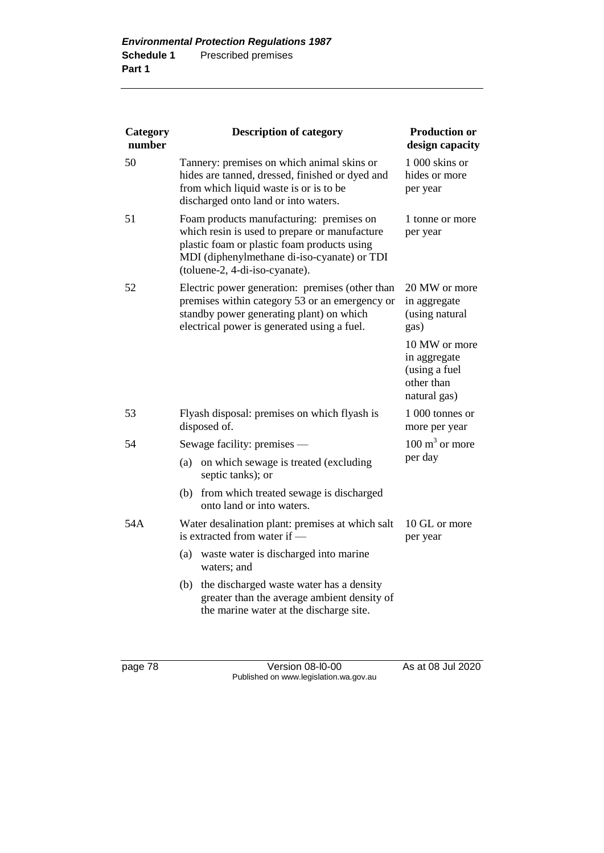| Category<br>number | <b>Description of category</b>                                                                                                                                                                                            | <b>Production or</b><br>design capacity                                      |
|--------------------|---------------------------------------------------------------------------------------------------------------------------------------------------------------------------------------------------------------------------|------------------------------------------------------------------------------|
| 50                 | Tannery: premises on which animal skins or<br>hides are tanned, dressed, finished or dyed and<br>from which liquid waste is or is to be<br>discharged onto land or into waters.                                           | 1 000 skins or<br>hides or more<br>per year                                  |
| 51                 | Foam products manufacturing: premises on<br>which resin is used to prepare or manufacture<br>plastic foam or plastic foam products using<br>MDI (diphenylmethane di-iso-cyanate) or TDI<br>(toluene-2, 4-di-iso-cyanate). | 1 tonne or more<br>per year                                                  |
| 52                 | Electric power generation: premises (other than<br>premises within category 53 or an emergency or<br>standby power generating plant) on which<br>electrical power is generated using a fuel.                              | 20 MW or more<br>in aggregate<br>(using natural<br>gas)                      |
|                    |                                                                                                                                                                                                                           | 10 MW or more<br>in aggregate<br>(using a fuel<br>other than<br>natural gas) |
| 53                 | Flyash disposal: premises on which flyash is<br>disposed of.                                                                                                                                                              | 1 000 tonnes or<br>more per year                                             |
| 54                 | Sewage facility: premises —                                                                                                                                                                                               | $100 \text{ m}^3$ or more                                                    |
|                    | on which sewage is treated (excluding<br>(a)<br>septic tanks); or                                                                                                                                                         | per day                                                                      |
|                    | (b) from which treated sewage is discharged<br>onto land or into waters.                                                                                                                                                  |                                                                              |
| 54A                | Water desalination plant: premises at which salt<br>is extracted from water if -                                                                                                                                          | 10 GL or more<br>per year                                                    |
|                    | waste water is discharged into marine<br>(a)<br>waters; and                                                                                                                                                               |                                                                              |
|                    | the discharged waste water has a density<br>(b)<br>greater than the average ambient density of<br>the marine water at the discharge site.                                                                                 |                                                                              |

page 78 Version 08-l0-00 As at 08 Jul 2020 Published on www.legislation.wa.gov.au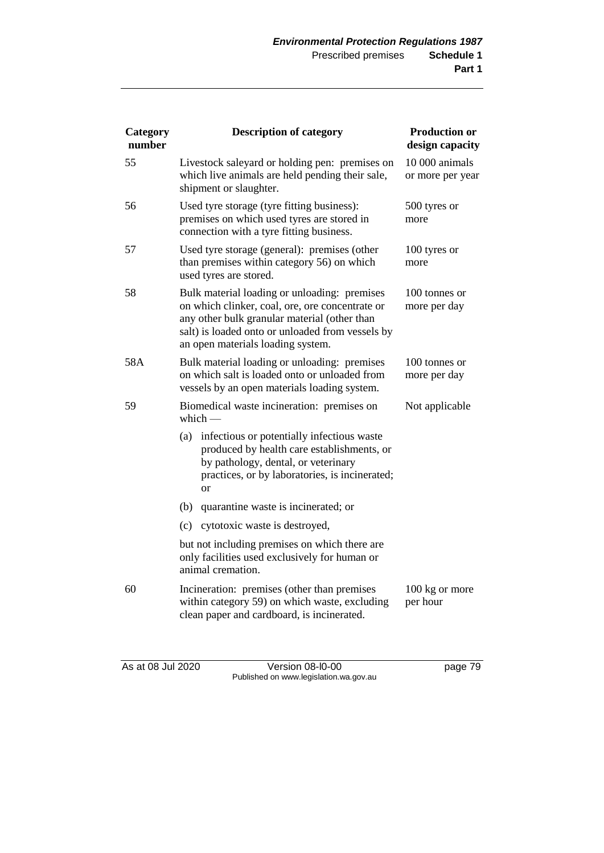| Category<br>number | <b>Description of category</b>                                                                                                                                                                                                           | <b>Production or</b><br>design capacity |
|--------------------|------------------------------------------------------------------------------------------------------------------------------------------------------------------------------------------------------------------------------------------|-----------------------------------------|
| 55                 | Livestock saleyard or holding pen: premises on<br>which live animals are held pending their sale,<br>shipment or slaughter.                                                                                                              | 10 000 animals<br>or more per year      |
| 56                 | Used tyre storage (tyre fitting business):<br>premises on which used tyres are stored in<br>connection with a tyre fitting business.                                                                                                     | 500 tyres or<br>more                    |
| 57                 | Used tyre storage (general): premises (other<br>than premises within category 56) on which<br>used tyres are stored.                                                                                                                     | 100 tyres or<br>more                    |
| 58                 | Bulk material loading or unloading: premises<br>on which clinker, coal, ore, ore concentrate or<br>any other bulk granular material (other than<br>salt) is loaded onto or unloaded from vessels by<br>an open materials loading system. | 100 tonnes or<br>more per day           |
| 58A                | Bulk material loading or unloading: premises<br>on which salt is loaded onto or unloaded from<br>vessels by an open materials loading system.                                                                                            | 100 tonnes or<br>more per day           |
| 59                 | Biomedical waste incineration: premises on<br>which $-$                                                                                                                                                                                  | Not applicable                          |
|                    | infectious or potentially infectious waste<br>(a)<br>produced by health care establishments, or<br>by pathology, dental, or veterinary<br>practices, or by laboratories, is incinerated;<br><b>or</b>                                    |                                         |
|                    | (b)<br>quarantine waste is incinerated; or                                                                                                                                                                                               |                                         |
|                    | (c)<br>cytotoxic waste is destroyed,                                                                                                                                                                                                     |                                         |
|                    | but not including premises on which there are<br>only facilities used exclusively for human or<br>animal cremation.                                                                                                                      |                                         |
| 60                 | Incineration: premises (other than premises<br>within category 59) on which waste, excluding<br>clean paper and cardboard, is incinerated.                                                                                               | 100 kg or more<br>per hour              |

As at 08 Jul 2020 Version 08-l0-00 page 79 Published on www.legislation.wa.gov.au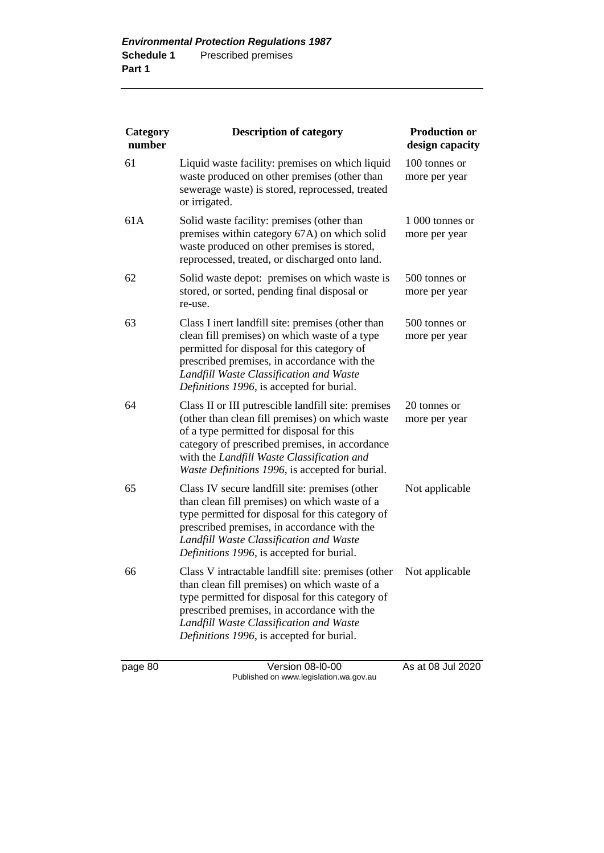| Category<br>number | <b>Description of category</b>                                                                                                                                                                                                                                                                         | <b>Production or</b><br>design capacity |
|--------------------|--------------------------------------------------------------------------------------------------------------------------------------------------------------------------------------------------------------------------------------------------------------------------------------------------------|-----------------------------------------|
| 61                 | Liquid waste facility: premises on which liquid<br>waste produced on other premises (other than<br>sewerage waste) is stored, reprocessed, treated<br>or irrigated.                                                                                                                                    | 100 tonnes or<br>more per year          |
| 61A                | Solid waste facility: premises (other than<br>premises within category 67A) on which solid<br>waste produced on other premises is stored,<br>reprocessed, treated, or discharged onto land.                                                                                                            | 1 000 tonnes or<br>more per year        |
| 62                 | Solid waste depot: premises on which waste is<br>stored, or sorted, pending final disposal or<br>re-use.                                                                                                                                                                                               | 500 tonnes or<br>more per year          |
| 63                 | Class I inert landfill site: premises (other than<br>clean fill premises) on which waste of a type<br>permitted for disposal for this category of<br>prescribed premises, in accordance with the<br>Landfill Waste Classification and Waste<br>Definitions 1996, is accepted for burial.               | 500 tonnes or<br>more per year          |
| 64                 | Class II or III putrescible landfill site: premises<br>(other than clean fill premises) on which waste<br>of a type permitted for disposal for this<br>category of prescribed premises, in accordance<br>with the Landfill Waste Classification and<br>Waste Definitions 1996, is accepted for burial. | 20 tonnes or<br>more per year           |
| 65                 | Class IV secure landfill site: premises (other<br>than clean fill premises) on which waste of a<br>type permitted for disposal for this category of<br>prescribed premises, in accordance with the<br>Landfill Waste Classification and Waste<br>Definitions 1996, is accepted for burial.             | Not applicable                          |
| 66                 | Class V intractable landfill site: premises (other<br>than clean fill premises) on which waste of a<br>type permitted for disposal for this category of<br>prescribed premises, in accordance with the<br>Landfill Waste Classification and Waste<br>Definitions 1996, is accepted for burial.         | Not applicable                          |

page 80 Version 08-l0-00 As at 08 Jul 2020 Published on www.legislation.wa.gov.au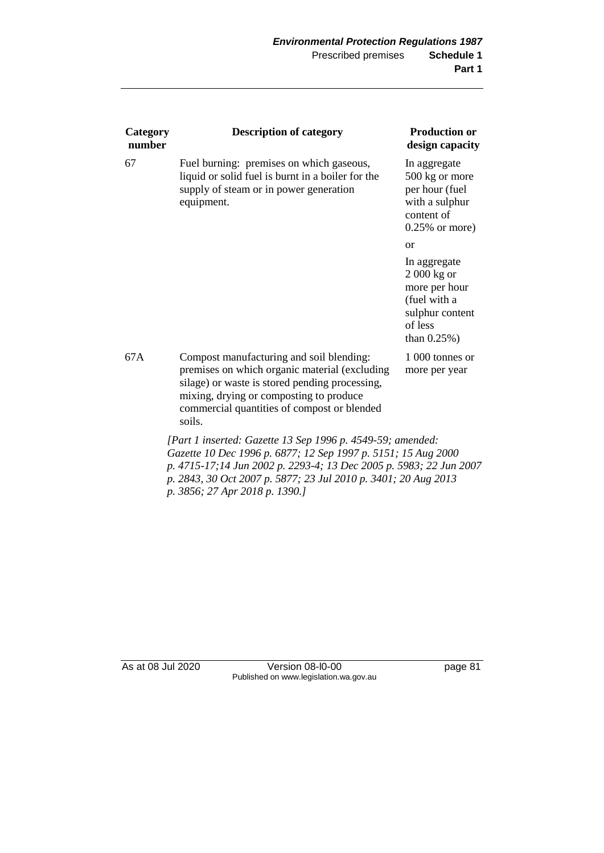| Category<br>number | <b>Description of category</b>                                                                                                                                                                                                                                                                        | <b>Production or</b><br>design capacity                                                                       |
|--------------------|-------------------------------------------------------------------------------------------------------------------------------------------------------------------------------------------------------------------------------------------------------------------------------------------------------|---------------------------------------------------------------------------------------------------------------|
| 67                 | Fuel burning: premises on which gaseous,<br>liquid or solid fuel is burnt in a boiler for the<br>supply of steam or in power generation<br>equipment.                                                                                                                                                 | In aggregate<br>500 kg or more<br>per hour (fuel<br>with a sulphur<br>content of<br>$0.25\%$ or more)         |
|                    |                                                                                                                                                                                                                                                                                                       | <sub>or</sub>                                                                                                 |
|                    |                                                                                                                                                                                                                                                                                                       | In aggregate<br>2 000 kg or<br>more per hour<br>(fuel with a<br>sulphur content<br>of less<br>than $0.25\%$ ) |
| 67A                | Compost manufacturing and soil blending:<br>premises on which organic material (excluding<br>silage) or waste is stored pending processing,<br>mixing, drying or composting to produce<br>commercial quantities of compost or blended<br>soils.                                                       | 1 000 tonnes or<br>more per year                                                                              |
|                    | [Part 1 inserted: Gazette 13 Sep 1996 p. 4549-59; amended:<br>Gazette 10 Dec 1996 p. 6877; 12 Sep 1997 p. 5151; 15 Aug 2000<br>p. 4715-17;14 Jun 2002 p. 2293-4; 13 Dec 2005 p. 5983; 22 Jun 2007<br>p. 2843, 30 Oct 2007 p. 5877; 23 Jul 2010 p. 3401; 20 Aug 2013<br>p. 3856; 27 Apr 2018 p. 1390.] |                                                                                                               |

As at 08 Jul 2020 Version 08-l0-00 page 81 Published on www.legislation.wa.gov.au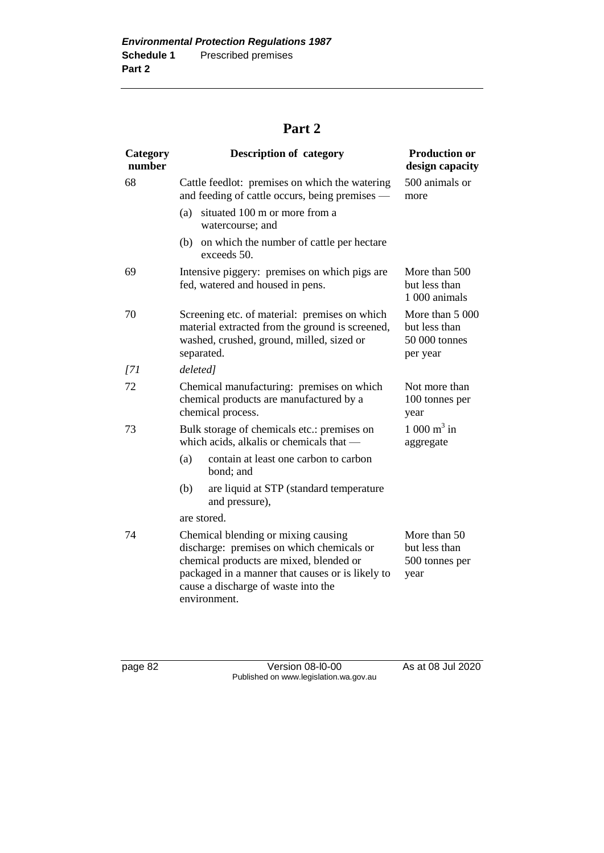## **Part 2**

| Category<br>number | <b>Description of category</b>                                                                                                                                                                                                         | <b>Production or</b><br>design capacity                       |
|--------------------|----------------------------------------------------------------------------------------------------------------------------------------------------------------------------------------------------------------------------------------|---------------------------------------------------------------|
| 68                 | Cattle feedlot: premises on which the watering<br>and feeding of cattle occurs, being premises —                                                                                                                                       | 500 animals or<br>more                                        |
|                    | situated 100 m or more from a<br>(a)<br>watercourse; and                                                                                                                                                                               |                                                               |
|                    | (b)<br>on which the number of cattle per hectare<br>exceeds 50.                                                                                                                                                                        |                                                               |
| 69                 | Intensive piggery: premises on which pigs are<br>fed, watered and housed in pens.                                                                                                                                                      | More than 500<br>but less than<br>1 000 animals               |
| 70                 | Screening etc. of material: premises on which<br>material extracted from the ground is screened,<br>washed, crushed, ground, milled, sized or<br>separated.                                                                            | More than 5 000<br>but less than<br>50 000 tonnes<br>per year |
| $\overline{171}$   | deleted]                                                                                                                                                                                                                               |                                                               |
| 72                 | Chemical manufacturing: premises on which<br>chemical products are manufactured by a<br>chemical process.                                                                                                                              | Not more than<br>100 tonnes per<br>year                       |
| 73                 | Bulk storage of chemicals etc.: premises on<br>which acids, alkalis or chemicals that —                                                                                                                                                | 1 000 $m^3$ in<br>aggregate                                   |
|                    | (a)<br>contain at least one carbon to carbon<br>bond; and                                                                                                                                                                              |                                                               |
|                    | (b)<br>are liquid at STP (standard temperature<br>and pressure),                                                                                                                                                                       |                                                               |
|                    | are stored.                                                                                                                                                                                                                            |                                                               |
| 74                 | Chemical blending or mixing causing<br>discharge: premises on which chemicals or<br>chemical products are mixed, blended or<br>packaged in a manner that causes or is likely to<br>cause a discharge of waste into the<br>environment. | More than 50<br>but less than<br>500 tonnes per<br>year       |

page 82 Version 08-l0-00 As at 08 Jul 2020 Published on www.legislation.wa.gov.au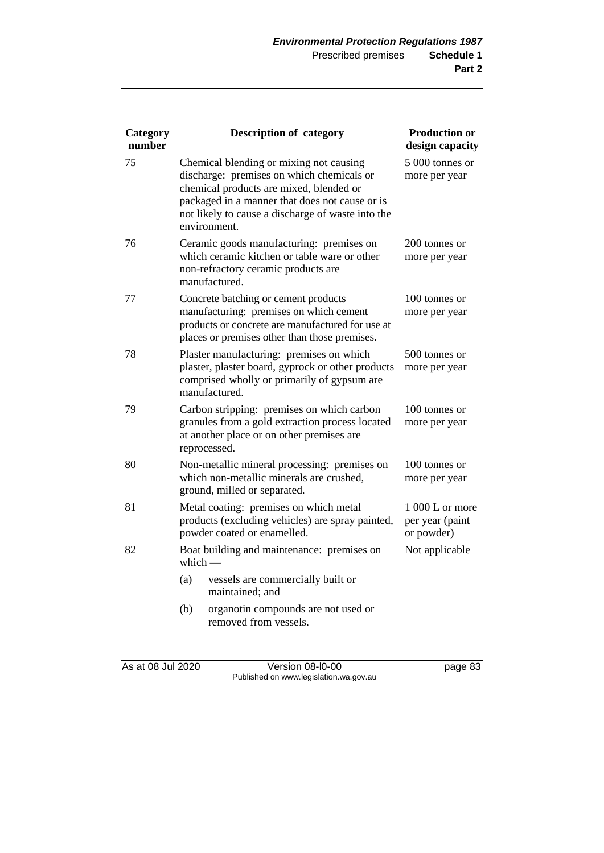| Category<br>number | <b>Description of category</b>                                                                                                                                                                                                                         | <b>Production or</b><br>design capacity           |
|--------------------|--------------------------------------------------------------------------------------------------------------------------------------------------------------------------------------------------------------------------------------------------------|---------------------------------------------------|
| 75                 | Chemical blending or mixing not causing<br>discharge: premises on which chemicals or<br>chemical products are mixed, blended or<br>packaged in a manner that does not cause or is<br>not likely to cause a discharge of waste into the<br>environment. | 5 000 tonnes or<br>more per year                  |
| 76                 | Ceramic goods manufacturing: premises on<br>which ceramic kitchen or table ware or other<br>non-refractory ceramic products are<br>manufactured.                                                                                                       | 200 tonnes or<br>more per year                    |
| 77                 | Concrete batching or cement products<br>manufacturing: premises on which cement<br>products or concrete are manufactured for use at<br>places or premises other than those premises.                                                                   | 100 tonnes or<br>more per year                    |
| 78                 | Plaster manufacturing: premises on which<br>plaster, plaster board, gyprock or other products<br>comprised wholly or primarily of gypsum are<br>manufactured.                                                                                          | 500 tonnes or<br>more per year                    |
| 79                 | Carbon stripping: premises on which carbon<br>granules from a gold extraction process located<br>at another place or on other premises are<br>reprocessed.                                                                                             | 100 tonnes or<br>more per year                    |
| 80                 | Non-metallic mineral processing: premises on<br>which non-metallic minerals are crushed,<br>ground, milled or separated.                                                                                                                               | 100 tonnes or<br>more per year                    |
| 81                 | Metal coating: premises on which metal<br>products (excluding vehicles) are spray painted,<br>powder coated or enamelled.                                                                                                                              | $1000 L$ or more<br>per year (paint<br>or powder) |
| 82                 | Boat building and maintenance: premises on<br>which $-$                                                                                                                                                                                                | Not applicable                                    |
|                    | (a)<br>vessels are commercially built or<br>maintained; and                                                                                                                                                                                            |                                                   |
|                    | (b)<br>organotin compounds are not used or<br>removed from vessels.                                                                                                                                                                                    |                                                   |

As at 08 Jul 2020 Version 08-l0-00 page 83 Published on www.legislation.wa.gov.au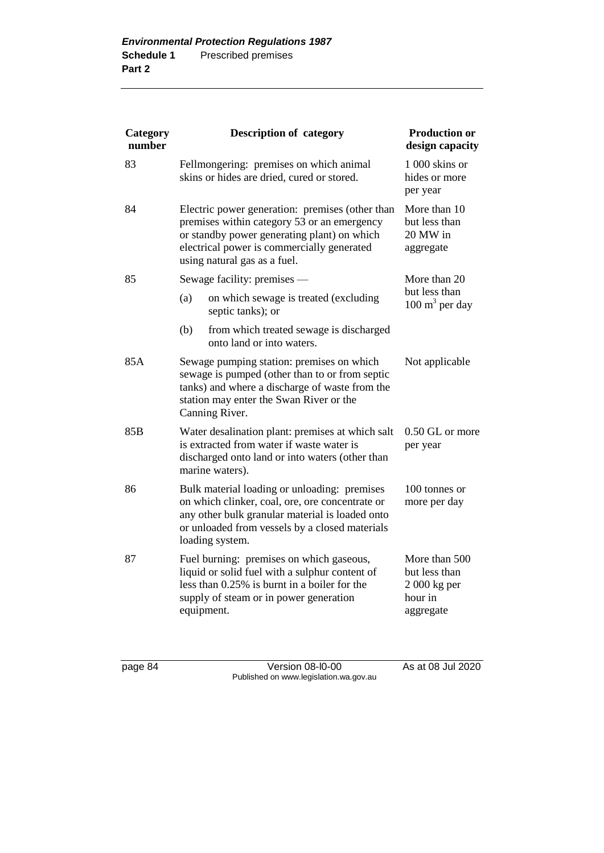| Category<br>number |            | <b>Description of category</b>                                                                                                                                                                                              | <b>Production or</b><br>design capacity                                 |
|--------------------|------------|-----------------------------------------------------------------------------------------------------------------------------------------------------------------------------------------------------------------------------|-------------------------------------------------------------------------|
| 83                 |            | Fellmongering: premises on which animal<br>skins or hides are dried, cured or stored.                                                                                                                                       | 1 000 skins or<br>hides or more<br>per year                             |
| 84                 |            | Electric power generation: premises (other than<br>premises within category 53 or an emergency<br>or standby power generating plant) on which<br>electrical power is commercially generated<br>using natural gas as a fuel. | More than 10<br>but less than<br>20 MW in<br>aggregate                  |
| 85                 |            | Sewage facility: premises -                                                                                                                                                                                                 | More than 20                                                            |
|                    | (a)        | on which sewage is treated (excluding<br>septic tanks); or                                                                                                                                                                  | but less than<br>$100 \text{ m}^3$ per day                              |
|                    | (b)        | from which treated sewage is discharged<br>onto land or into waters.                                                                                                                                                        |                                                                         |
| 85A                |            | Sewage pumping station: premises on which<br>sewage is pumped (other than to or from septic<br>tanks) and where a discharge of waste from the<br>station may enter the Swan River or the<br>Canning River.                  | Not applicable                                                          |
| 85 <sub>B</sub>    |            | Water desalination plant: premises at which salt<br>is extracted from water if waste water is<br>discharged onto land or into waters (other than<br>marine waters).                                                         | 0.50 GL or more<br>per year                                             |
| 86                 |            | Bulk material loading or unloading: premises<br>on which clinker, coal, ore, ore concentrate or<br>any other bulk granular material is loaded onto<br>or unloaded from vessels by a closed materials<br>loading system.     | 100 tonnes or<br>more per day                                           |
| 87                 | equipment. | Fuel burning: premises on which gaseous,<br>liquid or solid fuel with a sulphur content of<br>less than 0.25% is burnt in a boiler for the<br>supply of steam or in power generation                                        | More than 500<br>but less than<br>$2000$ kg per<br>hour in<br>aggregate |

page 84 Version 08-l0-00 As at 08 Jul 2020 Published on www.legislation.wa.gov.au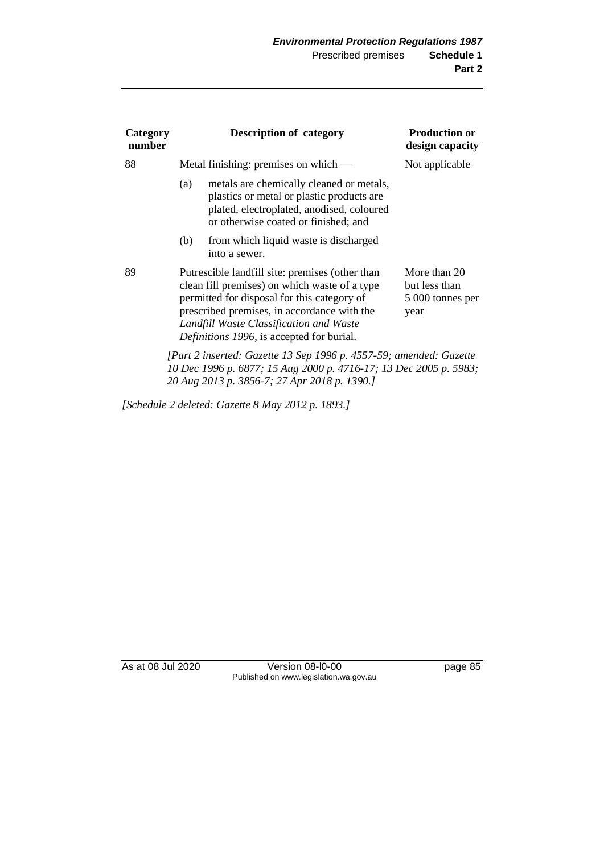| Category<br>number |     | <b>Description of category</b>                                                                                                                                                                                                                                                         | <b>Production or</b><br>design capacity                   |
|--------------------|-----|----------------------------------------------------------------------------------------------------------------------------------------------------------------------------------------------------------------------------------------------------------------------------------------|-----------------------------------------------------------|
| 88                 |     | Metal finishing: premises on which —                                                                                                                                                                                                                                                   | Not applicable                                            |
|                    | (a) | metals are chemically cleaned or metals,<br>plastics or metal or plastic products are<br>plated, electroplated, anodised, coloured<br>or otherwise coated or finished; and                                                                                                             |                                                           |
|                    | (b) | from which liquid waste is discharged<br>into a sewer.                                                                                                                                                                                                                                 |                                                           |
| 89                 |     | Putrescible landfill site: premises (other than<br>clean fill premises) on which waste of a type<br>permitted for disposal for this category of<br>prescribed premises, in accordance with the<br>Landfill Waste Classification and Waste<br>Definitions 1996, is accepted for burial. | More than 20<br>but less than<br>5 000 tonnes per<br>year |
|                    |     | [Part 2 inserted: Gazette 13 Sep 1996 p. 4557-59; amended: Gazette<br>10 Dec 1996 p. 6877; 15 Aug 2000 p. 4716-17; 13 Dec 2005 p. 5983;<br>20 Aug 2013 p. 3856-7; 27 Apr 2018 p. 1390.]                                                                                                |                                                           |

*[Schedule 2 deleted: Gazette 8 May 2012 p. 1893.]*

As at 08 Jul 2020 Version 08-l0-00 page 85 Published on www.legislation.wa.gov.au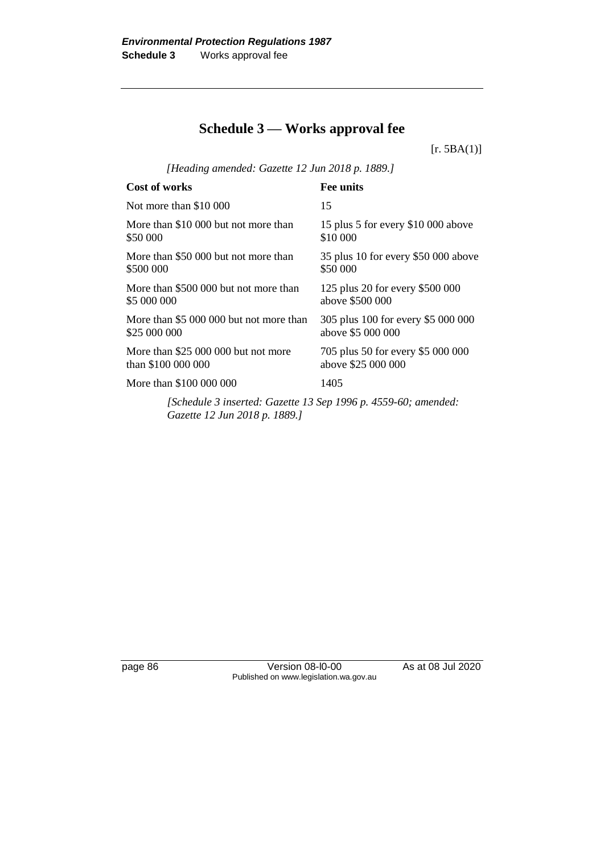## **Schedule 3 — Works approval fee**

 $[r. 5BA(1)]$ 

*[Heading amended: Gazette 12 Jun 2018 p. 1889.]*

| Cost of works                                                 | <b>Fee units</b>                    |
|---------------------------------------------------------------|-------------------------------------|
| Not more than \$10 000                                        | 15                                  |
| More than \$10 000 but not more than                          | 15 plus 5 for every \$10 000 above  |
| \$50 000                                                      | \$10 000                            |
| More than \$50 000 but not more than                          | 35 plus 10 for every \$50 000 above |
| \$500 000                                                     | \$50 000                            |
| More than \$500 000 but not more than                         | 125 plus 20 for every \$500 000     |
| \$5 000 000                                                   | above \$500 000                     |
| More than \$5 000 000 but not more than                       | 305 plus 100 for every \$5 000 000  |
| \$25 000 000                                                  | above \$5 000 000                   |
| More than \$25 000 000 but not more                           | 705 plus 50 for every \$5 000 000   |
| than \$100 000 000                                            | above \$25 000 000                  |
| More than \$100 000 000                                       | 1405                                |
| [Schedule 3 inserted: Gazette 13 Sen 1996 n 4559-60; amended: |                                     |

*[Schedule 3 inserted: Gazette 13 Sep 1996 p. 4559-60; amended: Gazette 12 Jun 2018 p. 1889.]*

page 86 Version 08-l0-00 As at 08 Jul 2020 Published on www.legislation.wa.gov.au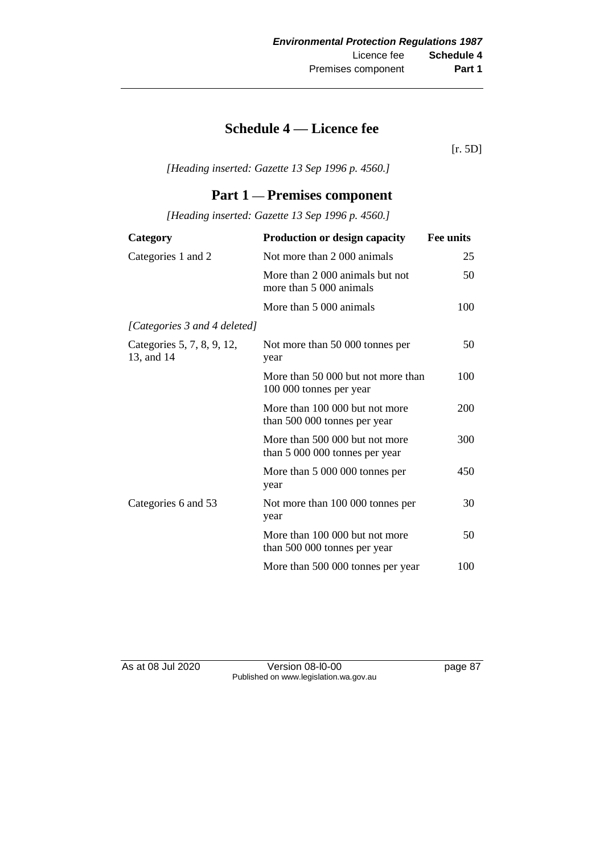## **Schedule 4 — Licence fee**

[r. 5D]

*[Heading inserted: Gazette 13 Sep 1996 p. 4560.]*

### **Part 1 — Premises component**

*[Heading inserted: Gazette 13 Sep 1996 p. 4560.]*

| Category                                 | <b>Production or design capacity</b>                             | <b>Fee units</b> |
|------------------------------------------|------------------------------------------------------------------|------------------|
| Categories 1 and 2                       | Not more than 2 000 animals                                      | 25               |
|                                          | More than 2 000 animals but not<br>more than 5 000 animals       | 50               |
|                                          | More than 5 000 animals                                          | 100              |
| [Categories 3 and 4 deleted]             |                                                                  |                  |
| Categories 5, 7, 8, 9, 12,<br>13, and 14 | Not more than 50 000 tonnes per<br>year                          | 50               |
|                                          | More than 50 000 but not more than<br>100 000 tonnes per year    | 100              |
|                                          | More than 100 000 but not more<br>than 500 000 tonnes per year   | 200              |
|                                          | More than 500 000 but not more<br>than 5 000 000 tonnes per year | 300              |
|                                          | More than 5 000 000 tonnes per<br>year                           | 450              |
| Categories 6 and 53                      | Not more than 100 000 tonnes per<br>year                         | 30               |
|                                          | More than 100 000 but not more<br>than 500 000 tonnes per year   | 50               |
|                                          | More than 500 000 tonnes per year                                | 100              |

As at 08 Jul 2020 Version 08-l0-00 page 87 Published on www.legislation.wa.gov.au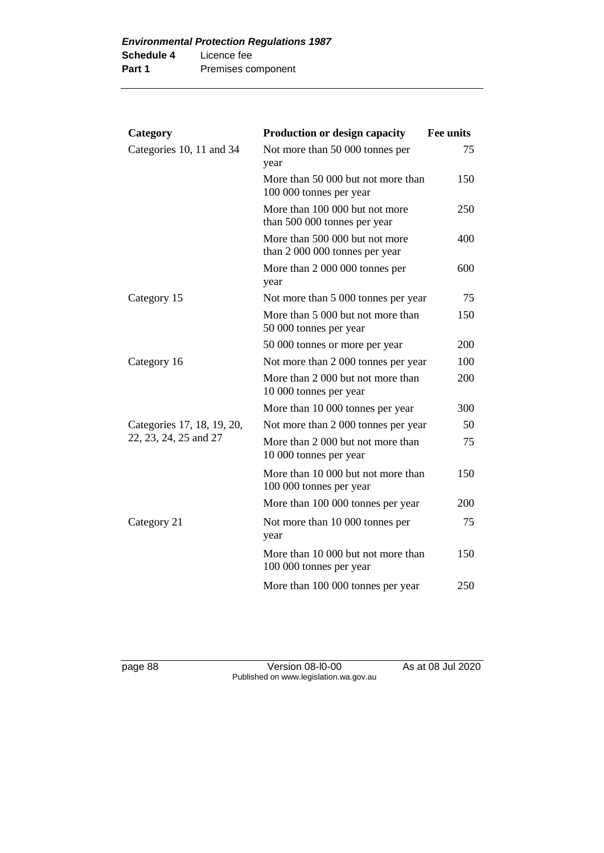| Category                   | <b>Production or design capacity</b>                             | <b>Fee units</b> |
|----------------------------|------------------------------------------------------------------|------------------|
| Categories 10, 11 and 34   | Not more than 50 000 tonnes per<br>year                          | 75               |
|                            | More than 50 000 but not more than<br>100 000 tonnes per year    | 150              |
|                            | More than 100 000 but not more<br>than 500 000 tonnes per year   | 250              |
|                            | More than 500 000 but not more<br>than 2 000 000 tonnes per year | 400              |
|                            | More than 2 000 000 tonnes per<br>year                           | 600              |
| Category 15                | Not more than 5 000 tonnes per year                              | 75               |
|                            | More than 5 000 but not more than<br>50 000 tonnes per year      | 150              |
|                            | 50 000 tonnes or more per year                                   | 200              |
| Category 16                | Not more than 2 000 tonnes per year                              | 100              |
|                            | More than 2 000 but not more than<br>10 000 tonnes per year      | 200              |
|                            | More than 10 000 tonnes per year                                 | 300              |
| Categories 17, 18, 19, 20, | Not more than 2 000 tonnes per year                              | 50               |
| 22, 23, 24, 25 and 27      | More than 2 000 but not more than<br>10 000 tonnes per year      | 75               |
|                            | More than 10 000 but not more than<br>100 000 tonnes per year    | 150              |
|                            | More than 100 000 tonnes per year                                | 200              |
| Category 21                | Not more than 10 000 tonnes per<br>year                          | 75               |
|                            | More than 10 000 but not more than<br>100 000 tonnes per year    | 150              |
|                            | More than 100 000 tonnes per year                                | 250              |

page 88 Version 08-l0-00 As at 08 Jul 2020 Published on www.legislation.wa.gov.au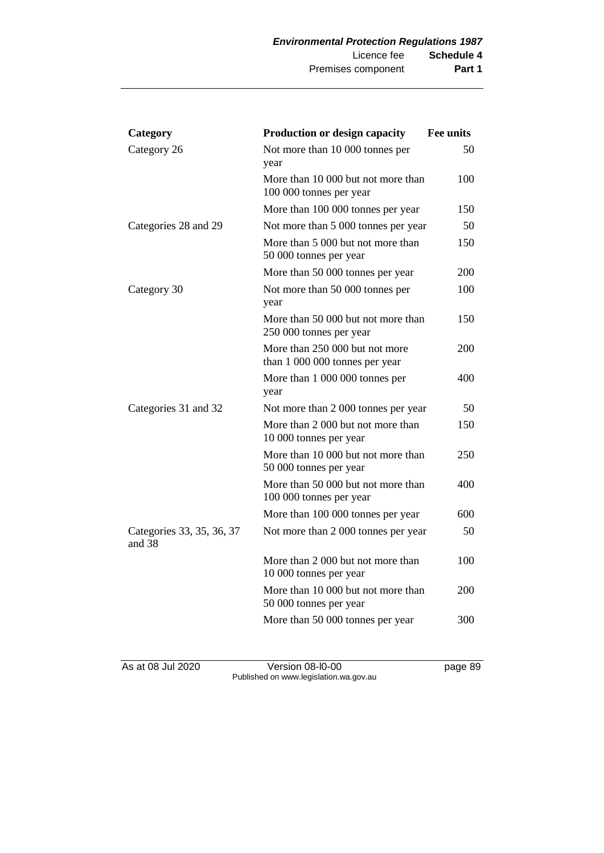| Category                            | <b>Production or design capacity</b>                             | <b>Fee units</b> |
|-------------------------------------|------------------------------------------------------------------|------------------|
| Category 26                         | Not more than 10 000 tonnes per<br>year                          | 50               |
|                                     | More than 10 000 but not more than<br>100 000 tonnes per year    | 100              |
|                                     | More than 100 000 tonnes per year                                | 150              |
| Categories 28 and 29                | Not more than 5 000 tonnes per year                              | 50               |
|                                     | More than 5 000 but not more than<br>50 000 tonnes per year      | 150              |
|                                     | More than 50 000 tonnes per year                                 | 200              |
| Category 30                         | Not more than 50 000 tonnes per<br>year                          | 100              |
|                                     | More than 50 000 but not more than<br>250 000 tonnes per year    | 150              |
|                                     | More than 250 000 but not more<br>than 1 000 000 tonnes per year | 200              |
|                                     | More than 1 000 000 tonnes per<br>year                           | 400              |
| Categories 31 and 32                | Not more than 2 000 tonnes per year                              | 50               |
|                                     | More than 2 000 but not more than<br>10 000 tonnes per year      | 150              |
|                                     | More than 10 000 but not more than<br>50 000 tonnes per year     | 250              |
|                                     | More than 50 000 but not more than<br>100 000 tonnes per year    | 400              |
|                                     | More than 100 000 tonnes per year                                | 600              |
| Categories 33, 35, 36, 37<br>and 38 | Not more than 2 000 tonnes per year                              | 50               |
|                                     | More than 2 000 but not more than<br>10 000 tonnes per year      | 100              |
|                                     | More than 10 000 but not more than<br>50 000 tonnes per year     | 200              |
|                                     | More than 50 000 tonnes per year                                 | 300              |

As at 08 Jul 2020 Version 08-l0-00 page 89 Published on www.legislation.wa.gov.au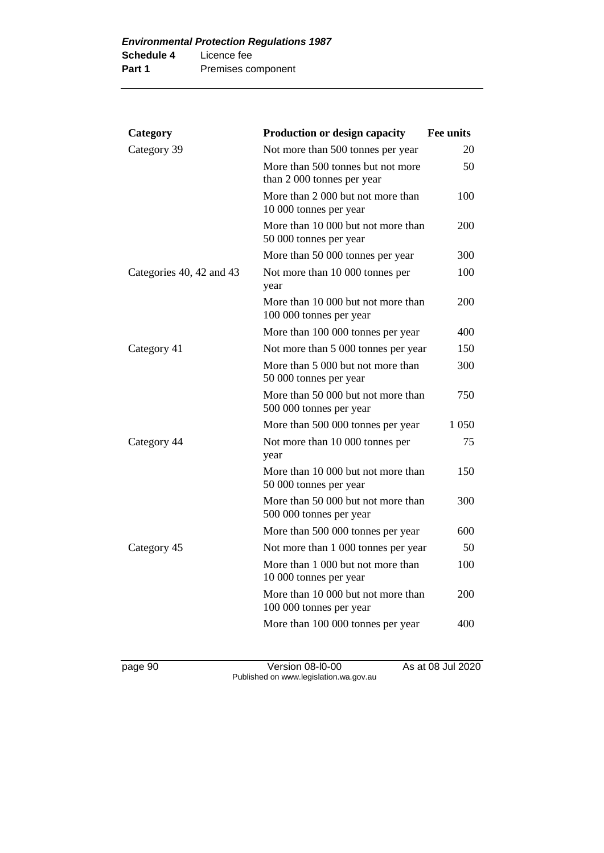| Category                 | <b>Production or design capacity</b>                            | <b>Fee units</b> |
|--------------------------|-----------------------------------------------------------------|------------------|
| Category 39              | Not more than 500 tonnes per year                               | 20               |
|                          | More than 500 tonnes but not more<br>than 2 000 tonnes per year | 50               |
|                          | More than 2 000 but not more than<br>10 000 tonnes per year     | 100              |
|                          | More than 10 000 but not more than<br>50 000 tonnes per year    | 200              |
|                          | More than 50 000 tonnes per year                                | 300              |
| Categories 40, 42 and 43 | Not more than 10 000 tonnes per<br>year                         | 100              |
|                          | More than 10 000 but not more than<br>100 000 tonnes per year   | 200              |
|                          | More than 100 000 tonnes per year                               | 400              |
| Category 41              | Not more than 5 000 tonnes per year                             | 150              |
|                          | More than 5 000 but not more than<br>50 000 tonnes per year     | 300              |
|                          | More than 50 000 but not more than<br>500 000 tonnes per year   | 750              |
|                          | More than 500 000 tonnes per year                               | 1 050            |
| Category 44              | Not more than 10 000 tonnes per<br>year                         | 75               |
|                          | More than 10 000 but not more than<br>50 000 tonnes per year    | 150              |
|                          | More than 50 000 but not more than<br>500 000 tonnes per year   | 300              |
|                          | More than 500 000 tonnes per year                               | 600              |
| Category 45              | Not more than 1 000 tonnes per year                             | 50               |
|                          | More than 1 000 but not more than<br>10 000 tonnes per year     | 100              |
|                          | More than 10 000 but not more than<br>100 000 tonnes per year   | 200              |
|                          | More than 100 000 tonnes per year                               | 400              |
|                          |                                                                 |                  |

page 90 Version 08-l0-00 As at 08 Jul 2020 Published on www.legislation.wa.gov.au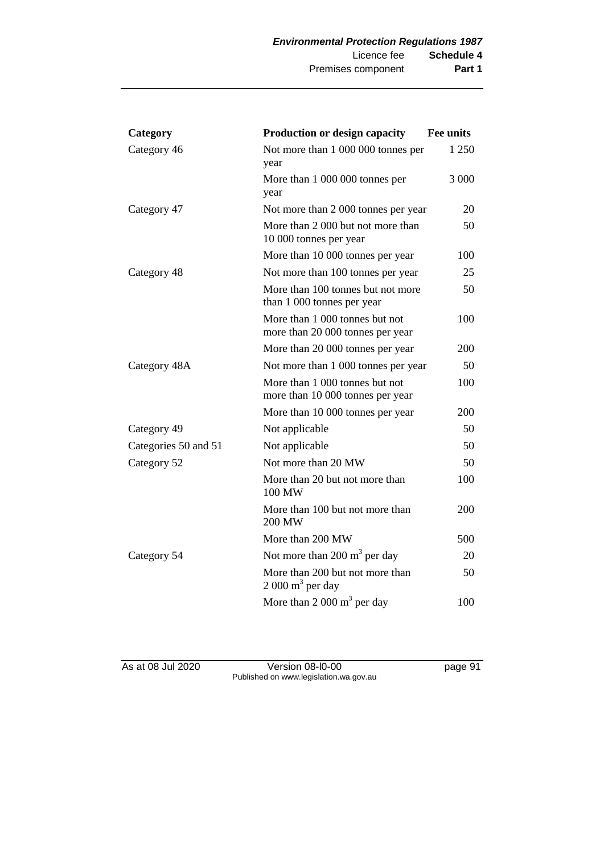| Category             | <b>Production or design capacity</b>                               | <b>Fee units</b> |
|----------------------|--------------------------------------------------------------------|------------------|
| Category 46          | Not more than 1 000 000 tonnes per<br>year                         | 1 250            |
|                      | More than 1 000 000 tonnes per<br>year                             | 3 0 0 0          |
| Category 47          | Not more than 2 000 tonnes per year                                | 20               |
|                      | More than 2 000 but not more than<br>10 000 tonnes per year        | 50               |
|                      | More than 10 000 tonnes per year                                   | 100              |
| Category 48          | Not more than 100 tonnes per year                                  | 25               |
|                      | More than 100 tonnes but not more<br>than 1 000 tonnes per year    | 50               |
|                      | More than 1 000 tonnes but not<br>more than 20 000 tonnes per year | 100              |
|                      | More than 20 000 tonnes per year                                   | 200              |
| Category 48A         | Not more than 1 000 tonnes per year                                | 50               |
|                      | More than 1 000 tonnes but not<br>more than 10 000 tonnes per year | 100              |
|                      | More than 10 000 tonnes per year                                   | 200              |
| Category 49          | Not applicable                                                     | 50               |
| Categories 50 and 51 | Not applicable                                                     | 50               |
| Category 52          | Not more than 20 MW                                                | 50               |
|                      | More than 20 but not more than<br>100 MW                           | 100              |
|                      | More than 100 but not more than<br>200 MW                          | 200              |
|                      | More than 200 MW                                                   | 500              |
| Category 54          | Not more than 200 $m3$ per day                                     | 20               |
|                      | More than 200 but not more than<br>$2000 \text{ m}^3$ per day      | 50               |
|                      | More than $2000 \text{ m}^3$ per day                               | 100              |

As at 08 Jul 2020 Version 08-l0-00 page 91 Published on www.legislation.wa.gov.au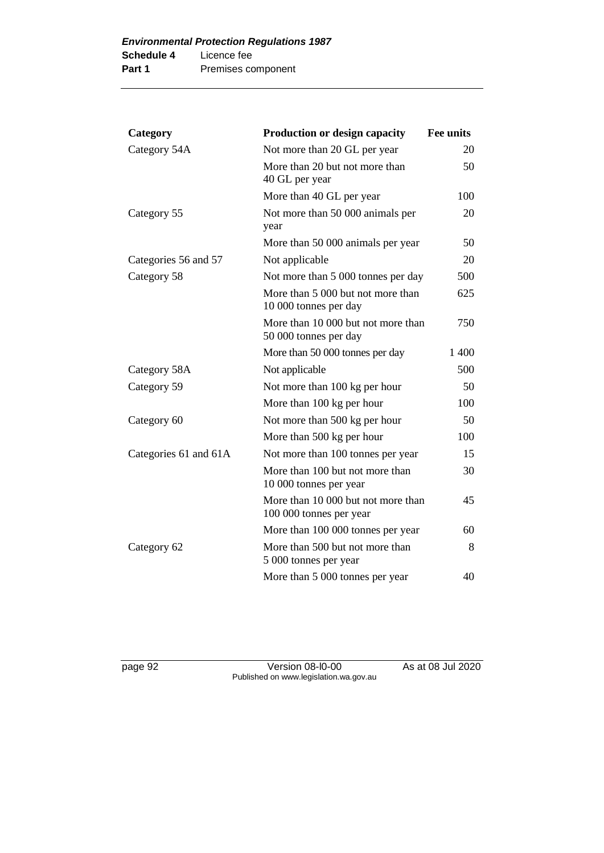| Category              | <b>Production or design capacity</b>                          | <b>Fee units</b> |
|-----------------------|---------------------------------------------------------------|------------------|
| Category 54A          | Not more than 20 GL per year                                  | 20               |
|                       | More than 20 but not more than<br>40 GL per year              | 50               |
|                       | More than 40 GL per year                                      | 100              |
| Category 55           | Not more than 50 000 animals per<br>year                      | 20               |
|                       | More than 50 000 animals per year                             | 50               |
| Categories 56 and 57  | Not applicable                                                | 20               |
| Category 58           | Not more than 5 000 tonnes per day                            | 500              |
|                       | More than 5 000 but not more than<br>10 000 tonnes per day    | 625              |
|                       | More than 10 000 but not more than<br>50 000 tonnes per day   | 750              |
|                       | More than 50 000 tonnes per day                               | 1400             |
| Category 58A          | Not applicable                                                | 500              |
| Category 59           | Not more than 100 kg per hour                                 | 50               |
|                       | More than 100 kg per hour                                     | 100              |
| Category 60           | Not more than 500 kg per hour                                 | 50               |
|                       | More than 500 kg per hour                                     | 100              |
| Categories 61 and 61A | Not more than 100 tonnes per year                             | 15               |
|                       | More than 100 but not more than<br>10 000 tonnes per year     | 30               |
|                       | More than 10 000 but not more than<br>100 000 tonnes per year | 45               |
|                       | More than 100 000 tonnes per year                             | 60               |
| Category 62           | More than 500 but not more than<br>5 000 tonnes per year      | 8                |
|                       | More than 5 000 tonnes per year                               | 40               |

page 92 Version 08-l0-00 As at 08 Jul 2020 Published on www.legislation.wa.gov.au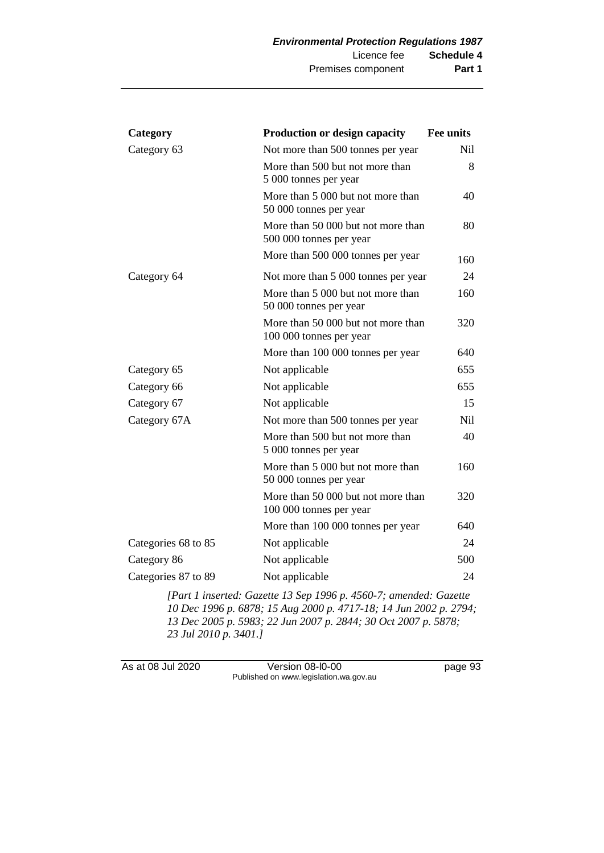| Category            | <b>Production or design capacity</b>                          | Fee units       |
|---------------------|---------------------------------------------------------------|-----------------|
| Category 63         | Not more than 500 tonnes per year                             | <b>Nil</b>      |
|                     | More than 500 but not more than<br>5 000 tonnes per year      | 8               |
|                     | More than 5 000 but not more than<br>50 000 tonnes per year   | 40              |
|                     | More than 50 000 but not more than<br>500 000 tonnes per year | 80              |
|                     | More than 500 000 tonnes per year                             | 160             |
| Category 64         | Not more than 5 000 tonnes per year                           | 24              |
|                     | More than 5 000 but not more than<br>50 000 tonnes per year   | 160             |
|                     | More than 50 000 but not more than<br>100 000 tonnes per year | 320             |
|                     | More than 100 000 tonnes per year                             | 640             |
| Category 65         | Not applicable                                                | 655             |
| Category 66         | Not applicable                                                | 655             |
| Category 67         | Not applicable                                                | 15              |
| Category 67A        | Not more than 500 tonnes per year                             | N <sub>il</sub> |
|                     | More than 500 but not more than<br>5 000 tonnes per year      | 40              |
|                     | More than 5 000 but not more than<br>50 000 tonnes per year   | 160             |
|                     | More than 50 000 but not more than<br>100 000 tonnes per year | 320             |
|                     | More than 100 000 tonnes per year                             | 640             |
| Categories 68 to 85 | Not applicable                                                | 24              |
| Category 86         | Not applicable                                                | 500             |
| Categories 87 to 89 | Not applicable                                                | 24              |

*[Part 1 inserted: Gazette 13 Sep 1996 p. 4560-7; amended: Gazette Dec 1996 p. 6878; 15 Aug 2000 p. 4717-18; 14 Jun 2002 p. 2794; Dec 2005 p. 5983; 22 Jun 2007 p. 2844; 30 Oct 2007 p. 5878; Jul 2010 p. 3401.]*

As at 08 Jul 2020 Version 08-l0-00 page 93 Published on www.legislation.wa.gov.au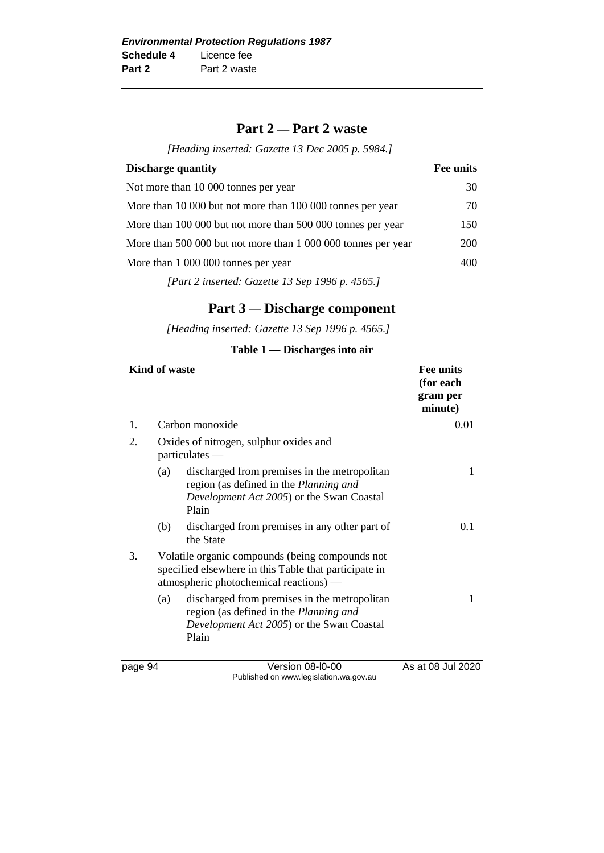### **Part 2 — Part 2 waste**

*[Heading inserted: Gazette 13 Dec 2005 p. 5984.]*

| <b>Discharge quantity</b>                                                                                                                                                                                                                                                                                                          | Fee units  |
|------------------------------------------------------------------------------------------------------------------------------------------------------------------------------------------------------------------------------------------------------------------------------------------------------------------------------------|------------|
| Not more than 10 000 tonnes per year                                                                                                                                                                                                                                                                                               | 30         |
| More than 10 000 but not more than 100 000 tonnes per year                                                                                                                                                                                                                                                                         | 70         |
| More than 100 000 but not more than 500 000 tonnes per year                                                                                                                                                                                                                                                                        | 150        |
| More than 500 000 but not more than 1 000 000 tonnes per year                                                                                                                                                                                                                                                                      | <b>200</b> |
| More than 1 000 000 tonnes per year                                                                                                                                                                                                                                                                                                | 400        |
| $\mathbf{F}$ $\mathbf{A}$ $\mathbf{A}$ $\mathbf{A}$ $\mathbf{A}$ $\mathbf{A}$ $\mathbf{A}$ $\mathbf{A}$ $\mathbf{A}$ $\mathbf{A}$ $\mathbf{A}$ $\mathbf{A}$ $\mathbf{A}$ $\mathbf{A}$ $\mathbf{A}$ $\mathbf{A}$ $\mathbf{A}$ $\mathbf{A}$ $\mathbf{A}$ $\mathbf{A}$ $\mathbf{A}$ $\mathbf{A}$ $\mathbf{A}$ $\mathbf{A}$ $\mathbf{$ |            |

*[Part 2 inserted: Gazette 13 Sep 1996 p. 4565.]*

## **Part 3 — Discharge component**

*[Heading inserted: Gazette 13 Sep 1996 p. 4565.]*

#### **Table 1 — Discharges into air**

| <b>Kind of waste</b> |     |                                                                                                                                                     | Fee units<br>(for each<br>gram per<br>minute) |
|----------------------|-----|-----------------------------------------------------------------------------------------------------------------------------------------------------|-----------------------------------------------|
| 1.                   |     | Carbon monoxide                                                                                                                                     | 0.01                                          |
| 2.                   |     | Oxides of nitrogen, sulphur oxides and<br>$particulates$ —                                                                                          |                                               |
|                      | (a) | discharged from premises in the metropolitan<br>region (as defined in the <i>Planning and</i><br>Development Act 2005) or the Swan Coastal<br>Plain | 1                                             |
|                      | (b) | discharged from premises in any other part of<br>the State                                                                                          | 0.1                                           |
| 3.                   |     | Volatile organic compounds (being compounds not<br>specified elsewhere in this Table that participate in<br>atmospheric photochemical reactions) —  |                                               |
|                      | (a) | discharged from premises in the metropolitan<br>region (as defined in the Planning and<br>Development Act 2005) or the Swan Coastal<br>Plain        | 1                                             |
| page 94              |     | Version 08-I0-00                                                                                                                                    | As at 08 Jul 2020                             |

Published on www.legislation.wa.gov.au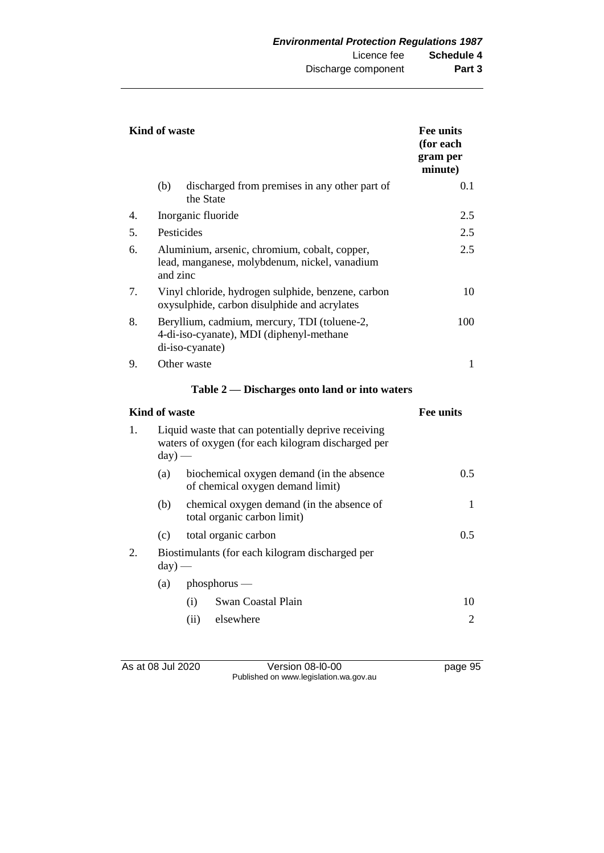|                                               | Kind of waste                                                                                                         |                                                                               | <b>Fee units</b><br>(for each<br>gram per<br>minute) |
|-----------------------------------------------|-----------------------------------------------------------------------------------------------------------------------|-------------------------------------------------------------------------------|------------------------------------------------------|
|                                               | (b)                                                                                                                   | discharged from premises in any other part of<br>the State                    | 0.1                                                  |
| 4.                                            |                                                                                                                       | Inorganic fluoride                                                            | 2.5                                                  |
| 5.                                            | Pesticides                                                                                                            |                                                                               | 2.5                                                  |
| 6.                                            | Aluminium, arsenic, chromium, cobalt, copper,<br>lead, manganese, molybdenum, nickel, vanadium<br>and zinc            |                                                                               | 2.5                                                  |
| 7.                                            | Vinyl chloride, hydrogen sulphide, benzene, carbon<br>oxysulphide, carbon disulphide and acrylates                    |                                                                               | 10                                                   |
| 8.                                            | Beryllium, cadmium, mercury, TDI (toluene-2,<br>4-di-iso-cyanate), MDI (diphenyl-methane<br>di-iso-cyanate)           |                                                                               | 100                                                  |
| 9.                                            |                                                                                                                       | Other waste                                                                   | 1                                                    |
| Table 2 — Discharges onto land or into waters |                                                                                                                       |                                                                               |                                                      |
|                                               | <b>Kind of waste</b>                                                                                                  |                                                                               | <b>Fee units</b>                                     |
| 1.                                            | Liquid waste that can potentially deprive receiving<br>waters of oxygen (for each kilogram discharged per<br>$day)$ — |                                                                               |                                                      |
|                                               | (a)                                                                                                                   | biochemical oxygen demand (in the absence<br>of chemical oxygen demand limit) | 0.5                                                  |
|                                               | (b)                                                                                                                   | chemical oxygen demand (in the absence of<br>total organic carbon limit)      | 1                                                    |
|                                               | (c)                                                                                                                   | total organic carbon                                                          | 0.5                                                  |
| 2.                                            | Biostimulants (for each kilogram discharged per<br>$day)$ —                                                           |                                                                               |                                                      |
|                                               | (a)<br>$phosphorus$ —                                                                                                 |                                                                               |                                                      |
|                                               |                                                                                                                       | (i)<br>Swan Coastal Plain                                                     | 10                                                   |
|                                               |                                                                                                                       | (ii)<br>elsewhere                                                             | $\overline{2}$                                       |

As at 08 Jul 2020 Version 08-l0-00 page 95 Published on www.legislation.wa.gov.au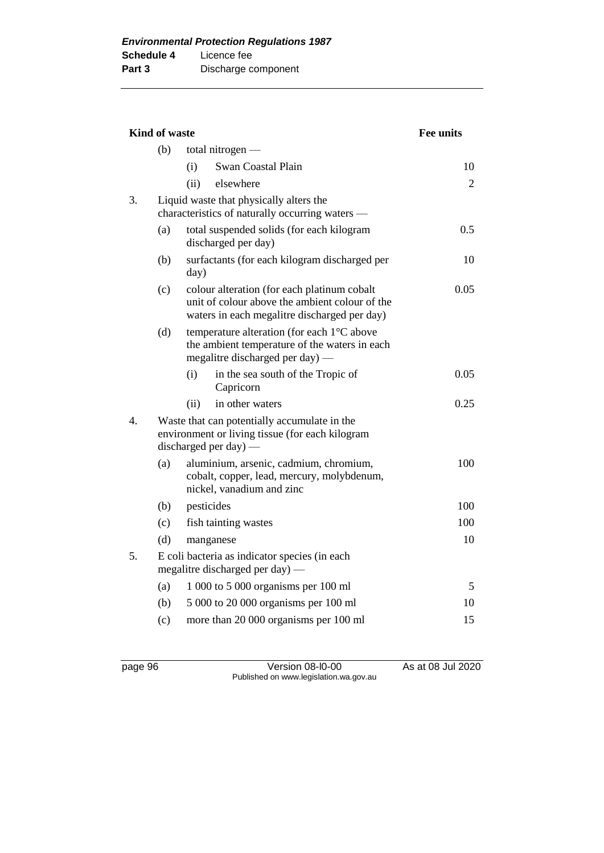| Kind of waste |                                                                                  |                                                                                                                                               | <b>Fee units</b> |
|---------------|----------------------------------------------------------------------------------|-----------------------------------------------------------------------------------------------------------------------------------------------|------------------|
|               | (b)                                                                              | total nitrogen $-$                                                                                                                            |                  |
|               |                                                                                  | Swan Coastal Plain<br>(i)                                                                                                                     | 10               |
|               |                                                                                  | (ii)<br>elsewhere                                                                                                                             | 2                |
| 3.            |                                                                                  | Liquid waste that physically alters the<br>characteristics of naturally occurring waters —                                                    |                  |
|               | (a)                                                                              | total suspended solids (for each kilogram<br>discharged per day)                                                                              | 0.5              |
|               | (b)                                                                              | surfactants (for each kilogram discharged per<br>day)                                                                                         | 10               |
|               | (c)                                                                              | colour alteration (for each platinum cobalt<br>unit of colour above the ambient colour of the<br>waters in each megalitre discharged per day) | 0.05             |
|               | (d)                                                                              | temperature alteration (for each 1°C above<br>the ambient temperature of the waters in each<br>megalitre discharged per day) —                |                  |
|               |                                                                                  | (i)<br>in the sea south of the Tropic of<br>Capricorn                                                                                         | 0.05             |
|               |                                                                                  | in other waters<br>(ii)                                                                                                                       | 0.25             |
| 4.            |                                                                                  | Waste that can potentially accumulate in the<br>environment or living tissue (for each kilogram<br>discharged per day) $-$                    |                  |
|               | (a)                                                                              | aluminium, arsenic, cadmium, chromium,<br>cobalt, copper, lead, mercury, molybdenum,<br>nickel, vanadium and zinc                             | 100              |
|               | (b)                                                                              | pesticides                                                                                                                                    | 100              |
|               | (c)                                                                              | fish tainting wastes                                                                                                                          | 100              |
|               | (d)                                                                              | manganese                                                                                                                                     | 10               |
| 5.            | E coli bacteria as indicator species (in each<br>megalitre discharged per day) — |                                                                                                                                               |                  |
|               | (a)                                                                              | 1 000 to 5 000 organisms per 100 ml                                                                                                           | 5                |
|               | (b)                                                                              | 5 000 to 20 000 organisms per 100 ml                                                                                                          | 10               |
|               | (c)                                                                              | more than 20 000 organisms per 100 ml                                                                                                         | 15               |

page 96 Version 08-l0-00 As at 08 Jul 2020 Published on www.legislation.wa.gov.au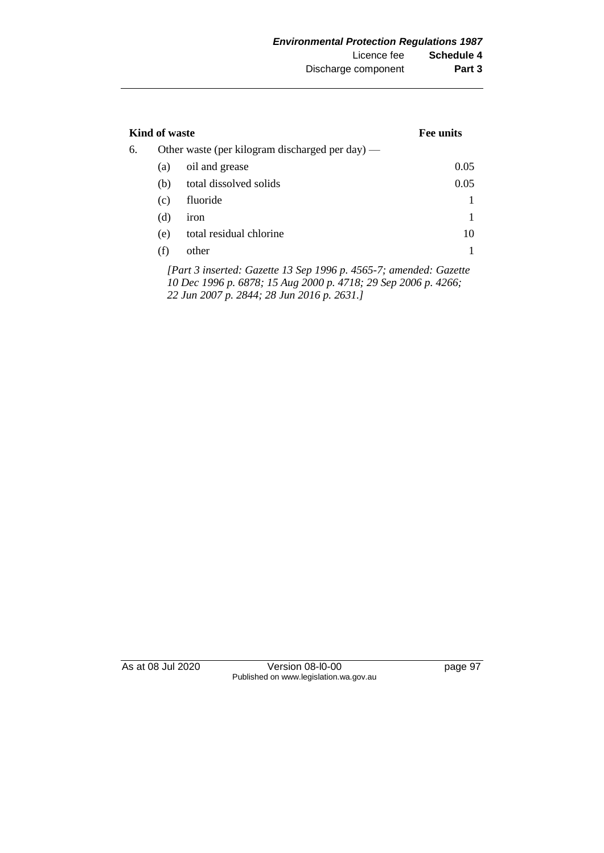| Kind of waste |     |                                                 | <b>Fee units</b> |
|---------------|-----|-------------------------------------------------|------------------|
| 6.            |     | Other waste (per kilogram discharged per day) — |                  |
|               | (a) | oil and grease                                  | 0.05             |
|               | (b) | total dissolved solids                          | 0.05             |
|               | (c) | fluoride                                        |                  |
|               | (d) | iron                                            |                  |
|               | (e) | total residual chlorine                         | 10               |
|               | (f) | other                                           |                  |

*[Part 3 inserted: Gazette 13 Sep 1996 p. 4565-7; amended: Gazette 10 Dec 1996 p. 6878; 15 Aug 2000 p. 4718; 29 Sep 2006 p. 4266; 22 Jun 2007 p. 2844; 28 Jun 2016 p. 2631.]*

As at 08 Jul 2020 Version 08-l0-00 page 97 Published on www.legislation.wa.gov.au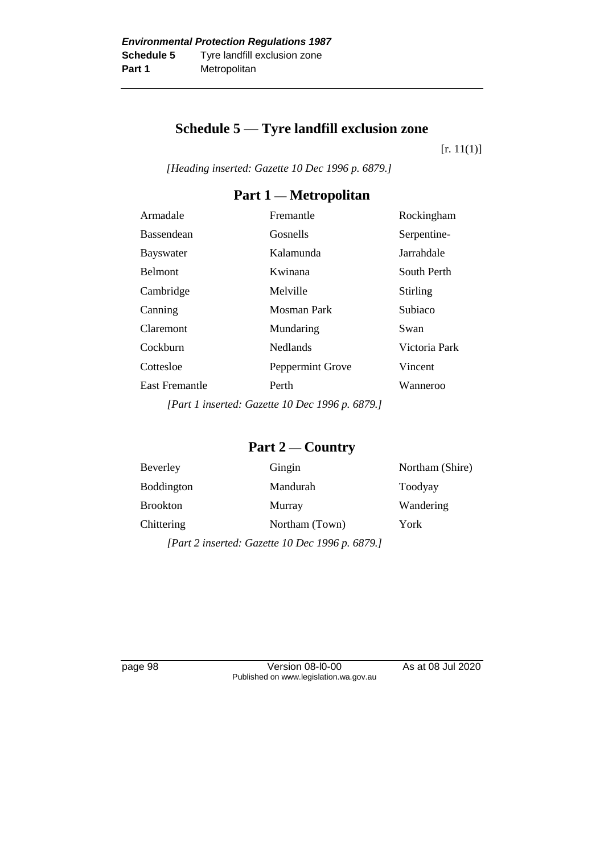### **Schedule 5 — Tyre landfill exclusion zone**

 $[r. 11(1)]$ 

*[Heading inserted: Gazette 10 Dec 1996 p. 6879.]*

### **Part 1 — Metropolitan**

| Armadale              | Fremantle        | Rockingham    |
|-----------------------|------------------|---------------|
| <b>Bassendean</b>     | Gosnells         | Serpentine-   |
| <b>Bayswater</b>      | Kalamunda        | Jarrahdale    |
| <b>Belmont</b>        | Kwinana          | South Perth   |
| Cambridge             | Melville         | Stirling      |
| Canning               | Mosman Park      | Subiaco       |
| Claremont             | Mundaring        | Swan          |
| Cockburn              | <b>Nedlands</b>  | Victoria Park |
| Cottesloe             | Peppermint Grove | Vincent       |
| <b>East Fremantle</b> | Perth            | Wanneroo      |
|                       |                  |               |

*[Part 1 inserted: Gazette 10 Dec 1996 p. 6879.]*

### **Part 2 — Country**

| Beverley                                        | Gingin         | Northam (Shire) |
|-------------------------------------------------|----------------|-----------------|
| Boddington                                      | Mandurah       | Toodyay         |
| <b>Brookton</b>                                 | Murray         | Wandering       |
| Chittering                                      | Northam (Town) | York            |
| [Part 2 inserted: Gazette 10 Dec 1996 p. 6879.] |                |                 |

page 98 Version 08-l0-00 As at 08 Jul 2020 Published on www.legislation.wa.gov.au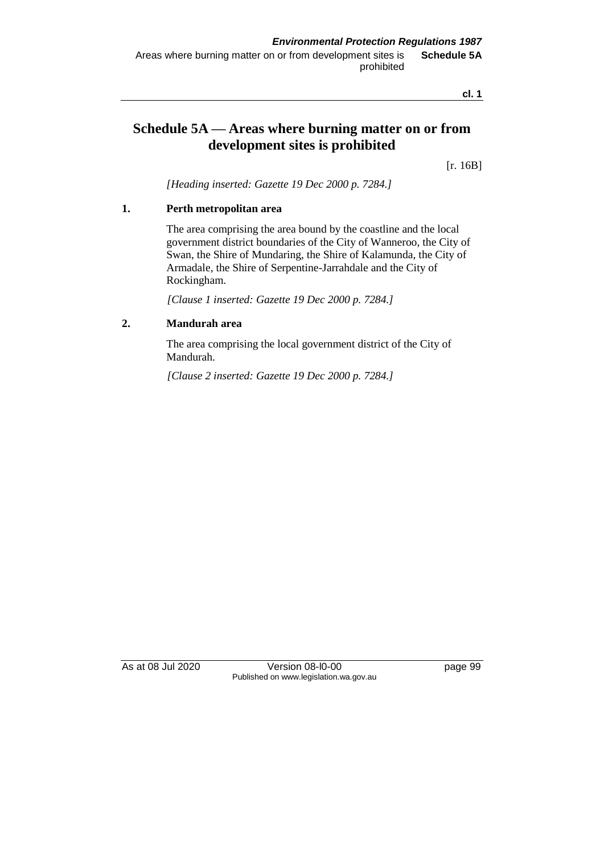**cl. 1**

### **Schedule 5A — Areas where burning matter on or from development sites is prohibited**

[r. 16B]

*[Heading inserted: Gazette 19 Dec 2000 p. 7284.]*

#### **1. Perth metropolitan area**

The area comprising the area bound by the coastline and the local government district boundaries of the City of Wanneroo, the City of Swan, the Shire of Mundaring, the Shire of Kalamunda, the City of Armadale, the Shire of Serpentine-Jarrahdale and the City of Rockingham.

*[Clause 1 inserted: Gazette 19 Dec 2000 p. 7284.]*

#### **2. Mandurah area**

The area comprising the local government district of the City of Mandurah.

*[Clause 2 inserted: Gazette 19 Dec 2000 p. 7284.]*

As at 08 Jul 2020 Version 08-l0-00 page 99 Published on www.legislation.wa.gov.au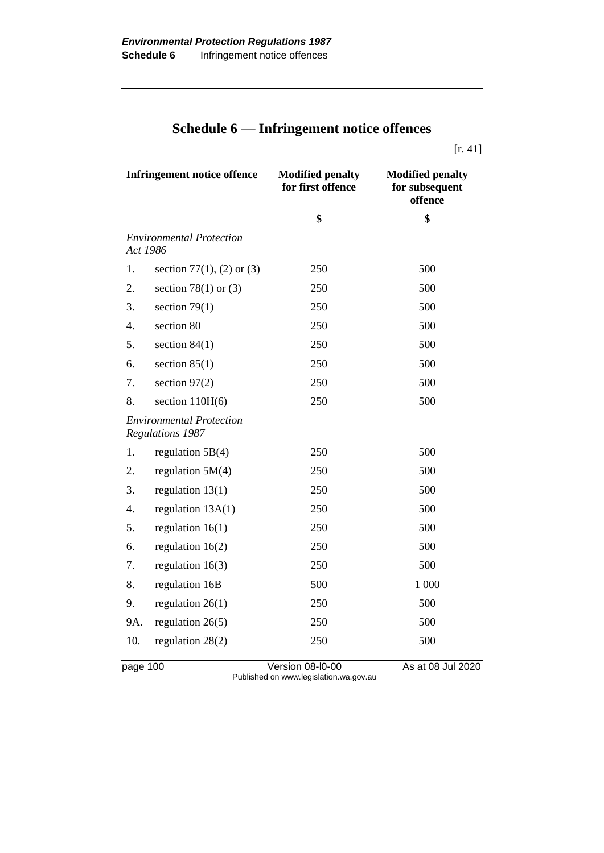# **Schedule 6 — Infringement notice offences**

[r. 41]

| <b>Infringement notice offence</b> |                                                            | <b>Modified penalty</b><br>for first offence | <b>Modified penalty</b><br>for subsequent<br>offence |
|------------------------------------|------------------------------------------------------------|----------------------------------------------|------------------------------------------------------|
|                                    |                                                            | \$                                           | \$                                                   |
| Act 1986                           | <b>Environmental Protection</b>                            |                                              |                                                      |
| 1.                                 | section 77(1), (2) or (3)                                  | 250                                          | 500                                                  |
| 2.                                 | section 78(1) or $(3)$                                     | 250                                          | 500                                                  |
| 3.                                 | section $79(1)$                                            | 250                                          | 500                                                  |
| $\overline{4}$ .                   | section 80                                                 | 250                                          | 500                                                  |
| 5.                                 | section $84(1)$                                            | 250                                          | 500                                                  |
| 6.                                 | section $85(1)$                                            | 250                                          | 500                                                  |
| 7.                                 | section $97(2)$                                            | 250                                          | 500                                                  |
| 8.                                 | section $110H(6)$                                          | 250                                          | 500                                                  |
|                                    | <b>Environmental Protection</b><br><b>Regulations 1987</b> |                                              |                                                      |
| 1.                                 | regulation $5B(4)$                                         | 250                                          | 500                                                  |
| 2.                                 | regulation $5M(4)$                                         | 250                                          | 500                                                  |
| 3.                                 | regulation $13(1)$                                         | 250                                          | 500                                                  |
| 4.                                 | regulation 13A(1)                                          | 250                                          | 500                                                  |
| 5.                                 | regulation $16(1)$                                         | 250                                          | 500                                                  |
| 6.                                 | regulation $16(2)$                                         | 250                                          | 500                                                  |
| 7.                                 | regulation $16(3)$                                         | 250                                          | 500                                                  |
| 8.                                 | regulation 16B                                             | 500                                          | 1 000                                                |
| 9.                                 | regulation $26(1)$                                         | 250                                          | 500                                                  |
| 9A.                                | regulation $26(5)$                                         | 250                                          | 500                                                  |
| 10.                                | regulation $28(2)$                                         | 250                                          | 500                                                  |
| page 100                           |                                                            | Version 08-I0-00                             | As at 08 Jul 2020                                    |

Published on www.legislation.wa.gov.au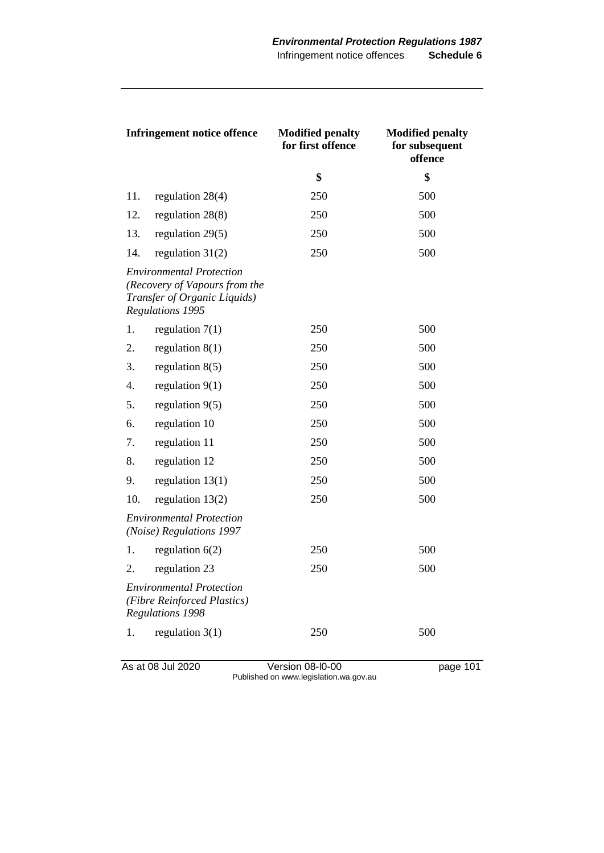| <b>Infringement notice offence</b>                                                                                   |                                                                                           | <b>Modified penalty</b><br>for first offence | <b>Modified penalty</b><br>for subsequent<br>offence |
|----------------------------------------------------------------------------------------------------------------------|-------------------------------------------------------------------------------------------|----------------------------------------------|------------------------------------------------------|
|                                                                                                                      |                                                                                           | \$                                           | \$                                                   |
| 11.                                                                                                                  | regulation 28(4)                                                                          | 250                                          | 500                                                  |
| 12.                                                                                                                  | regulation $28(8)$                                                                        | 250                                          | 500                                                  |
| 13.                                                                                                                  | regulation $29(5)$                                                                        | 250                                          | 500                                                  |
| 14.                                                                                                                  | regulation $31(2)$                                                                        | 250                                          | 500                                                  |
| <b>Environmental Protection</b><br>(Recovery of Vapours from the<br>Transfer of Organic Liquids)<br>Regulations 1995 |                                                                                           |                                              |                                                      |
| 1.                                                                                                                   | regulation $7(1)$                                                                         | 250                                          | 500                                                  |
| 2.                                                                                                                   | regulation $8(1)$                                                                         | 250                                          | 500                                                  |
| 3.                                                                                                                   | regulation $8(5)$                                                                         | 250                                          | 500                                                  |
| 4.                                                                                                                   | regulation $9(1)$                                                                         | 250                                          | 500                                                  |
| 5.                                                                                                                   | regulation 9(5)                                                                           | 250                                          | 500                                                  |
| 6.                                                                                                                   | regulation 10                                                                             | 250                                          | 500                                                  |
| 7.                                                                                                                   | regulation 11                                                                             | 250                                          | 500                                                  |
| 8.                                                                                                                   | regulation 12                                                                             | 250                                          | 500                                                  |
| 9.                                                                                                                   | regulation $13(1)$                                                                        | 250                                          | 500                                                  |
| 10.                                                                                                                  | regulation $13(2)$                                                                        | 250                                          | 500                                                  |
|                                                                                                                      | <b>Environmental Protection</b><br>(Noise) Regulations 1997                               |                                              |                                                      |
| 1.                                                                                                                   | regulation $6(2)$                                                                         | 250                                          | 500                                                  |
| 2.                                                                                                                   | regulation 23                                                                             | 250                                          | 500                                                  |
|                                                                                                                      | <b>Environmental Protection</b><br>(Fibre Reinforced Plastics)<br><b>Regulations 1998</b> |                                              |                                                      |
| 1.                                                                                                                   | regulation $3(1)$                                                                         | 250                                          | 500                                                  |

As at 08 Jul 2020 **Version 08-l0-00 page 101** Published on www.legislation.wa.gov.au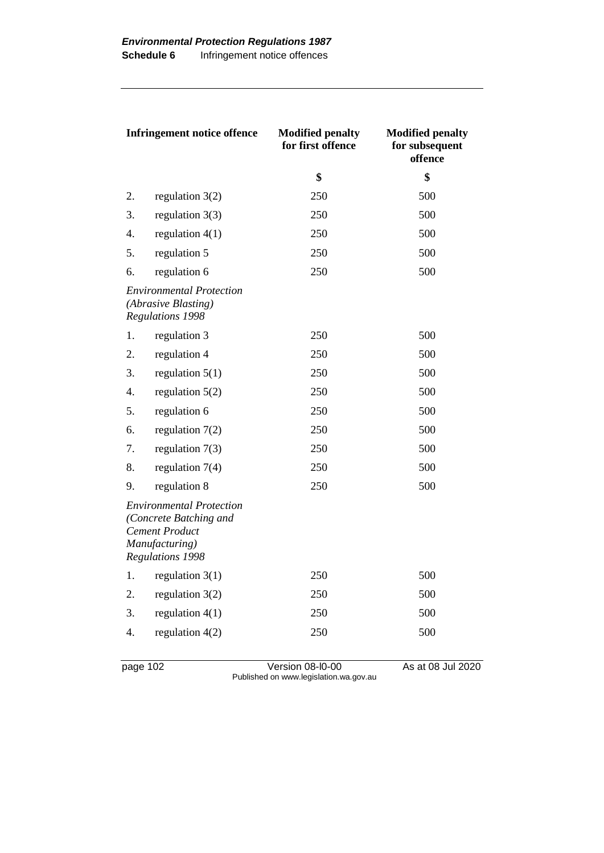| <b>Infringement notice offence</b>                                                |                                                                                                                          | <b>Modified penalty</b><br>for first offence | <b>Modified penalty</b><br>for subsequent<br>offence |
|-----------------------------------------------------------------------------------|--------------------------------------------------------------------------------------------------------------------------|----------------------------------------------|------------------------------------------------------|
|                                                                                   |                                                                                                                          | \$                                           | \$                                                   |
| 2.                                                                                | regulation $3(2)$                                                                                                        | 250                                          | 500                                                  |
| 3.                                                                                | regulation $3(3)$                                                                                                        | 250                                          | 500                                                  |
| 4.                                                                                | regulation $4(1)$                                                                                                        | 250                                          | 500                                                  |
| 5.                                                                                | regulation 5                                                                                                             | 250                                          | 500                                                  |
| 6.                                                                                | regulation 6                                                                                                             | 250                                          | 500                                                  |
| <b>Environmental Protection</b><br>(Abrasive Blasting)<br><b>Regulations 1998</b> |                                                                                                                          |                                              |                                                      |
| 1.                                                                                | regulation 3                                                                                                             | 250                                          | 500                                                  |
| 2.                                                                                | regulation 4                                                                                                             | 250                                          | 500                                                  |
| 3.                                                                                | regulation $5(1)$                                                                                                        | 250                                          | 500                                                  |
| 4.                                                                                | regulation $5(2)$                                                                                                        | 250                                          | 500                                                  |
| 5.                                                                                | regulation 6                                                                                                             | 250                                          | 500                                                  |
| 6.                                                                                | regulation $7(2)$                                                                                                        | 250                                          | 500                                                  |
| 7.                                                                                | regulation $7(3)$                                                                                                        | 250                                          | 500                                                  |
| 8.                                                                                | regulation $7(4)$                                                                                                        | 250                                          | 500                                                  |
| 9.                                                                                | regulation 8                                                                                                             | 250                                          | 500                                                  |
|                                                                                   | <b>Environmental Protection</b><br>(Concrete Batching and<br><b>Cement Product</b><br>Manufacturing)<br>Regulations 1998 |                                              |                                                      |
| 1.                                                                                | regulation $3(1)$                                                                                                        | 250                                          | 500                                                  |
| 2.                                                                                | regulation $3(2)$                                                                                                        | 250                                          | 500                                                  |
| 3.                                                                                | regulation $4(1)$                                                                                                        | 250                                          | 500                                                  |
| $\overline{4}$ .                                                                  | regulation $4(2)$                                                                                                        | 250                                          | 500                                                  |

page 102 Version 08-l0-00 As at 08 Jul 2020 Published on www.legislation.wa.gov.au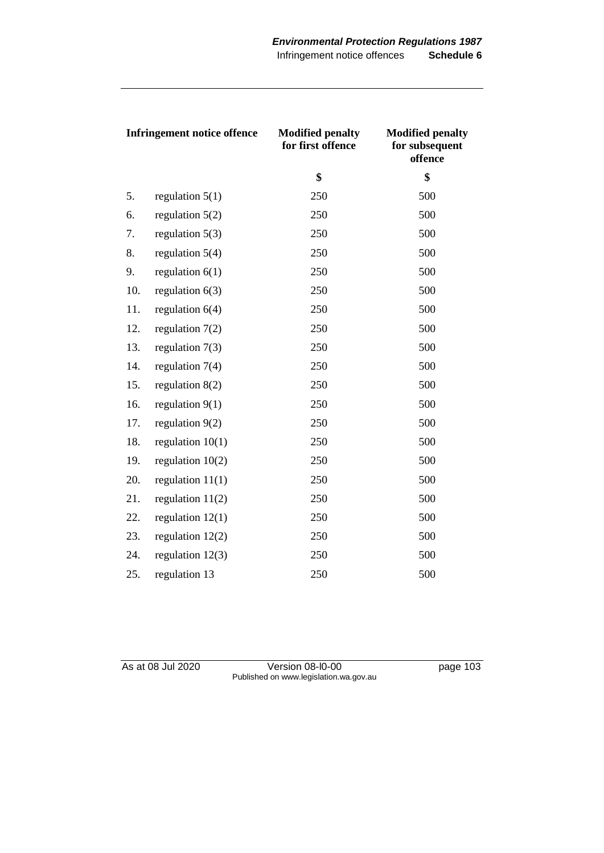| <b>Infringement notice offence</b> |                    | <b>Modified penalty</b><br>for first offence | <b>Modified penalty</b><br>for subsequent<br>offence |
|------------------------------------|--------------------|----------------------------------------------|------------------------------------------------------|
|                                    |                    | \$                                           | \$                                                   |
| 5.                                 | regulation $5(1)$  | 250                                          | 500                                                  |
| 6.                                 | regulation $5(2)$  | 250                                          | 500                                                  |
| 7.                                 | regulation $5(3)$  | 250                                          | 500                                                  |
| 8.                                 | regulation $5(4)$  | 250                                          | 500                                                  |
| 9.                                 | regulation $6(1)$  | 250                                          | 500                                                  |
| 10.                                | regulation $6(3)$  | 250                                          | 500                                                  |
| 11.                                | regulation $6(4)$  | 250                                          | 500                                                  |
| 12.                                | regulation $7(2)$  | 250                                          | 500                                                  |
| 13.                                | regulation $7(3)$  | 250                                          | 500                                                  |
| 14.                                | regulation $7(4)$  | 250                                          | 500                                                  |
| 15.                                | regulation $8(2)$  | 250                                          | 500                                                  |
| 16.                                | regulation $9(1)$  | 250                                          | 500                                                  |
| 17.                                | regulation $9(2)$  | 250                                          | 500                                                  |
| 18.                                | regulation $10(1)$ | 250                                          | 500                                                  |
| 19.                                | regulation $10(2)$ | 250                                          | 500                                                  |
| 20.                                | regulation $11(1)$ | 250                                          | 500                                                  |
| 21.                                | regulation $11(2)$ | 250                                          | 500                                                  |
| 22.                                | regulation $12(1)$ | 250                                          | 500                                                  |
| 23.                                | regulation $12(2)$ | 250                                          | 500                                                  |
| 24.                                | regulation $12(3)$ | 250                                          | 500                                                  |
| 25.                                | regulation 13      | 250                                          | 500                                                  |

As at 08 Jul 2020 **Version 08-l0-00 page 103** Published on www.legislation.wa.gov.au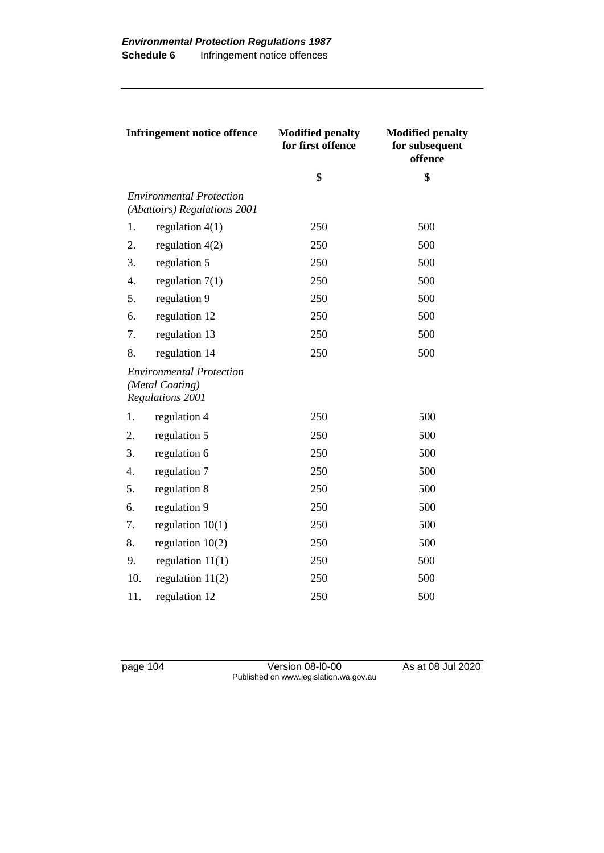| <b>Infringement notice offence</b> |                                                                        | <b>Modified penalty</b><br>for first offence | <b>Modified penalty</b><br>for subsequent<br>offence |
|------------------------------------|------------------------------------------------------------------------|----------------------------------------------|------------------------------------------------------|
|                                    |                                                                        | \$                                           | \$                                                   |
|                                    | <b>Environmental Protection</b><br>(Abattoirs) Regulations 2001        |                                              |                                                      |
| 1.                                 | regulation $4(1)$                                                      | 250                                          | 500                                                  |
| 2.                                 | regulation $4(2)$                                                      | 250                                          | 500                                                  |
| 3.                                 | regulation 5                                                           | 250                                          | 500                                                  |
| $\overline{4}$ .                   | regulation $7(1)$                                                      | 250                                          | 500                                                  |
| 5.                                 | regulation 9                                                           | 250                                          | 500                                                  |
| 6.                                 | regulation 12                                                          | 250                                          | 500                                                  |
| 7.                                 | regulation 13                                                          | 250                                          | 500                                                  |
| 8.                                 | regulation 14                                                          | 250                                          | 500                                                  |
|                                    | <b>Environmental Protection</b><br>(Metal Coating)<br>Regulations 2001 |                                              |                                                      |
| 1.                                 | regulation 4                                                           | 250                                          | 500                                                  |
| 2.                                 | regulation 5                                                           | 250                                          | 500                                                  |
| 3.                                 | regulation 6                                                           | 250                                          | 500                                                  |
| 4.                                 | regulation 7                                                           | 250                                          | 500                                                  |
| 5.                                 | regulation 8                                                           | 250                                          | 500                                                  |
| 6.                                 | regulation 9                                                           | 250                                          | 500                                                  |
| 7.                                 | regulation $10(1)$                                                     | 250                                          | 500                                                  |
| 8.                                 | regulation $10(2)$                                                     | 250                                          | 500                                                  |
| 9.                                 | regulation $11(1)$                                                     | 250                                          | 500                                                  |
| 10.                                | regulation $11(2)$                                                     | 250                                          | 500                                                  |
| 11.                                | regulation 12                                                          | 250                                          | 500                                                  |

page 104 Version 08-l0-00 As at 08 Jul 2020 Published on www.legislation.wa.gov.au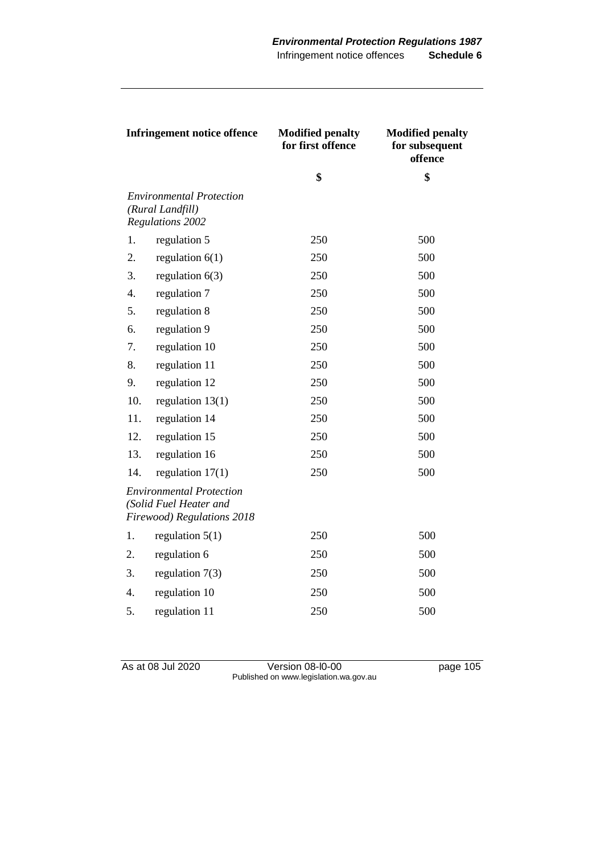| <b>Infringement notice offence</b> |                                                                                                | <b>Modified penalty</b><br>for first offence | <b>Modified penalty</b><br>for subsequent<br>offence |
|------------------------------------|------------------------------------------------------------------------------------------------|----------------------------------------------|------------------------------------------------------|
|                                    |                                                                                                | \$                                           | \$                                                   |
|                                    | <b>Environmental Protection</b><br>(Rural Landfill)<br><b>Regulations 2002</b>                 |                                              |                                                      |
| 1.                                 | regulation 5                                                                                   | 250                                          | 500                                                  |
| 2.                                 | regulation $6(1)$                                                                              | 250                                          | 500                                                  |
| 3.                                 | regulation $6(3)$                                                                              | 250                                          | 500                                                  |
| 4.                                 | regulation 7                                                                                   | 250                                          | 500                                                  |
| 5.                                 | regulation 8                                                                                   | 250                                          | 500                                                  |
| 6.                                 | regulation 9                                                                                   | 250                                          | 500                                                  |
| 7.                                 | regulation 10                                                                                  | 250                                          | 500                                                  |
| 8.                                 | regulation 11                                                                                  | 250                                          | 500                                                  |
| 9.                                 | regulation 12                                                                                  | 250                                          | 500                                                  |
| 10.                                | regulation $13(1)$                                                                             | 250                                          | 500                                                  |
| 11.                                | regulation 14                                                                                  | 250                                          | 500                                                  |
| 12.                                | regulation 15                                                                                  | 250                                          | 500                                                  |
| 13.                                | regulation 16                                                                                  | 250                                          | 500                                                  |
| 14.                                | regulation $17(1)$                                                                             | 250                                          | 500                                                  |
|                                    | <b>Environmental Protection</b><br>(Solid Fuel Heater and<br><b>Firewood) Regulations 2018</b> |                                              |                                                      |
| 1.                                 | regulation $5(1)$                                                                              | 250                                          | 500                                                  |
| 2.                                 | regulation 6                                                                                   | 250                                          | 500                                                  |
| 3.                                 | regulation $7(3)$                                                                              | 250                                          | 500                                                  |
| 4.                                 | regulation 10                                                                                  | 250                                          | 500                                                  |
| 5.                                 | regulation 11                                                                                  | 250                                          | 500                                                  |

As at 08 Jul 2020 **Version 08-l0-00 page 105** Published on www.legislation.wa.gov.au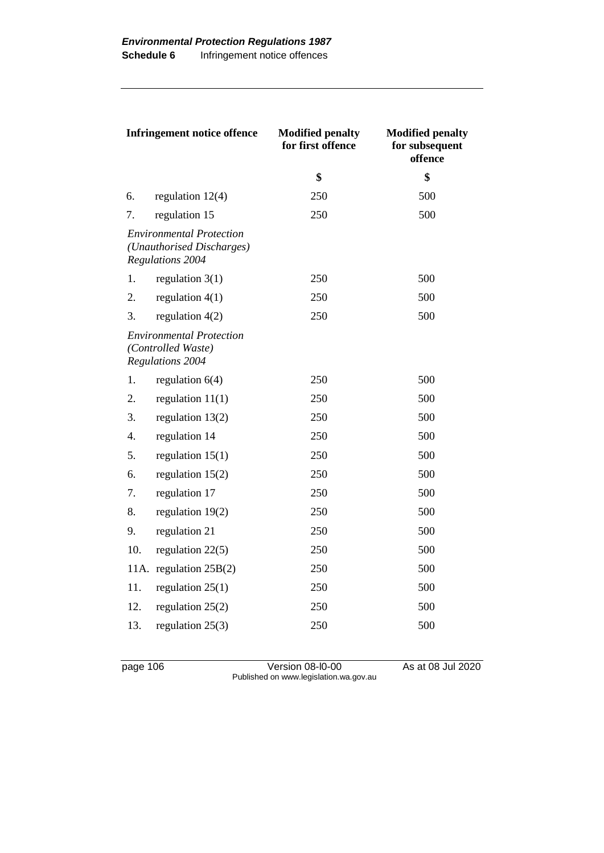| <b>Infringement notice offence</b> |                                                                                         | <b>Modified penalty</b><br>for first offence | <b>Modified penalty</b><br>for subsequent<br>offence |
|------------------------------------|-----------------------------------------------------------------------------------------|----------------------------------------------|------------------------------------------------------|
|                                    |                                                                                         | \$                                           | \$                                                   |
| 6.                                 | regulation $12(4)$                                                                      | 250                                          | 500                                                  |
| 7.                                 | regulation 15                                                                           | 250                                          | 500                                                  |
|                                    | <i>Environmental Protection</i><br>(Unauthorised Discharges)<br><b>Regulations 2004</b> |                                              |                                                      |
| 1.                                 | regulation $3(1)$                                                                       | 250                                          | 500                                                  |
| 2.                                 | regulation $4(1)$                                                                       | 250                                          | 500                                                  |
| 3.                                 | regulation $4(2)$                                                                       | 250                                          | 500                                                  |
|                                    | <b>Environmental Protection</b><br>(Controlled Waste)<br><b>Regulations 2004</b>        |                                              |                                                      |
| 1.                                 | regulation $6(4)$                                                                       | 250                                          | 500                                                  |
| 2.                                 | regulation $11(1)$                                                                      | 250                                          | 500                                                  |
| 3.                                 | regulation $13(2)$                                                                      | 250                                          | 500                                                  |
| 4.                                 | regulation 14                                                                           | 250                                          | 500                                                  |
| 5.                                 | regulation $15(1)$                                                                      | 250                                          | 500                                                  |
| 6.                                 | regulation $15(2)$                                                                      | 250                                          | 500                                                  |
| 7.                                 | regulation 17                                                                           | 250                                          | 500                                                  |
| 8.                                 | regulation $19(2)$                                                                      | 250                                          | 500                                                  |
| 9.                                 | regulation 21                                                                           | 250                                          | 500                                                  |
| 10.                                | regulation $22(5)$                                                                      | 250                                          | 500                                                  |
| 11A.                               | regulation $25B(2)$                                                                     | 250                                          | 500                                                  |
| 11.                                | regulation $25(1)$                                                                      | 250                                          | 500                                                  |
| 12.                                | regulation $25(2)$                                                                      | 250                                          | 500                                                  |
| 13.                                | regulation $25(3)$                                                                      | 250                                          | 500                                                  |

page 106 Version 08-l0-00 As at 08 Jul 2020 Published on www.legislation.wa.gov.au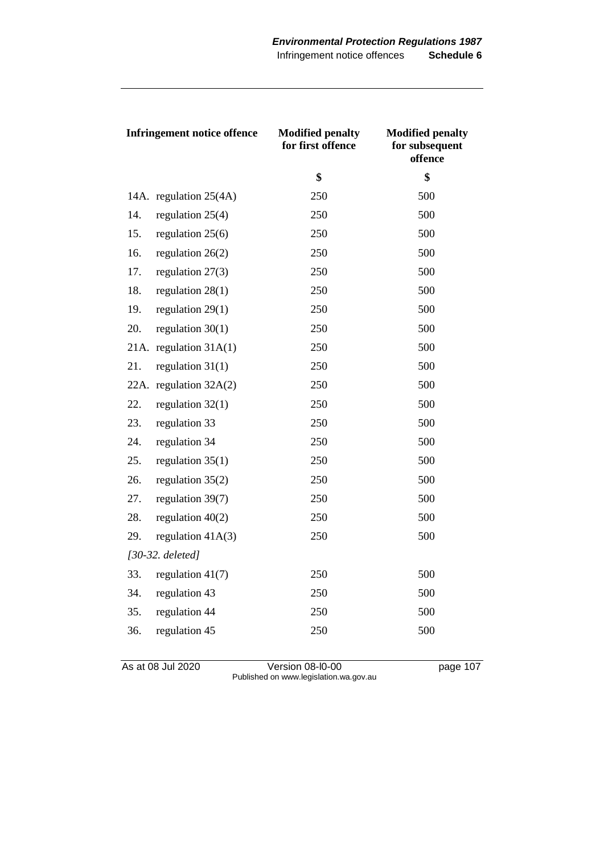| <b>Infringement notice offence</b> |                        | <b>Modified penalty</b><br>for first offence | <b>Modified penalty</b><br>for subsequent<br>offence |
|------------------------------------|------------------------|----------------------------------------------|------------------------------------------------------|
|                                    |                        | \$                                           | \$                                                   |
|                                    | 14A. regulation 25(4A) | 250                                          | 500                                                  |
| 14.                                | regulation $25(4)$     | 250                                          | 500                                                  |
| 15.                                | regulation $25(6)$     | 250                                          | 500                                                  |
| 16.                                | regulation $26(2)$     | 250                                          | 500                                                  |
| 17.                                | regulation $27(3)$     | 250                                          | 500                                                  |
| 18.                                | regulation $28(1)$     | 250                                          | 500                                                  |
| 19.                                | regulation $29(1)$     | 250                                          | 500                                                  |
| 20.                                | regulation $30(1)$     | 250                                          | 500                                                  |
| 21A.                               | regulation $31A(1)$    | 250                                          | 500                                                  |
| 21.                                | regulation $31(1)$     | 250                                          | 500                                                  |
| 22A.                               | regulation $32A(2)$    | 250                                          | 500                                                  |
| 22.                                | regulation $32(1)$     | 250                                          | 500                                                  |
| 23.                                | regulation 33          | 250                                          | 500                                                  |
| 24.                                | regulation 34          | 250                                          | 500                                                  |
| 25.                                | regulation $35(1)$     | 250                                          | 500                                                  |
| 26.                                | regulation $35(2)$     | 250                                          | 500                                                  |
| 27.                                | regulation 39(7)       | 250                                          | 500                                                  |
| 28.                                | regulation $40(2)$     | 250                                          | 500                                                  |
| 29.                                | regulation $41A(3)$    | 250                                          | 500                                                  |
| $[30-32.$ deleted]                 |                        |                                              |                                                      |
| 33.                                | regulation $41(7)$     | 250                                          | 500                                                  |
| 34.                                | regulation 43          | 250                                          | 500                                                  |
| 35.                                | regulation 44          | 250                                          | 500                                                  |
| 36.                                | regulation 45          | 250                                          | 500                                                  |

As at 08 Jul 2020 **Version 08-l0-00 page 107** Published on www.legislation.wa.gov.au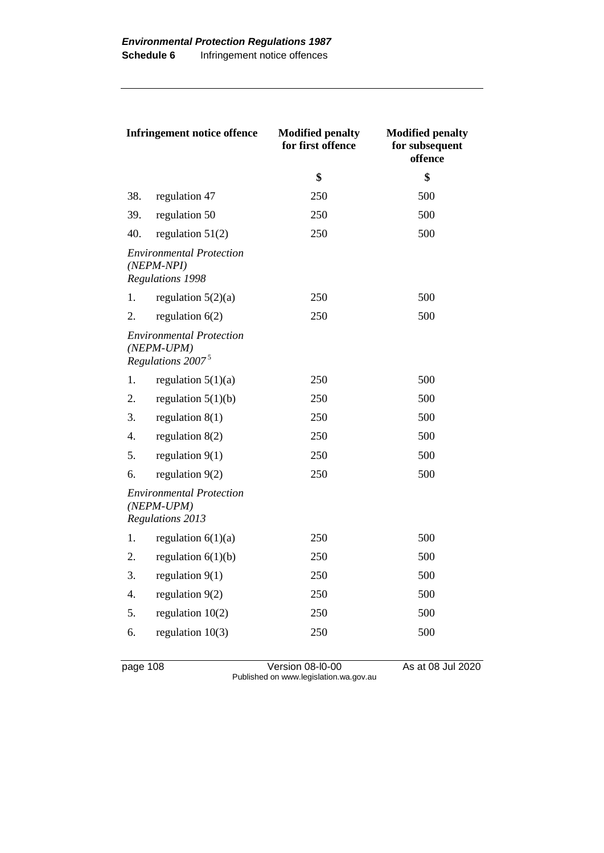| <b>Infringement notice offence</b>                                  |                                                                                  | <b>Modified penalty</b><br>for first offence | <b>Modified penalty</b><br>for subsequent<br>offence |
|---------------------------------------------------------------------|----------------------------------------------------------------------------------|----------------------------------------------|------------------------------------------------------|
|                                                                     |                                                                                  | \$                                           | \$                                                   |
| 38.                                                                 | regulation 47                                                                    | 250                                          | 500                                                  |
| 39.                                                                 | regulation 50                                                                    | 250                                          | 500                                                  |
| 40.                                                                 | regulation $51(2)$                                                               | 250                                          | 500                                                  |
|                                                                     | <b>Environmental Protection</b><br>$(NEPM-NPI)$<br><b>Regulations 1998</b>       |                                              |                                                      |
| 1.                                                                  | regulation $5(2)(a)$                                                             | 250                                          | 500                                                  |
| 2.                                                                  | regulation $6(2)$                                                                | 250                                          | 500                                                  |
|                                                                     | <b>Environmental Protection</b><br>$(NEPM-UPM)$<br>Regulations 2007 <sup>5</sup> |                                              |                                                      |
| 1.                                                                  | regulation $5(1)(a)$                                                             | 250                                          | 500                                                  |
| 2.                                                                  | regulation $5(1)(b)$                                                             | 250                                          | 500                                                  |
| 3.                                                                  | regulation $8(1)$                                                                | 250                                          | 500                                                  |
| 4.                                                                  | regulation $8(2)$                                                                | 250                                          | 500                                                  |
| 5.                                                                  | regulation $9(1)$                                                                | 250                                          | 500                                                  |
| 6.                                                                  | regulation $9(2)$                                                                | 250                                          | 500                                                  |
| <b>Environmental Protection</b><br>$(NEPM-UPM)$<br>Regulations 2013 |                                                                                  |                                              |                                                      |
| 1.                                                                  | regulation $6(1)(a)$                                                             | 250                                          | 500                                                  |
| 2.                                                                  | regulation $6(1)(b)$                                                             | 250                                          | 500                                                  |
| 3.                                                                  | regulation $9(1)$                                                                | 250                                          | 500                                                  |
| 4.                                                                  | regulation $9(2)$                                                                | 250                                          | 500                                                  |
| 5.                                                                  | regulation $10(2)$                                                               | 250                                          | 500                                                  |
| 6.                                                                  | regulation $10(3)$                                                               | 250                                          | 500                                                  |

page 108 Version 08-l0-00 As at 08 Jul 2020 Published on www.legislation.wa.gov.au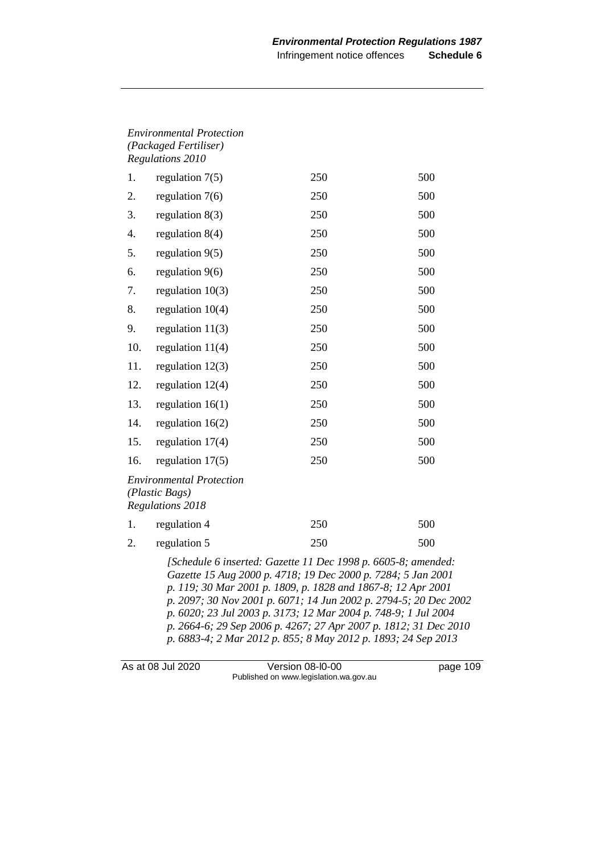| <b>Environmental Protection</b> |
|---------------------------------|
| (Packaged Fertiliser)           |
| Regulations 2010                |

| 1.  | regulation $7(5)$                                                     | 250 | 500 |
|-----|-----------------------------------------------------------------------|-----|-----|
| 2.  | regulation $7(6)$                                                     | 250 | 500 |
| 3.  | regulation $8(3)$                                                     | 250 | 500 |
| 4.  | regulation $8(4)$                                                     | 250 | 500 |
| 5.  | regulation $9(5)$                                                     | 250 | 500 |
| 6.  | regulation $9(6)$                                                     | 250 | 500 |
| 7.  | regulation $10(3)$                                                    | 250 | 500 |
| 8.  | regulation $10(4)$                                                    | 250 | 500 |
| 9.  | regulation $11(3)$                                                    | 250 | 500 |
| 10. | regulation $11(4)$                                                    | 250 | 500 |
| 11. | regulation $12(3)$                                                    | 250 | 500 |
| 12. | regulation $12(4)$                                                    | 250 | 500 |
| 13. | regulation $16(1)$                                                    | 250 | 500 |
| 14. | regulation $16(2)$                                                    | 250 | 500 |
| 15. | regulation 17(4)                                                      | 250 | 500 |
| 16. | regulation $17(5)$                                                    | 250 | 500 |
|     | <b>Environmental Protection</b><br>(Plastic Bags)<br>Regulations 2018 |     |     |
| 1.  | regulation 4                                                          | 250 | 500 |
| 2.  | regulation 5                                                          | 250 | 500 |

*[Schedule 6 inserted: Gazette 11 Dec 1998 p. 6605-8; amended: Gazette 15 Aug 2000 p. 4718; 19 Dec 2000 p. 7284; 5 Jan 2001 p. 119; 30 Mar 2001 p. 1809, p. 1828 and 1867-8; 12 Apr 2001 p. 2097; 30 Nov 2001 p. 6071; 14 Jun 2002 p. 2794-5; 20 Dec 2002 p. 6020; 23 Jul 2003 p. 3173; 12 Mar 2004 p. 748-9; 1 Jul 2004 p. 2664-6; 29 Sep 2006 p. 4267; 27 Apr 2007 p. 1812; 31 Dec 2010 p. 6883-4; 2 Mar 2012 p. 855; 8 May 2012 p. 1893; 24 Sep 2013* 

As at 08 Jul 2020 Version 08-l0-00 page 109 Published on www.legislation.wa.gov.au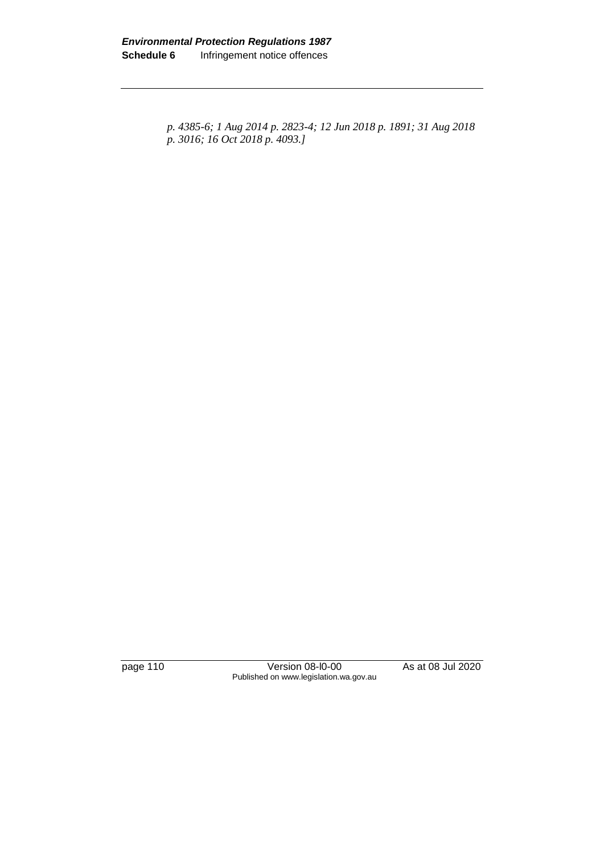*p. 4385-6; 1 Aug 2014 p. 2823-4; 12 Jun 2018 p. 1891; 31 Aug 2018 p. 3016; 16 Oct 2018 p. 4093.]*

page 110 Version 08-l0-00 As at 08 Jul 2020 Published on www.legislation.wa.gov.au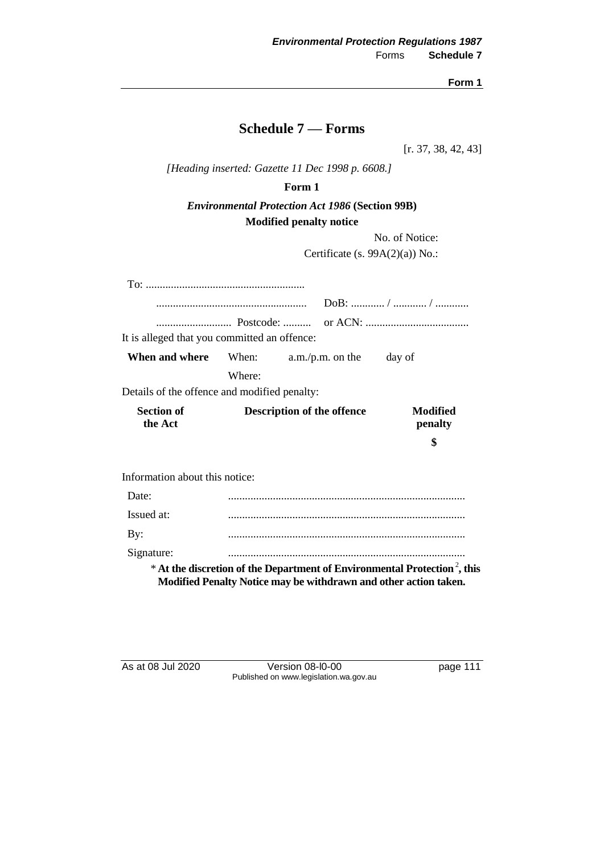# **Schedule 7 — Forms**

[r. 37, 38, 42, 43]

*[Heading inserted: Gazette 11 Dec 1998 p. 6608.]*

### **Form 1**

### *Environmental Protection Act 1986* **(Section 99B) Modified penalty notice**

No. of Notice:

Certificate (s. 99A(2)(a)) No.:

| It is alleged that you committed an offence: |                                   |                                                                  |                                                                                       |
|----------------------------------------------|-----------------------------------|------------------------------------------------------------------|---------------------------------------------------------------------------------------|
| When and where                               |                                   | When: $a.m./p.m.$ on the                                         | day of                                                                                |
|                                              | Where:                            |                                                                  |                                                                                       |
| Details of the offence and modified penalty: |                                   |                                                                  |                                                                                       |
| <b>Section of</b><br>the Act                 | <b>Description of the offence</b> |                                                                  | Modified<br>penalty                                                                   |
|                                              |                                   |                                                                  | \$                                                                                    |
| Information about this notice:               |                                   |                                                                  |                                                                                       |
| Date:                                        |                                   |                                                                  |                                                                                       |
| Issued at:                                   |                                   |                                                                  |                                                                                       |
| By:                                          |                                   |                                                                  |                                                                                       |
| Signature:                                   |                                   |                                                                  |                                                                                       |
|                                              |                                   | Modified Penalty Notice may be withdrawn and other action taken. | * At the discretion of the Department of Environmental Protection <sup>2</sup> , this |

As at 08 Jul 2020 Version 08-l0-00 page 111 Published on www.legislation.wa.gov.au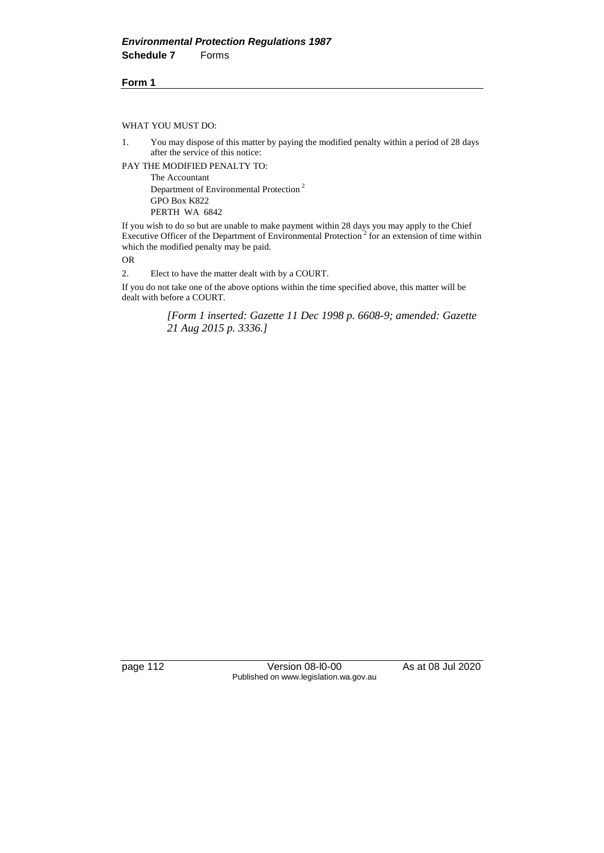WHAT YOU MUST DO:

1. You may dispose of this matter by paying the modified penalty within a period of 28 days after the service of this notice:

PAY THE MODIFIED PENALTY TO:

The Accountant Department of Environmental Protection <sup>2</sup> GPO Box K822 PERTH WA 6842

If you wish to do so but are unable to make payment within 28 days you may apply to the Chief Executive Officer of the Department of Environmental Protection<sup>2</sup> for an extension of time within which the modified penalty may be paid.

OR

2. Elect to have the matter dealt with by a COURT.

If you do not take one of the above options within the time specified above, this matter will be dealt with before a COURT.

> *[Form 1 inserted: Gazette 11 Dec 1998 p. 6608-9; amended: Gazette 21 Aug 2015 p. 3336.]*

page 112 Version 08-l0-00 As at 08 Jul 2020 Published on www.legislation.wa.gov.au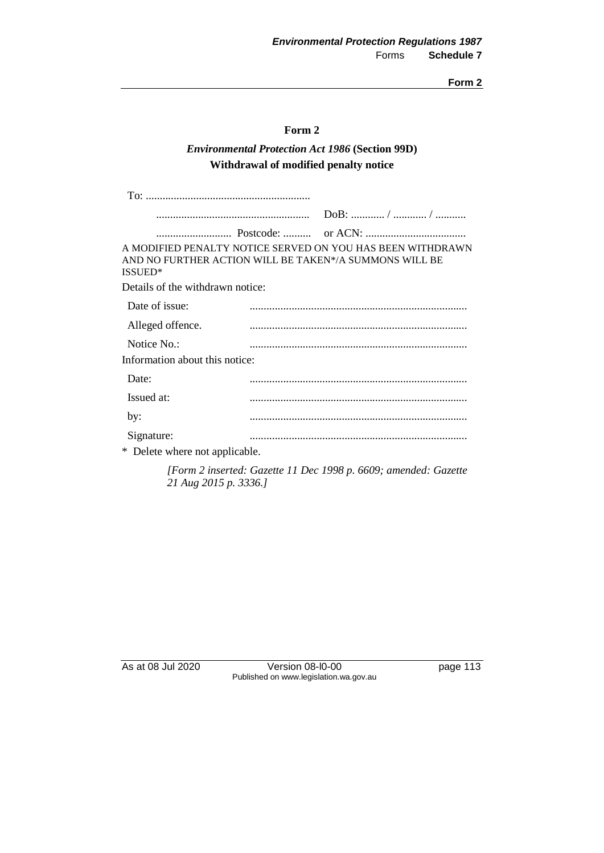### **Form 2**

### *Environmental Protection Act 1986* **(Section 99D) Withdrawal of modified penalty notice**

| ISSUED*                          | A MODIFIED PENALTY NOTICE SERVED ON YOU HAS BEEN WITHDRAWN<br>AND NO FURTHER ACTION WILL BE TAKEN*/A SUMMONS WILL BE |
|----------------------------------|----------------------------------------------------------------------------------------------------------------------|
| Details of the withdrawn notice: |                                                                                                                      |
| Date of issue:                   |                                                                                                                      |
| Alleged offence.                 |                                                                                                                      |
| Notice No.:                      |                                                                                                                      |
| Information about this notice:   |                                                                                                                      |
| Date:                            |                                                                                                                      |
| Issued at:                       |                                                                                                                      |
| by:                              |                                                                                                                      |
| Signature:                       |                                                                                                                      |
| * Delete where not applicable.   |                                                                                                                      |

*[Form 2 inserted: Gazette 11 Dec 1998 p. 6609; amended: Gazette 21 Aug 2015 p. 3336.]*

As at 08 Jul 2020 Version 08-l0-00 page 113 Published on www.legislation.wa.gov.au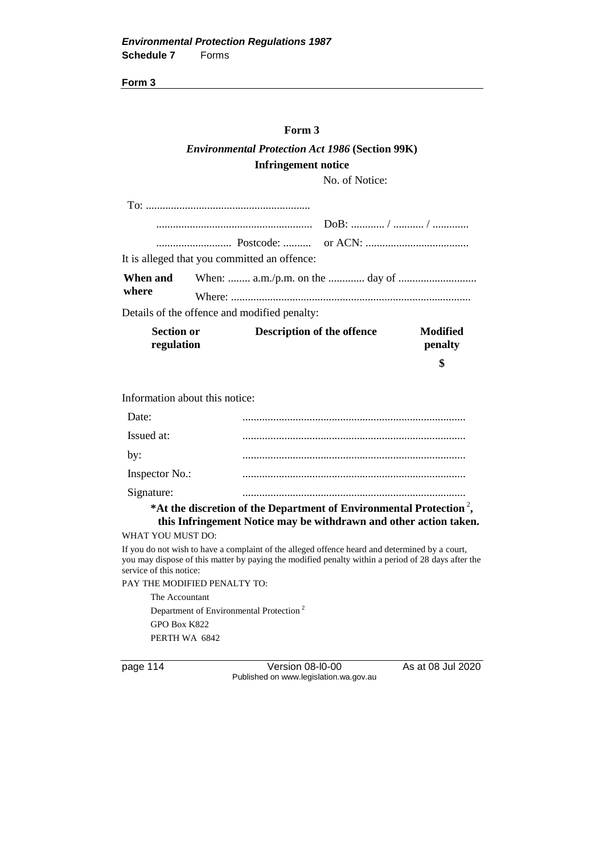#### **Form 3**

## *Environmental Protection Act 1986* **(Section 99K) Infringement notice**

No. of Notice:

| <b>Section or</b><br>regulation | <b>Description of the offence</b>            | Modified<br>penalty |
|---------------------------------|----------------------------------------------|---------------------|
|                                 | Details of the offence and modified penalty: |                     |
| When and<br>where               |                                              |                     |
|                                 | It is alleged that you committed an offence: |                     |
|                                 |                                              |                     |
|                                 |                                              |                     |
|                                 |                                              |                     |

**\$**

Information about this notice:

| $\sim$ |
|--------|
|        |

\*At the discretion of the Department of Environmental Protection<sup>2</sup>, **this Infringement Notice may be withdrawn and other action taken.**

WHAT YOU MUST DO:

If you do not wish to have a complaint of the alleged offence heard and determined by a court, you may dispose of this matter by paying the modified penalty within a period of 28 days after the service of this notice:

PAY THE MODIFIED PENALTY TO:

The Accountant Department of Environmental Protection <sup>2</sup> GPO Box K822 PERTH WA 6842

page 114 Version 08-l0-00 As at 08 Jul 2020 Published on www.legislation.wa.gov.au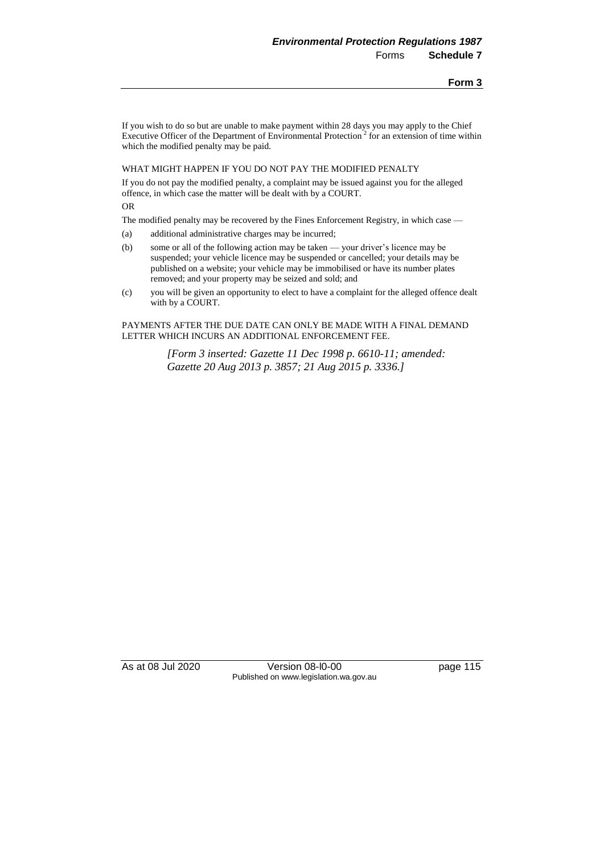If you wish to do so but are unable to make payment within 28 days you may apply to the Chief Executive Officer of the Department of Environmental Protection<sup>2</sup> for an extension of time within which the modified penalty may be paid.

#### WHAT MIGHT HAPPEN IF YOU DO NOT PAY THE MODIFIED PENALTY

If you do not pay the modified penalty, a complaint may be issued against you for the alleged offence, in which case the matter will be dealt with by a COURT.

OR

The modified penalty may be recovered by the Fines Enforcement Registry, in which case —

- (a) additional administrative charges may be incurred;
- (b) some or all of the following action may be taken your driver's licence may be suspended; your vehicle licence may be suspended or cancelled; your details may be published on a website; your vehicle may be immobilised or have its number plates removed; and your property may be seized and sold; and
- (c) you will be given an opportunity to elect to have a complaint for the alleged offence dealt with by a COURT.

PAYMENTS AFTER THE DUE DATE CAN ONLY BE MADE WITH A FINAL DEMAND LETTER WHICH INCURS AN ADDITIONAL ENFORCEMENT FEE.

> *[Form 3 inserted: Gazette 11 Dec 1998 p. 6610-11; amended: Gazette 20 Aug 2013 p. 3857; 21 Aug 2015 p. 3336.]*

As at 08 Jul 2020 Version 08-l0-00 page 115 Published on www.legislation.wa.gov.au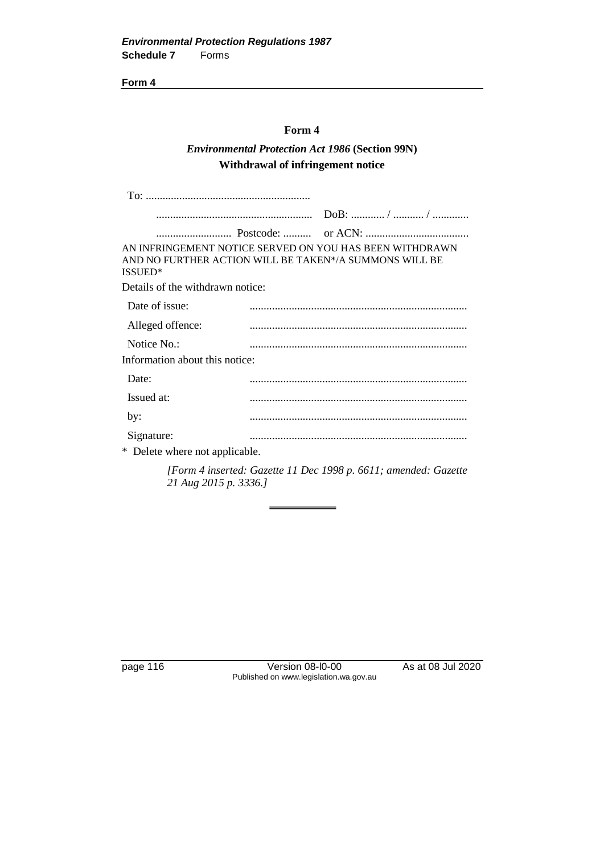#### **Form 4**

### *Environmental Protection Act 1986* **(Section 99N) Withdrawal of infringement notice**

| ISSUED*                          | AN INFRINGEMENT NOTICE SERVED ON YOU HAS BEEN WITHDRAWN<br>AND NO FURTHER ACTION WILL BE TAKEN*/A SUMMONS WILL BE |
|----------------------------------|-------------------------------------------------------------------------------------------------------------------|
| Details of the withdrawn notice: |                                                                                                                   |
| Date of issue:                   |                                                                                                                   |
| Alleged offence:                 |                                                                                                                   |
| Notice No.:                      |                                                                                                                   |
| Information about this notice:   |                                                                                                                   |
| Date:                            |                                                                                                                   |
| Issued at:                       |                                                                                                                   |
| by:                              |                                                                                                                   |
| Signature:                       |                                                                                                                   |
| * Delete where not applicable.   |                                                                                                                   |

*[Form 4 inserted: Gazette 11 Dec 1998 p. 6611; amended: Gazette 21 Aug 2015 p. 3336.]*

page 116 Version 08-l0-00 As at 08 Jul 2020 Published on www.legislation.wa.gov.au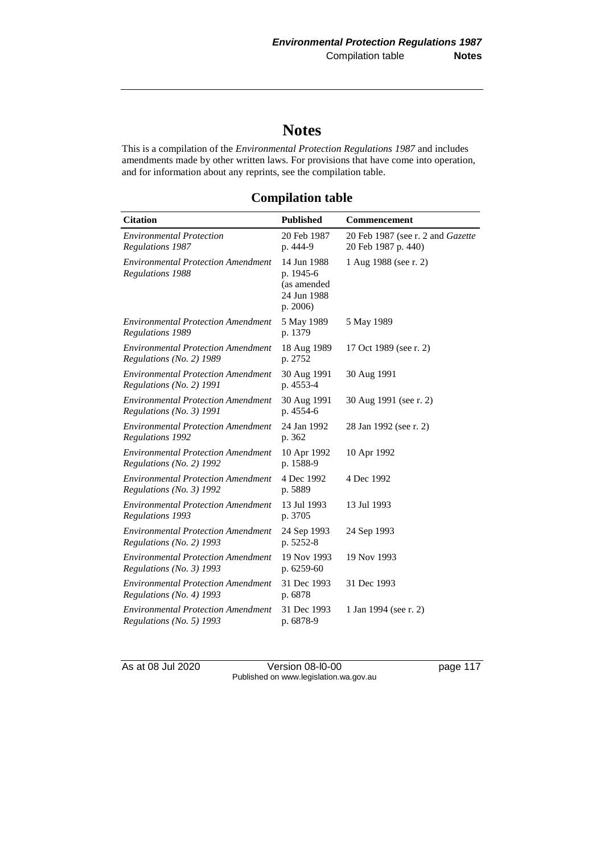# **Notes**

This is a compilation of the *Environmental Protection Regulations 1987* and includes amendments made by other written laws. For provisions that have come into operation, and for information about any reprints, see the compilation table.

**Compilation table**

| <b>Citation</b>                                                       | <b>Published</b>                                                   | Commencement                                             |
|-----------------------------------------------------------------------|--------------------------------------------------------------------|----------------------------------------------------------|
| <b>Environmental Protection</b><br>Regulations 1987                   | 20 Feb 1987<br>p. 444-9                                            | 20 Feb 1987 (see r. 2 and Gazette<br>20 Feb 1987 p. 440) |
| <b>Environmental Protection Amendment</b><br><b>Regulations 1988</b>  | 14 Jun 1988<br>p. 1945-6<br>(as amended<br>24 Jun 1988<br>p. 2006) | 1 Aug 1988 (see r. 2)                                    |
| <b>Environmental Protection Amendment</b><br><b>Regulations 1989</b>  | 5 May 1989<br>p. 1379                                              | 5 May 1989                                               |
| <b>Environmental Protection Amendment</b><br>Regulations (No. 2) 1989 | 18 Aug 1989<br>p. 2752                                             | 17 Oct 1989 (see r. 2)                                   |
| <b>Environmental Protection Amendment</b><br>Regulations (No. 2) 1991 | 30 Aug 1991<br>p. 4553-4                                           | 30 Aug 1991                                              |
| <b>Environmental Protection Amendment</b><br>Regulations (No. 3) 1991 | 30 Aug 1991<br>p. 4554-6                                           | 30 Aug 1991 (see r. 2)                                   |
| <b>Environmental Protection Amendment</b><br>Regulations 1992         | 24 Jan 1992<br>p. 362                                              | 28 Jan 1992 (see r. 2)                                   |
| <b>Environmental Protection Amendment</b><br>Regulations (No. 2) 1992 | 10 Apr 1992<br>p. 1588-9                                           | 10 Apr 1992                                              |
| <b>Environmental Protection Amendment</b><br>Regulations (No. 3) 1992 | 4 Dec 1992<br>p. 5889                                              | 4 Dec 1992                                               |
| <b>Environmental Protection Amendment</b><br>Regulations 1993         | 13 Jul 1993<br>p. 3705                                             | 13 Jul 1993                                              |
| <b>Environmental Protection Amendment</b><br>Regulations (No. 2) 1993 | 24 Sep 1993<br>p. 5252-8                                           | 24 Sep 1993                                              |
| <b>Environmental Protection Amendment</b><br>Regulations (No. 3) 1993 | 19 Nov 1993<br>p. 6259-60                                          | 19 Nov 1993                                              |
| <b>Environmental Protection Amendment</b><br>Regulations (No. 4) 1993 | 31 Dec 1993<br>p. 6878                                             | 31 Dec 1993                                              |
| <b>Environmental Protection Amendment</b><br>Regulations (No. 5) 1993 | 31 Dec 1993<br>p. 6878-9                                           | 1 Jan 1994 (see r. 2)                                    |

As at 08 Jul 2020 Version 08-l0-00 page 117 Published on www.legislation.wa.gov.au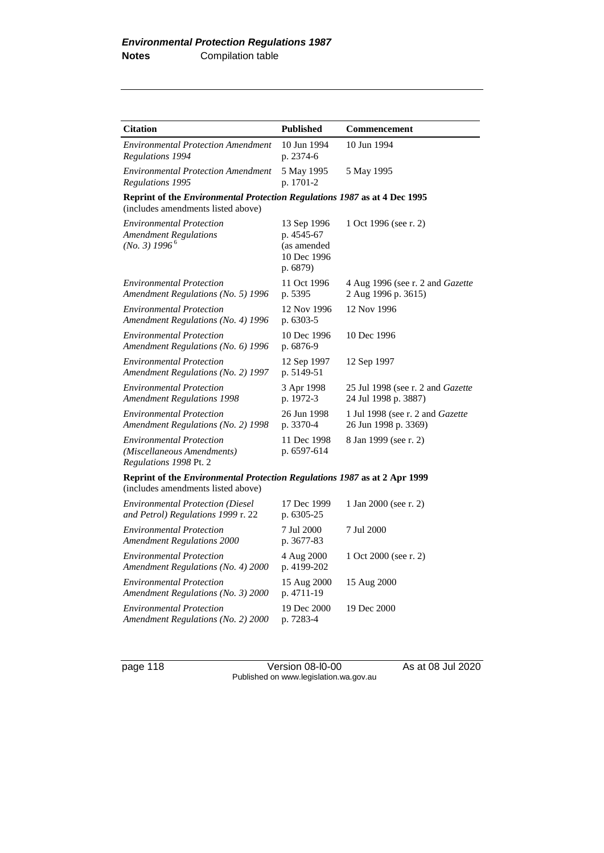| <b>Citation</b>                                                                                                        | <b>Published</b>                                                    | Commencement                                                     |  |
|------------------------------------------------------------------------------------------------------------------------|---------------------------------------------------------------------|------------------------------------------------------------------|--|
| <b>Environmental Protection Amendment</b><br>Regulations 1994                                                          | 10 Jun 1994<br>p. 2374-6                                            | 10 Jun 1994                                                      |  |
| <b>Environmental Protection Amendment</b><br>Regulations 1995                                                          | 5 May 1995<br>p. 1701-2                                             | 5 May 1995                                                       |  |
| Reprint of the Environmental Protection Regulations 1987 as at 4 Dec 1995<br>(includes amendments listed above)        |                                                                     |                                                                  |  |
| <b>Environmental Protection</b><br><b>Amendment Regulations</b><br>(No. 3) 1996 <sup>6</sup>                           | 13 Sep 1996<br>p. 4545-67<br>(as amended<br>10 Dec 1996<br>p. 6879) | 1 Oct 1996 (see r. 2)                                            |  |
| <b>Environmental Protection</b><br>Amendment Regulations (No. 5) 1996                                                  | 11 Oct 1996<br>p. 5395                                              | 4 Aug 1996 (see r. 2 and Gazette<br>2 Aug 1996 p. 3615)          |  |
| <b>Environmental Protection</b><br>Amendment Regulations (No. 4) 1996                                                  | 12 Nov 1996<br>p. 6303-5                                            | 12 Nov 1996                                                      |  |
| <b>Environmental Protection</b><br>Amendment Regulations (No. 6) 1996                                                  | 10 Dec 1996<br>p. 6876-9                                            | 10 Dec 1996                                                      |  |
| <b>Environmental Protection</b><br>Amendment Regulations (No. 2) 1997                                                  | 12 Sep 1997<br>p. 5149-51                                           | 12 Sep 1997                                                      |  |
| <b>Environmental Protection</b><br><b>Amendment Regulations 1998</b>                                                   | 3 Apr 1998<br>p. 1972-3                                             | 25 Jul 1998 (see r. 2 and <i>Gazette</i><br>24 Jul 1998 p. 3887) |  |
| <b>Environmental Protection</b><br>Amendment Regulations (No. 2) 1998                                                  | 26 Jun 1998<br>p. 3370-4                                            | 1 Jul 1998 (see r. 2 and Gazette<br>26 Jun 1998 p. 3369)         |  |
| <b>Environmental Protection</b><br>(Miscellaneous Amendments)<br>Regulations 1998 Pt. 2                                | 11 Dec 1998<br>p. 6597-614                                          | 8 Jan 1999 (see r. 2)                                            |  |
| Reprint of the <i>Environmental Protection Regulations 1987</i> as at 2 Apr 1999<br>(includes amendments listed above) |                                                                     |                                                                  |  |
| <b>Environmental Protection (Diesel)</b><br>and Petrol) Regulations 1999 r. 22                                         | 17 Dec 1999<br>p. 6305-25                                           | 1 Jan 2000 (see r. 2)                                            |  |
| <b>Environmental Protection</b><br><b>Amendment Regulations 2000</b>                                                   | 7 Jul 2000<br>p. 3677-83                                            | 7 Jul 2000                                                       |  |
| <b>Environmental Protection</b><br>Amendment Regulations (No. 4) 2000                                                  | 4 Aug 2000<br>p. 4199-202                                           | 1 Oct 2000 (see r. 2)                                            |  |
| <b>Environmental Protection</b><br>Amendment Regulations (No. 3) 2000                                                  | 15 Aug 2000<br>p. 4711-19                                           | 15 Aug 2000                                                      |  |
| <b>Environmental Protection</b><br>Amendment Regulations (No. 2) 2000                                                  | 19 Dec 2000<br>p. 7283-4                                            | 19 Dec 2000                                                      |  |

page 118 Version 08-l0-00 As at 08 Jul 2020 Published on www.legislation.wa.gov.au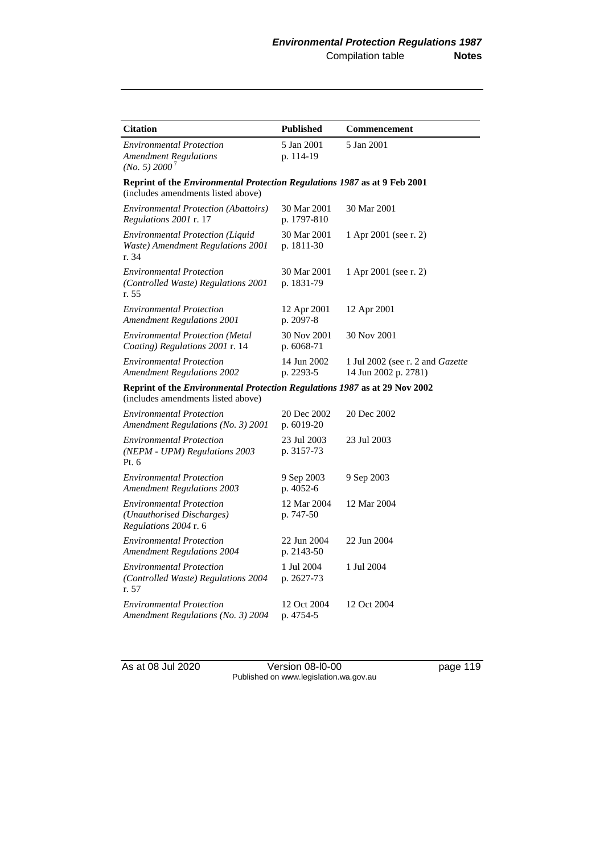| <b>Citation</b>                                                                                                        | <b>Published</b>           | Commencement                                                    |  |
|------------------------------------------------------------------------------------------------------------------------|----------------------------|-----------------------------------------------------------------|--|
| <b>Environmental Protection</b><br><b>Amendment Regulations</b><br>(No. 5) 2000 <sup>7</sup>                           | 5 Jan 2001<br>p. 114-19    | 5 Jan 2001                                                      |  |
| Reprint of the <i>Environmental Protection Regulations 1987</i> as at 9 Feb 2001<br>(includes amendments listed above) |                            |                                                                 |  |
| <b>Environmental Protection (Abattoirs)</b><br>Regulations 2001 r. 17                                                  | 30 Mar 2001<br>p. 1797-810 | 30 Mar 2001                                                     |  |
| Environmental Protection (Liquid<br>Waste) Amendment Regulations 2001<br>r. 34                                         | 30 Mar 2001<br>p. 1811-30  | 1 Apr 2001 (see r. 2)                                           |  |
| <b>Environmental Protection</b><br>(Controlled Waste) Regulations 2001<br>r. 55                                        | 30 Mar 2001<br>p. 1831-79  | 1 Apr 2001 (see r. 2)                                           |  |
| <b>Environmental Protection</b><br><b>Amendment Regulations 2001</b>                                                   | 12 Apr 2001<br>p. 2097-8   | 12 Apr 2001                                                     |  |
| <b>Environmental Protection (Metal</b><br>Coating) Regulations 2001 r. 14                                              | 30 Nov 2001<br>p. 6068-71  | 30 Nov 2001                                                     |  |
| <b>Environmental Protection</b><br><b>Amendment Regulations 2002</b>                                                   | 14 Jun 2002<br>p. 2293-5   | 1 Jul 2002 (see r. 2 and <i>Gazette</i><br>14 Jun 2002 p. 2781) |  |
| Reprint of the Environmental Protection Regulations 1987 as at 29 Nov 2002<br>(includes amendments listed above)       |                            |                                                                 |  |
| <b>Environmental Protection</b><br>Amendment Regulations (No. 3) 2001                                                  | 20 Dec 2002<br>p. 6019-20  | 20 Dec 2002                                                     |  |
| <b>Environmental Protection</b><br>(NEPM - UPM) Regulations 2003<br>Pt. $6$                                            | 23 Jul 2003<br>p. 3157-73  | 23 Jul 2003                                                     |  |
| <b>Environmental Protection</b><br><b>Amendment Regulations 2003</b>                                                   | 9 Sep 2003<br>p. 4052-6    | 9 Sep 2003                                                      |  |
| <i>Environmental Protection</i><br>(Unauthorised Discharges)<br>Regulations 2004 r. 6                                  | 12 Mar 2004<br>p. 747-50   | 12 Mar 2004                                                     |  |
| <b>Environmental Protection</b><br><b>Amendment Regulations 2004</b>                                                   | 22 Jun 2004<br>p. 2143-50  | 22 Jun 2004                                                     |  |
| <b>Environmental Protection</b><br>(Controlled Waste) Regulations 2004<br>r. 57                                        | 1 Jul 2004<br>p. 2627-73   | 1 Jul 2004                                                      |  |
| <b>Environmental Protection</b><br>Amendment Regulations (No. 3) 2004                                                  | 12 Oct 2004<br>p. 4754-5   | 12 Oct 2004                                                     |  |

As at 08 Jul 2020 **Version 08-l0-00 page 119** Published on www.legislation.wa.gov.au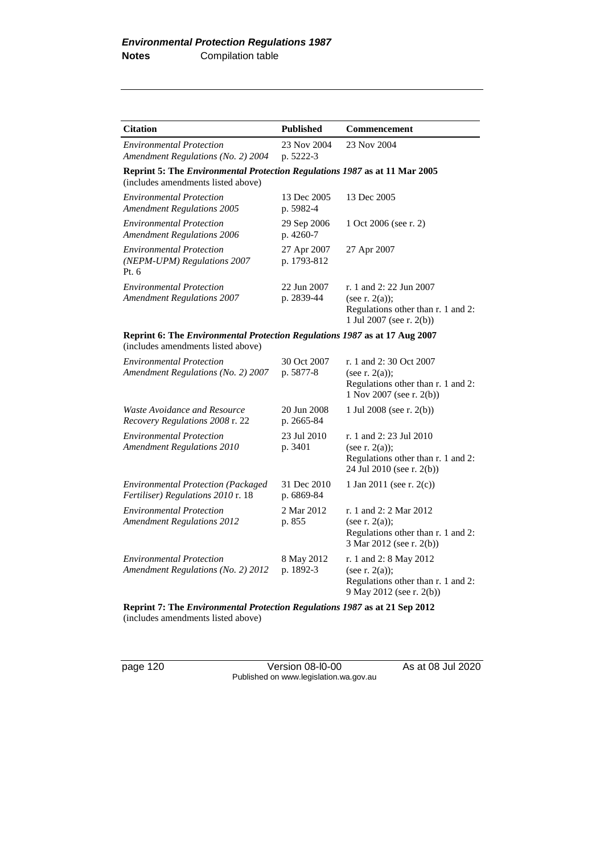| <b>Citation</b>                                                                                                  | <b>Published</b>           | <b>Commencement</b>                                                                                               |
|------------------------------------------------------------------------------------------------------------------|----------------------------|-------------------------------------------------------------------------------------------------------------------|
| <b>Environmental Protection</b><br>Amendment Regulations (No. 2) 2004                                            | 23 Nov 2004<br>p. 5222-3   | 23 Nov 2004                                                                                                       |
| Reprint 5: The Environmental Protection Regulations 1987 as at 11 Mar 2005<br>(includes amendments listed above) |                            |                                                                                                                   |
| <b>Environmental Protection</b><br><b>Amendment Regulations 2005</b>                                             | 13 Dec 2005<br>p. 5982-4   | 13 Dec 2005                                                                                                       |
| <b>Environmental Protection</b><br><b>Amendment Regulations 2006</b>                                             | 29 Sep 2006<br>p. 4260-7   | 1 Oct 2006 (see r. 2)                                                                                             |
| <b>Environmental Protection</b><br>(NEPM-UPM) Regulations 2007<br>Pt. 6                                          | 27 Apr 2007<br>p. 1793-812 | 27 Apr 2007                                                                                                       |
| <b>Environmental Protection</b><br><b>Amendment Regulations 2007</b>                                             | 22 Jun 2007<br>p. 2839-44  | r. 1 and 2: 22 Jun 2007<br>(see r. $2(a)$ );<br>Regulations other than r. 1 and 2:<br>1 Jul 2007 (see r. $2(b)$ ) |
| Reprint 6: The Environmental Protection Regulations 1987 as at 17 Aug 2007<br>(includes amendments listed above) |                            |                                                                                                                   |
| <b>Environmental Protection</b><br>Amendment Regulations (No. 2) 2007                                            | 30 Oct 2007<br>p. 5877-8   | r. 1 and 2:30 Oct 2007<br>(see r. $2(a)$ );<br>Regulations other than r. 1 and 2:<br>1 Nov 2007 (see r. 2(b))     |
| Waste Avoidance and Resource<br>Recovery Regulations 2008 r. 22                                                  | 20 Jun 2008<br>p. 2665-84  | 1 Jul 2008 (see r. 2(b))                                                                                          |
| <b>Environmental Protection</b><br><b>Amendment Regulations 2010</b>                                             | 23 Jul 2010<br>p. 3401     | r. 1 and 2: 23 Jul 2010<br>(see r. $2(a)$ );<br>Regulations other than r. 1 and 2:<br>24 Jul 2010 (see r. 2(b))   |
| <b>Environmental Protection (Packaged</b><br>Fertiliser) Regulations 2010 r. 18                                  | 31 Dec 2010<br>p. 6869-84  | 1 Jan 2011 (see r. $2(c)$ )                                                                                       |
| <b>Environmental Protection</b><br><b>Amendment Regulations 2012</b>                                             | 2 Mar 2012<br>p. 855       | r. 1 and 2: 2 Mar 2012<br>(see $r. 2(a)$ );<br>Regulations other than r. 1 and 2:<br>3 Mar 2012 (see r. 2(b))     |
| <b>Environmental Protection</b><br>Amendment Regulations (No. 2) 2012                                            | 8 May 2012<br>p. 1892-3    | r. 1 and 2: 8 May 2012<br>(see r. $2(a)$ );<br>Regulations other than r. 1 and 2:<br>9 May 2012 (see r. 2(b))     |

**Reprint 7: The** *Environmental Protection Regulations 1987* **as at 21 Sep 2012** (includes amendments listed above)

page 120 Version 08-l0-00 As at 08 Jul 2020 Published on www.legislation.wa.gov.au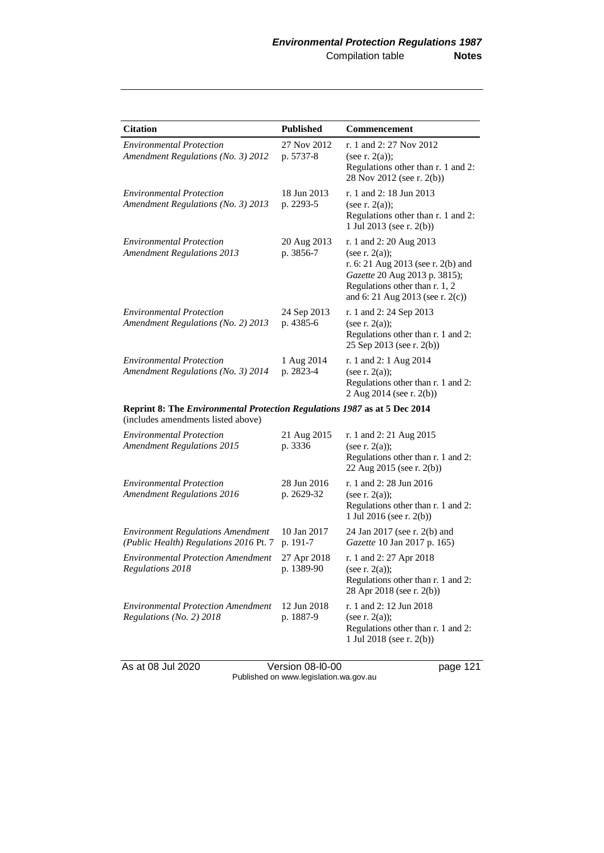| <b>Citation</b>                                                                                                 | <b>Published</b>          | <b>Commencement</b>                                                                                                                                                                       |
|-----------------------------------------------------------------------------------------------------------------|---------------------------|-------------------------------------------------------------------------------------------------------------------------------------------------------------------------------------------|
| <b>Environmental Protection</b><br>Amendment Regulations (No. 3) 2012                                           | 27 Nov 2012<br>p. 5737-8  | r. 1 and 2: 27 Nov 2012<br>(see r. $2(a)$ );<br>Regulations other than r. 1 and 2:<br>28 Nov 2012 (see r. 2(b))                                                                           |
| <b>Environmental Protection</b><br>Amendment Regulations (No. 3) 2013                                           | 18 Jun 2013<br>p. 2293-5  | r. 1 and 2: 18 Jun 2013<br>(see r. $2(a)$ );<br>Regulations other than r. 1 and 2:<br>1 Jul 2013 (see r. 2(b))                                                                            |
| <b>Environmental Protection</b><br><b>Amendment Regulations 2013</b>                                            | 20 Aug 2013<br>p. 3856-7  | r. 1 and 2: 20 Aug 2013<br>(see r. $2(a)$ );<br>r. 6: 21 Aug 2013 (see r. 2(b) and<br>Gazette 20 Aug 2013 p. 3815);<br>Regulations other than r. 1, 2<br>and 6: 21 Aug 2013 (see r. 2(c)) |
| <b>Environmental Protection</b><br>Amendment Regulations (No. 2) 2013                                           | 24 Sep 2013<br>p. 4385-6  | r. 1 and 2: 24 Sep 2013<br>(see r. $2(a)$ );<br>Regulations other than r. 1 and 2:<br>25 Sep 2013 (see r. 2(b))                                                                           |
| <b>Environmental Protection</b><br>Amendment Regulations (No. 3) 2014                                           | 1 Aug 2014<br>p. 2823-4   | r. 1 and 2: 1 Aug 2014<br>(see r. $2(a)$ );<br>Regulations other than r. 1 and 2:<br>2 Aug 2014 (see r. 2(b))                                                                             |
| Reprint 8: The Environmental Protection Regulations 1987 as at 5 Dec 2014<br>(includes amendments listed above) |                           |                                                                                                                                                                                           |
| <b>Environmental Protection</b><br><b>Amendment Regulations 2015</b>                                            | 21 Aug 2015<br>p. 3336    | r. 1 and 2: 21 Aug 2015<br>(see r. $2(a)$ );<br>Regulations other than r. 1 and 2:<br>22 Aug 2015 (see r. 2(b))                                                                           |
| <b>Environmental Protection</b><br><b>Amendment Regulations 2016</b>                                            | 28 Jun 2016<br>p. 2629-32 | r. 1 and 2: 28 Jun 2016<br>(see r. $2(a)$ );<br>Regulations other than r. 1 and 2:<br>1 Jul 2016 (see r. 2(b))                                                                            |
| <b>Environment Regulations Amendment</b><br>(Public Health) Regulations 2016 Pt. 7                              | 10 Jan 2017<br>p. 191-7   | 24 Jan 2017 (see r. 2(b) and<br>Gazette 10 Jan 2017 p. 165)                                                                                                                               |
| <b>Environmental Protection Amendment</b><br>Regulations 2018                                                   | 27 Apr 2018<br>p. 1389-90 | r. 1 and 2: 27 Apr 2018<br>(see r. $2(a)$ );<br>Regulations other than r. 1 and 2:<br>28 Apr 2018 (see r. 2(b))                                                                           |
| <b>Environmental Protection Amendment</b><br>Regulations (No. 2) 2018                                           | 12 Jun 2018<br>p. 1887-9  | r. 1 and 2: 12 Jun 2018<br>(see r. $2(a)$ );<br>Regulations other than r. 1 and 2:<br>1 Jul 2018 (see r. 2(b))                                                                            |

As at 08 Jul 2020 **Version 08-l0-00 page 121** Published on www.legislation.wa.gov.au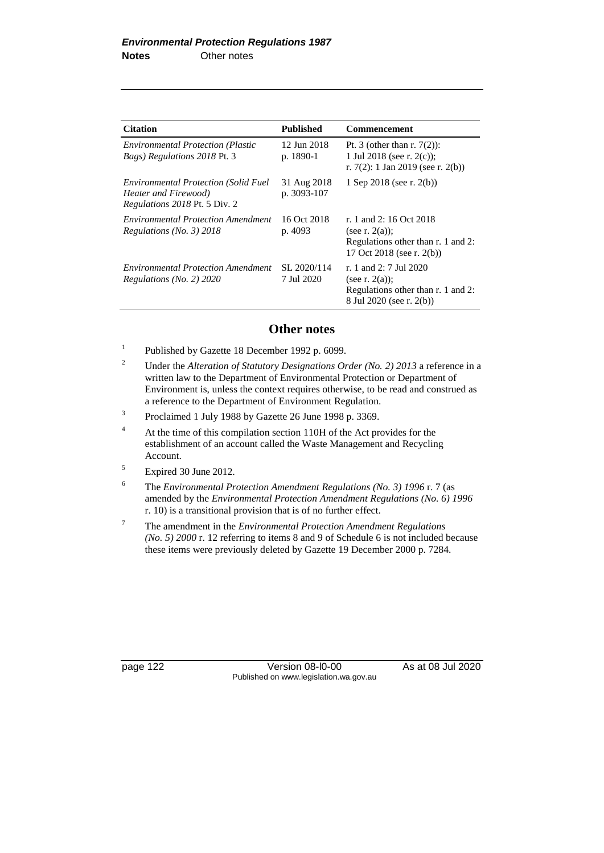| <b>Citation</b>                                                                                      | <b>Published</b>           | <b>Commencement</b>                                                                                             |
|------------------------------------------------------------------------------------------------------|----------------------------|-----------------------------------------------------------------------------------------------------------------|
| <b>Environmental Protection (Plastic</b><br><i>Bags</i> ) <i>Regulations</i> 2018 Pt. 3              | 12 Jun 2018<br>p. 1890-1   | Pt. 3 (other than r. $7(2)$ ):<br>1 Jul 2018 (see r. $2(c)$ );<br>r. 7(2): 1 Jan 2019 (see r. 2(b))             |
| <b>Environmental Protection (Solid Fuel</b><br>Heater and Firewood)<br>Regulations 2018 Pt. 5 Div. 2 | 31 Aug 2018<br>p. 3093-107 | 1 Sep 2018 (see r. 2(b))                                                                                        |
| <b>Environmental Protection Amendment</b><br>Regulations (No. 3) $2018$                              | 16 Oct 2018<br>p. 4093     | r. 1 and 2: 16 Oct 2018<br>(see r. $2(a)$ );<br>Regulations other than r. 1 and 2:<br>17 Oct 2018 (see r. 2(b)) |
| <b>Environmental Protection Amendment</b><br>Regulations (No. 2) 2020                                | SL 2020/114<br>7 Jul 2020  | r. 1 and 2: 7 Jul 2020<br>(see r. $2(a)$ );<br>Regulations other than r. 1 and 2:<br>8 Jul 2020 (see r. 2(b))   |

### **Other notes**

1 Published by Gazette 18 December 1992 p. 6099.

- <sup>2</sup> Under the *Alteration of Statutory Designations Order (No. 2) 2013* a reference in a written law to the Department of Environmental Protection or Department of Environment is, unless the context requires otherwise, to be read and construed as a reference to the Department of Environment Regulation.
- 3 Proclaimed 1 July 1988 by Gazette 26 June 1998 p. 3369.
- <sup>4</sup> At the time of this compilation section 110H of the Act provides for the establishment of an account called the Waste Management and Recycling Account.
- <sup>5</sup> Expired 30 June 2012.
- <sup>6</sup> The *Environmental Protection Amendment Regulations (No. 3) 1996* r. 7 (as amended by the *Environmental Protection Amendment Regulations (No. 6) 1996* r. 10) is a transitional provision that is of no further effect.
- <sup>7</sup> The amendment in the *Environmental Protection Amendment Regulations (No. 5) 2000* r. 12 referring to items 8 and 9 of Schedule 6 is not included because these items were previously deleted by Gazette 19 December 2000 p. 7284.

page 122 Version 08-l0-00 As at 08 Jul 2020 Published on www.legislation.wa.gov.au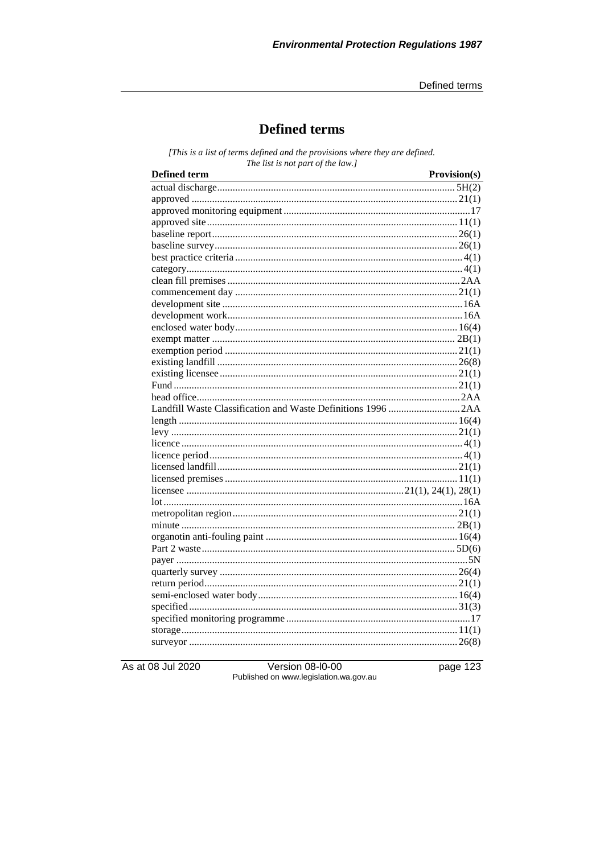Defined terms

# **Defined terms**

[This is a list of terms defined and the provisions where they are defined. The list is not part of the law.]

| <b>Defined term</b><br><u> 1980 - Johann Barn, mars ann an t-Amhain Aonaich an t-Aonaich an t-Aonaich ann an t-Aonaich ann an t-Aonaich</u> | Provision(s) |
|---------------------------------------------------------------------------------------------------------------------------------------------|--------------|
|                                                                                                                                             |              |
|                                                                                                                                             |              |
|                                                                                                                                             |              |
|                                                                                                                                             |              |
|                                                                                                                                             |              |
|                                                                                                                                             |              |
|                                                                                                                                             |              |
|                                                                                                                                             |              |
|                                                                                                                                             |              |
|                                                                                                                                             |              |
|                                                                                                                                             |              |
|                                                                                                                                             |              |
|                                                                                                                                             |              |
|                                                                                                                                             |              |
|                                                                                                                                             |              |
|                                                                                                                                             |              |
|                                                                                                                                             |              |
|                                                                                                                                             |              |
|                                                                                                                                             |              |
|                                                                                                                                             |              |
|                                                                                                                                             |              |
|                                                                                                                                             |              |
|                                                                                                                                             |              |
|                                                                                                                                             |              |
|                                                                                                                                             |              |
|                                                                                                                                             |              |
|                                                                                                                                             |              |
|                                                                                                                                             |              |
|                                                                                                                                             |              |
|                                                                                                                                             |              |
|                                                                                                                                             |              |
|                                                                                                                                             |              |
|                                                                                                                                             |              |
|                                                                                                                                             |              |
|                                                                                                                                             |              |
|                                                                                                                                             |              |
|                                                                                                                                             |              |
|                                                                                                                                             |              |
|                                                                                                                                             |              |
|                                                                                                                                             |              |

As at 08 Jul 2020

**Version 08-I0-00** Published on www.legislation.wa.gov.au page 123